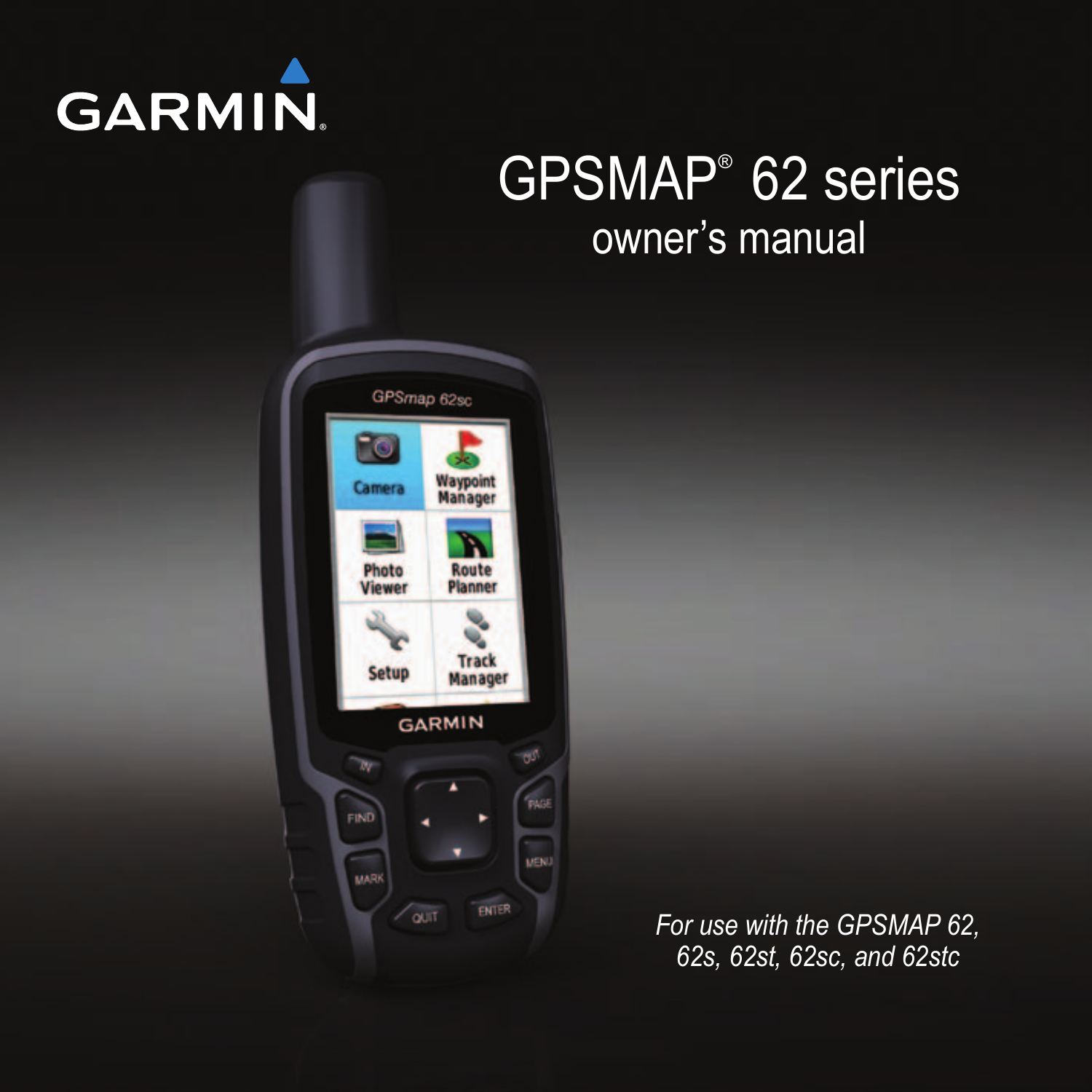

# GPSMAP® 62 series owner's manual



*For use with the GPSMAP 62, 62s, 62st, 62sc, and 62stc*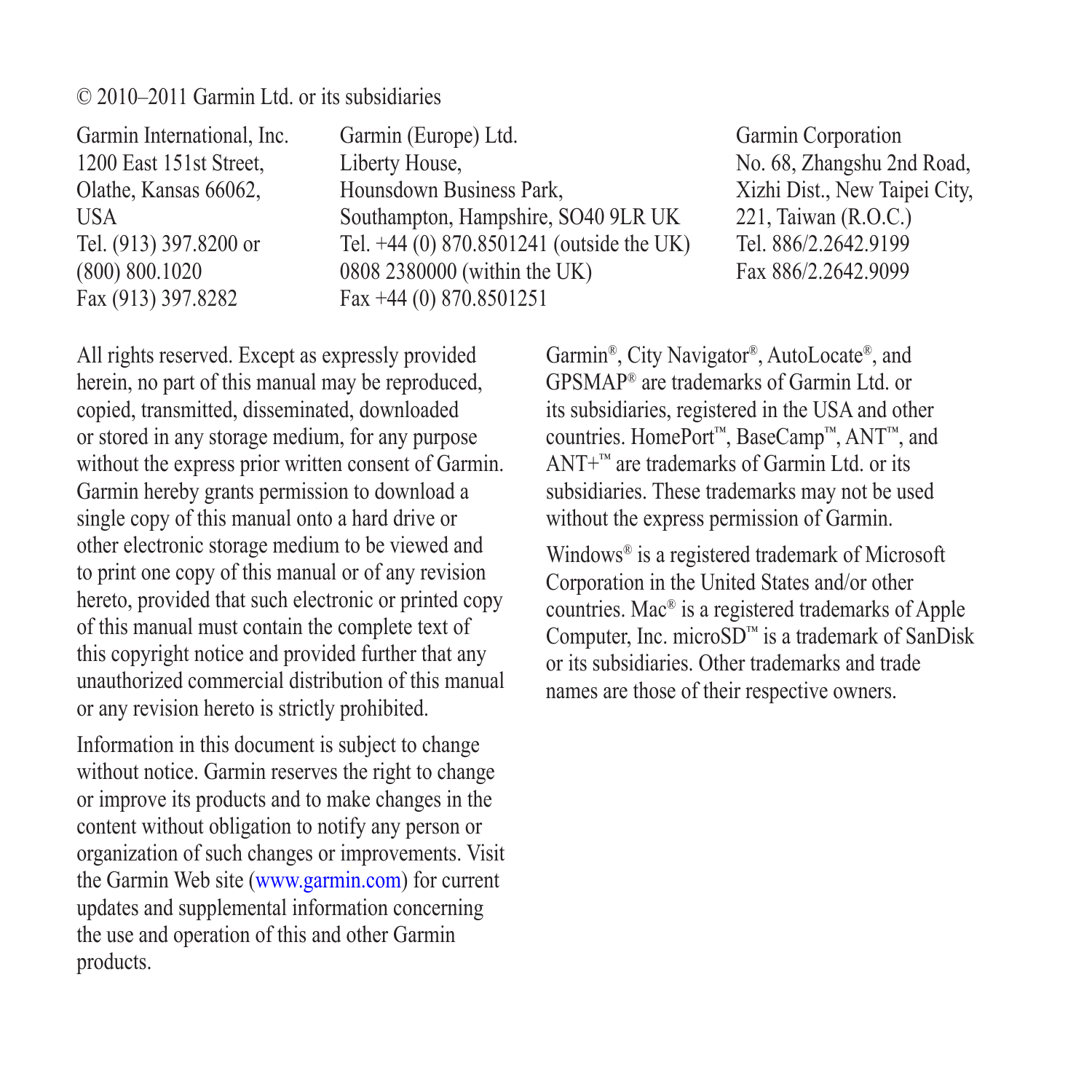#### © 2010–2011 Garmin Ltd. or its subsidiaries

Garmin International, Inc. 1200 East 151st Street, Olathe, Kansas 66062, USA Tel. (913) 397.8200 or (800) 800.1020 Fax (913) 397.8282

Garmin (Europe) Ltd. Liberty House, Hounsdown Business Park, Southampton, Hampshire, SO40 9LR UK Tel. +44 (0) 870.8501241 (outside the UK) 0808 2380000 (within the UK) Fax +44 (0) 870.8501251

Garmin Corporation No. 68, Zhangshu 2nd Road, Xizhi Dist., New Taipei City, 221, Taiwan (R.O.C.) Tel. 886/2.2642.9199 Fax 886/2.2642.9099

All rights reserved. Except as expressly provided herein, no part of this manual may be reproduced, copied, transmitted, disseminated, downloaded or stored in any storage medium, for any purpose without the express prior written consent of Garmin. Garmin hereby grants permission to download a single copy of this manual onto a hard drive or other electronic storage medium to be viewed and to print one copy of this manual or of any revision hereto, provided that such electronic or printed copy of this manual must contain the complete text of this copyright notice and provided further that any unauthorized commercial distribution of this manual or any revision hereto is strictly prohibited.

Information in this document is subject to change without notice. Garmin reserves the right to change or improve its products and to make changes in the content without obligation to notify any person or organization of such changes or improvements. Visit the Garmin Web site [\(www.garmin.com\)](www.garmin.com) for current updates and supplemental information concerning the use and operation of this and other Garmin products.

Garmin®, City Navigator®, AutoLocate®, and GPSMAP® are trademarks of Garmin Ltd. or its subsidiaries, registered in the USA and other countries. HomePort™, BaseCamp™, ANT™, and ANT+™ are trademarks of Garmin Ltd. or its subsidiaries. These trademarks may not be used without the express permission of Garmin.

Windows® is a registered trademark of Microsoft Corporation in the United States and/or other countries. Mac® is a registered trademarks of Apple Computer, Inc. microSD™ is a trademark of SanDisk or its subsidiaries. Other trademarks and trade names are those of their respective owners.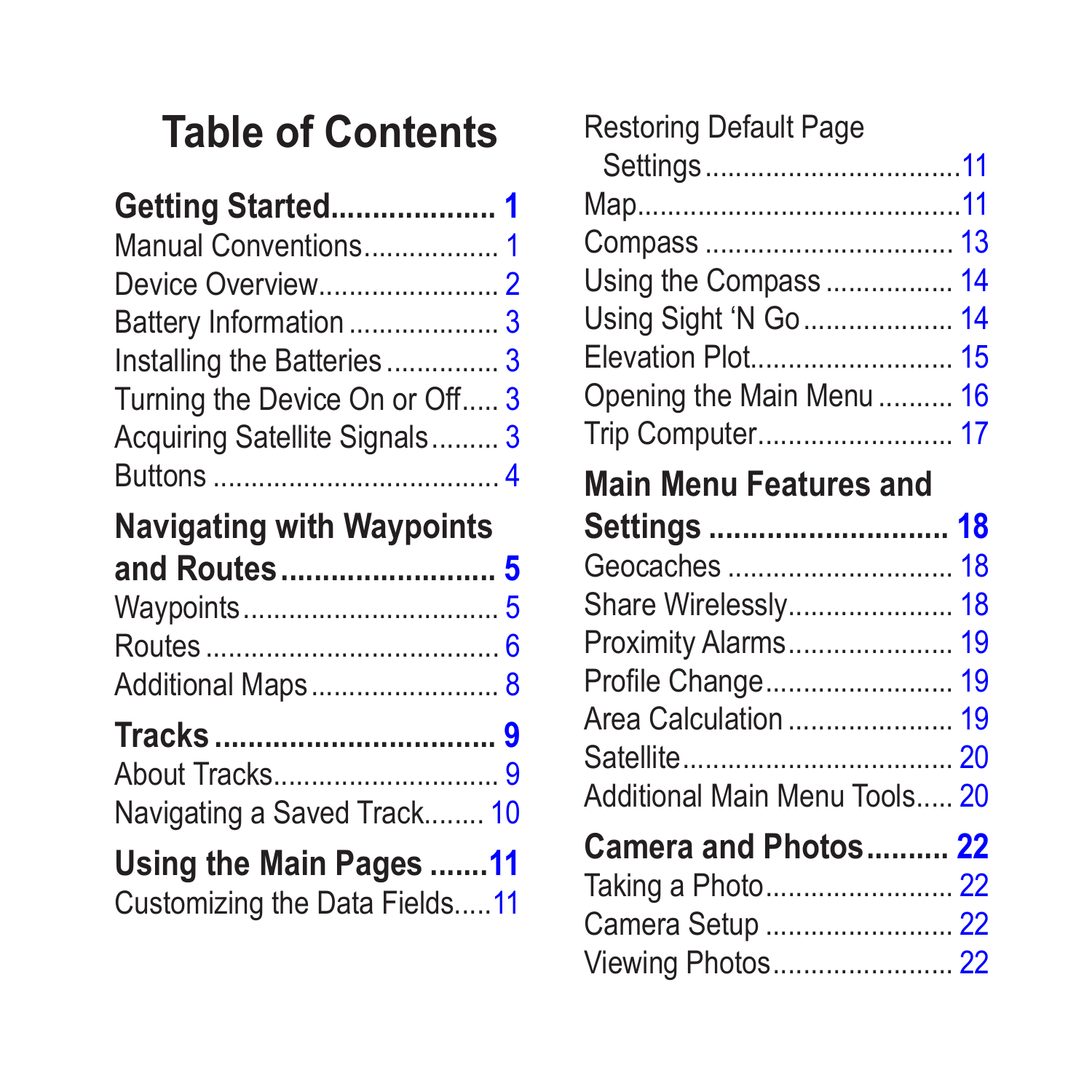# **Table of Contents**

| Getting Started 1              |  |
|--------------------------------|--|
| Manual Conventions 1           |  |
|                                |  |
| Battery Information 3          |  |
| Installing the Batteries3      |  |
| Turning the Device On or Off 3 |  |
| Acquiring Satellite Signals 3  |  |
|                                |  |
|                                |  |

#### **[Navigating with Waypoints](#page-8-0)  [and Routes..........................](#page-8-0) 5**

| Additional Maps 8 |  |
|-------------------|--|

# **Tracks [..................................](#page-12-0) 9**

| Navigating a Saved Track 10 |  |
|-----------------------------|--|

# **[Using the Main Pages](#page-14-0) .......11**

[Customizing the Data Fields.....11](#page-14-0)

| Restoring Default Page                |  |
|---------------------------------------|--|
|                                       |  |
|                                       |  |
|                                       |  |
| Using the Compass 14                  |  |
| Using Sight 'N Go 14                  |  |
| Elevation Plot 15                     |  |
| Opening the Main Menu  16             |  |
| Trip Computer 17                      |  |
| <b>Main Menu Features and</b>         |  |
| Settings  18                          |  |
| Geocaches  18                         |  |
| Share Wirelessly 18                   |  |
| Proximity Alarms 19                   |  |
| Profile Change 19                     |  |
|                                       |  |
| Area Calculation  19                  |  |
|                                       |  |
| Additional Main Menu Tools 20         |  |
| Camera and Photos 22                  |  |
| Taking a Photo 22                     |  |
|                                       |  |
| Camera Setup  22<br>Viewing Photos 22 |  |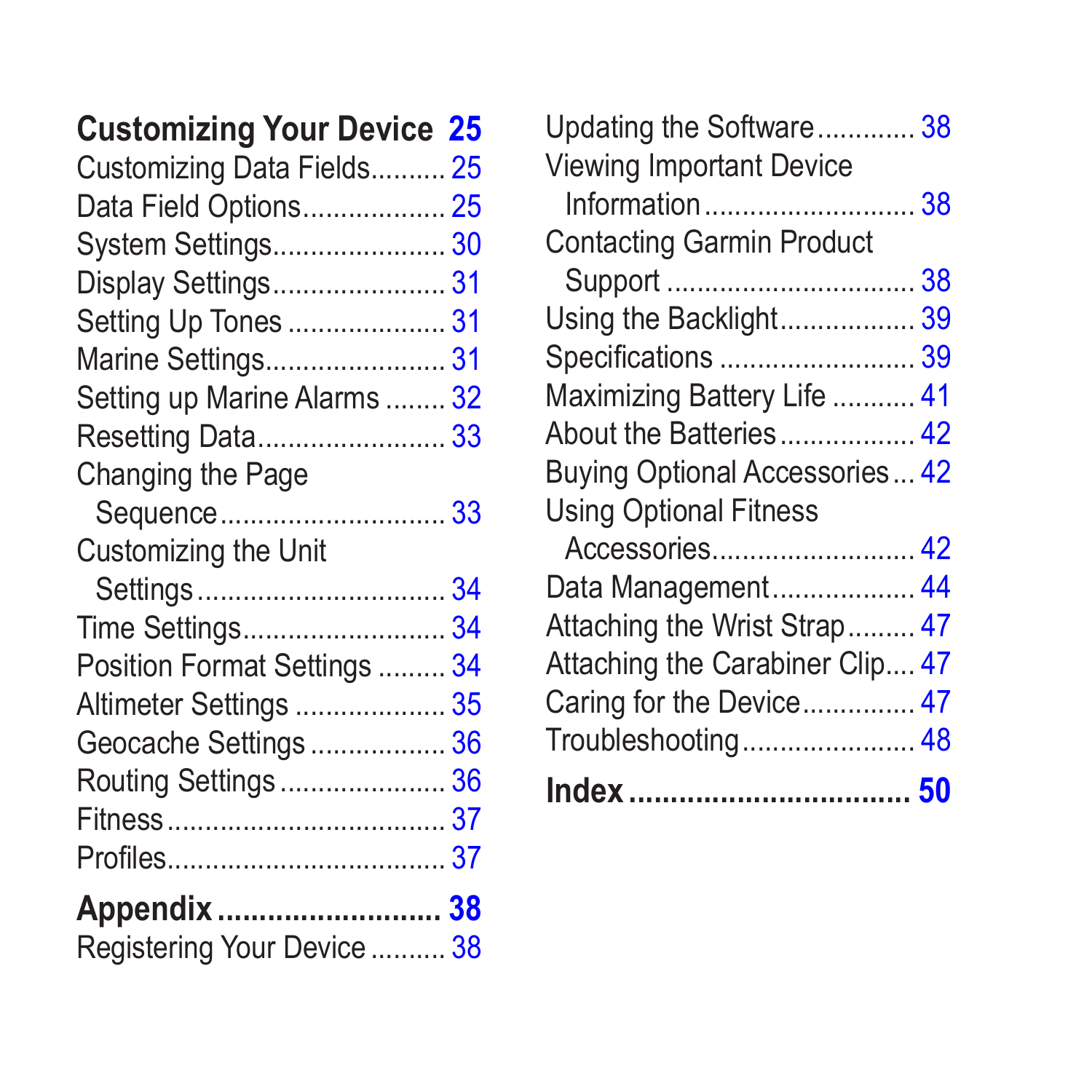### **[Customizing Your Device](#page-28-0) 25**

| Customizing Data Fields 25   |  |
|------------------------------|--|
| Data Field Options 25        |  |
| System Settings 30           |  |
| Display Settings 31          |  |
| Setting Up Tones  31         |  |
| Marine Settings 31           |  |
| Setting up Marine Alarms  32 |  |
| Resetting Data 33            |  |
| Changing the Page            |  |
|                              |  |
| Customizing the Unit         |  |
|                              |  |
| Time Settings34              |  |
| Position Format Settings  34 |  |
| Altimeter Settings  35       |  |
| Geocache Settings 36         |  |
| Routing Settings  36         |  |
|                              |  |
|                              |  |
| Appendix  38                 |  |
| Registering Your Device  38  |  |
|                              |  |

| Updating the Software 38        |
|---------------------------------|
|                                 |
| Information38                   |
|                                 |
|                                 |
| Using the Backlight 39          |
| Specifications  39              |
| Maximizing Battery Life  41     |
| About the Batteries 42          |
| Buying Optional Accessories 42  |
|                                 |
|                                 |
| Data Management 44              |
| Attaching the Wrist Strap 47    |
| Attaching the Carabiner Clip 47 |
| Caring for the Device 47        |
| Troubleshooting 48              |
|                                 |
|                                 |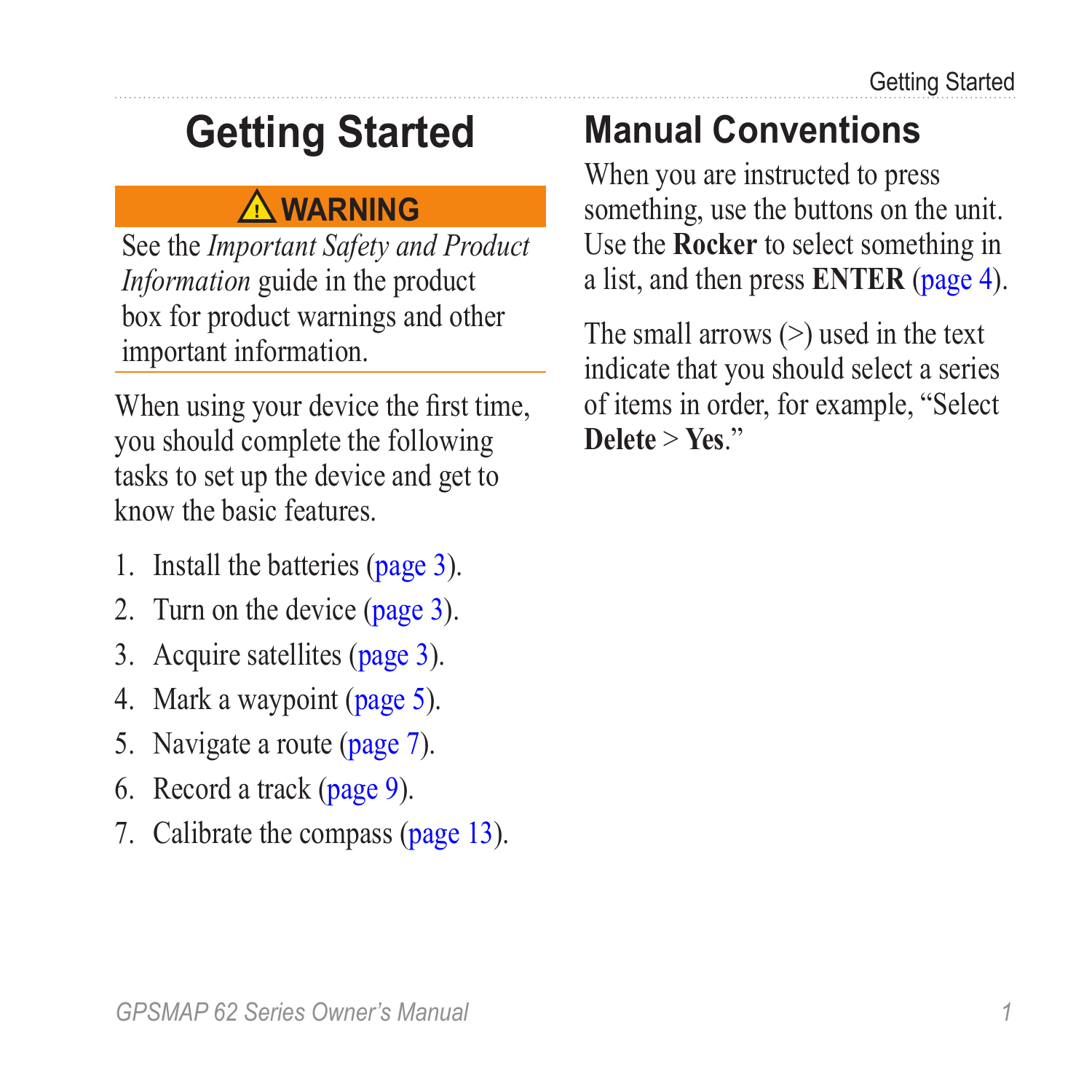# <span id="page-4-0"></span>**Getting Started**

### **warning**

See the *Important Safety and Product Information* guide in the product box for product warnings and other important information.

When using your device the first time, you should complete the following tasks to set up the device and get to know the basic features.

- 1. Install the batteries ([page 3](#page-6-1)).
- 2. Turn on the device ([page 3](#page-6-2)).
- 3. Acquire satellites [\(page 3\)](#page-6-3).
- 4. Mark a waypoint [\(page 5](#page-8-1)).
- 5. Navigate a route [\(page 7\)](#page-10-0).
- 6. Record a track ([page 9\)](#page-12-1).
- 7. Calibrate the compass [\(page 13\)](#page-16-1).

# **Manual Conventions**

When you are instructed to press something, use the buttons on the unit. Use the **Rocker** to select something in a list, and then press **ENTER** ([page 4\)](#page-7-1).

The small arrows (>) used in the text indicate that you should select a series of items in order, for example, "Select **Delete** > **Yes**."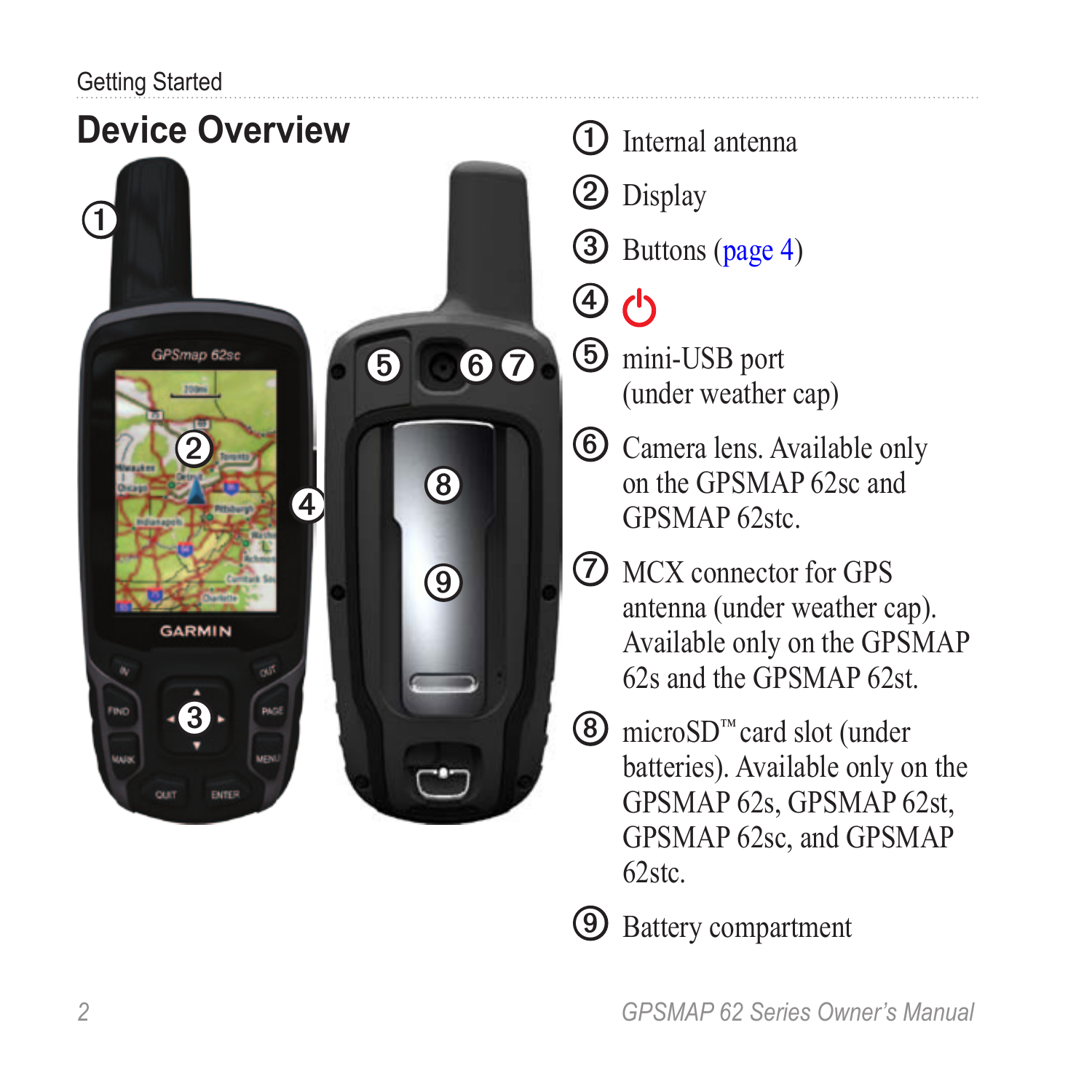#### <span id="page-5-0"></span>Getting Started



- ➊ Internal antenna
- ➋ Display
- ➌ Buttons [\(page 4\)](#page-7-1)
- ➍  $\mathcal{L}$
- ➎ mini-USB port (under weather cap)
- ➏ Camera lens. Available only on the GPSMAP 62sc and GPSMAP 62stc.
- ➐ MCX connector for GPS antenna (under weather cap). Available only on the GPSMAP 62s and the GPSMAP 62st.
- ➑ microSD™ card slot (under batteries). Available only on the GPSMAP 62s, GPSMAP 62st, GPSMAP 62sc, and GPSMAP 62stc.
- ➒ Battery compartment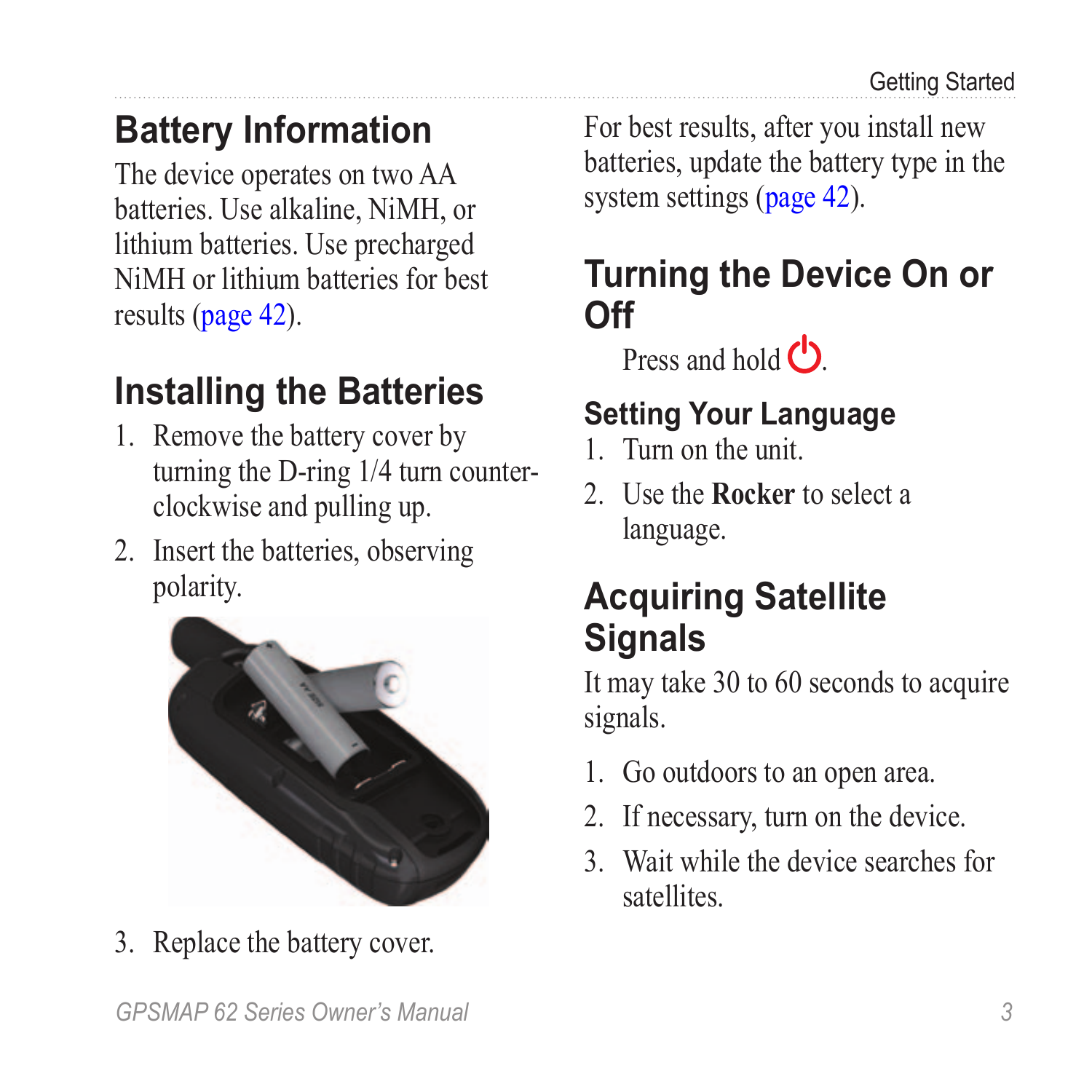## <span id="page-6-0"></span>**Battery Information**

The device operates on two AA batteries. Use alkaline, NiMH, or lithium batteries. Use precharged NiMH or lithium batteries for best results [\(page 42\)](#page-45-1).

### <span id="page-6-1"></span>**Installing the Batteries**

- 1. Remove the battery cover by turning the D-ring 1/4 turn counterclockwise and pulling up.
- 2. Insert the batteries, observing polarity.



3. Replace the battery cover.

For best results, after you install new batteries, update the battery type in the system settings ([page 42](#page-45-2)).

### <span id="page-6-2"></span>**Turning the Device On or Off**

Press and hold  $\binom{1}{2}$ 

### **Setting Your Language**

- 1. Turn on the unit.
- 2. Use the **Rocker** to select a language.

### <span id="page-6-3"></span>**Acquiring Satellite Signals**

It may take 30 to 60 seconds to acquire signals.

- 1. Go outdoors to an open area.
- 2. If necessary, turn on the device.
- 3. Wait while the device searches for satellites.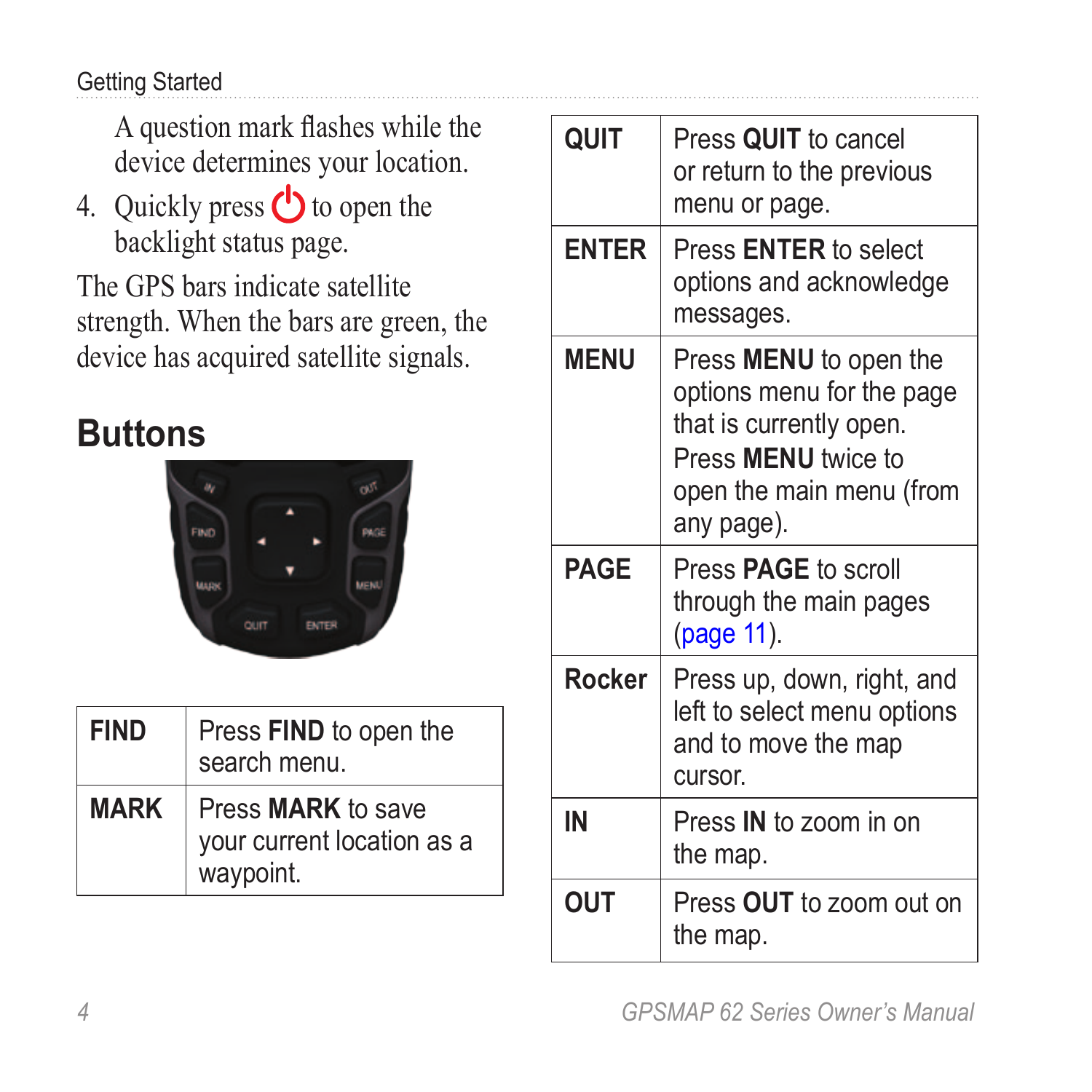#### <span id="page-7-0"></span>Getting Started

A question mark flashes while the device determines your location.

4. Quickly press  $\bigcirc$  to open the backlight status page.

The GPS bars indicate satellite strength. When the bars are green, the device has acquired satellite signals.

## <span id="page-7-1"></span>**Buttons**



| FIND        | Press FIND to open the<br>search menu.                        |
|-------------|---------------------------------------------------------------|
| <b>MARK</b> | Press MARK to save<br>your current location as a<br>waypoint. |

| QUIT         | Press QUIT to cancel<br>or return to the previous<br>menu or page.                                                                                            |
|--------------|---------------------------------------------------------------------------------------------------------------------------------------------------------------|
| <b>ENTER</b> | Press <b>ENTER</b> to select<br>options and acknowledge<br>messages.                                                                                          |
| <b>MFNU</b>  | Press <b>MENU</b> to open the<br>options menu for the page<br>that is currently open.<br>Press <b>MENU</b> twice to<br>open the main menu (from<br>any page). |
| <b>PAGE</b>  | Press PAGE to scroll<br>through the main pages<br>(page 11).                                                                                                  |
| Rocker       | Press up, down, right, and<br>left to select menu options<br>and to move the map<br><b>CULSOL</b>                                                             |
| IN           | Press IN to zoom in on<br>the map.                                                                                                                            |
| OUT          | Press OUT to zoom out on<br>the map.                                                                                                                          |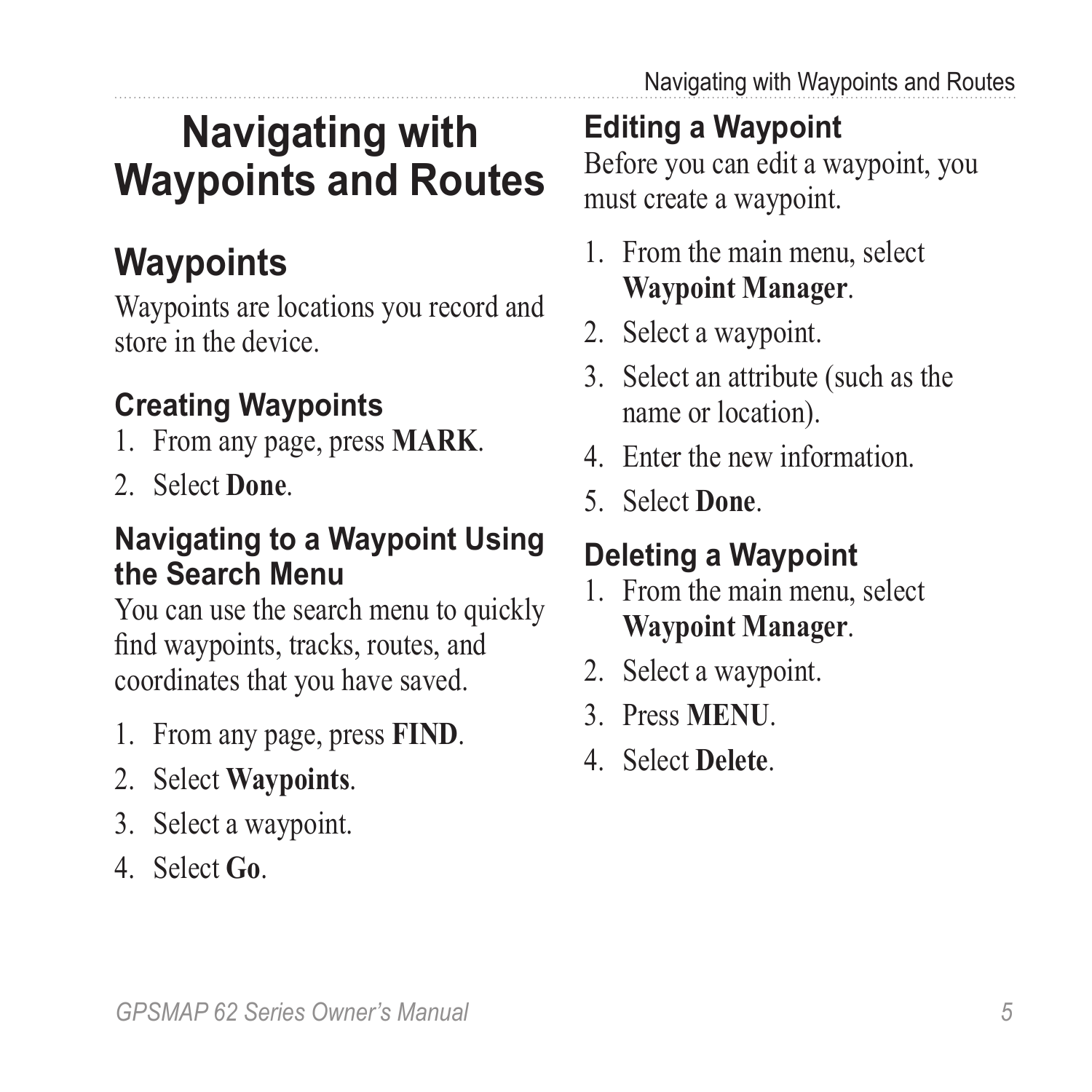# <span id="page-8-0"></span>**Navigating with Waypoints and Routes**

## **Waypoints**

Waypoints are locations you record and store in the device.

### <span id="page-8-1"></span>**Creating Waypoints**

- 1. From any page, press **MARK**.
- 2. Select **Done**.

#### **Navigating to a Waypoint Using the Search Menu**

You can use the search menu to quickly find waypoints, tracks, routes, and coordinates that you have saved.

- 1. From any page, press **FIND**.
- 2. Select **Waypoints**.
- 3. Select a waypoint.
- 4. Select **Go**.

### **Editing a Waypoint**

Before you can edit a waypoint, you must create a waypoint.

- 1. From the main menu, select **Waypoint Manager**.
- 2. Select a waypoint.
- 3. Select an attribute (such as the name or location).
- 4. Enter the new information.
- 5. Select **Done**.

### **Deleting a Waypoint**

- 1. From the main menu, select **Waypoint Manager**.
- 2. Select a waypoint.
- 3. Press **Menu**.
- 4. Select **Delete**.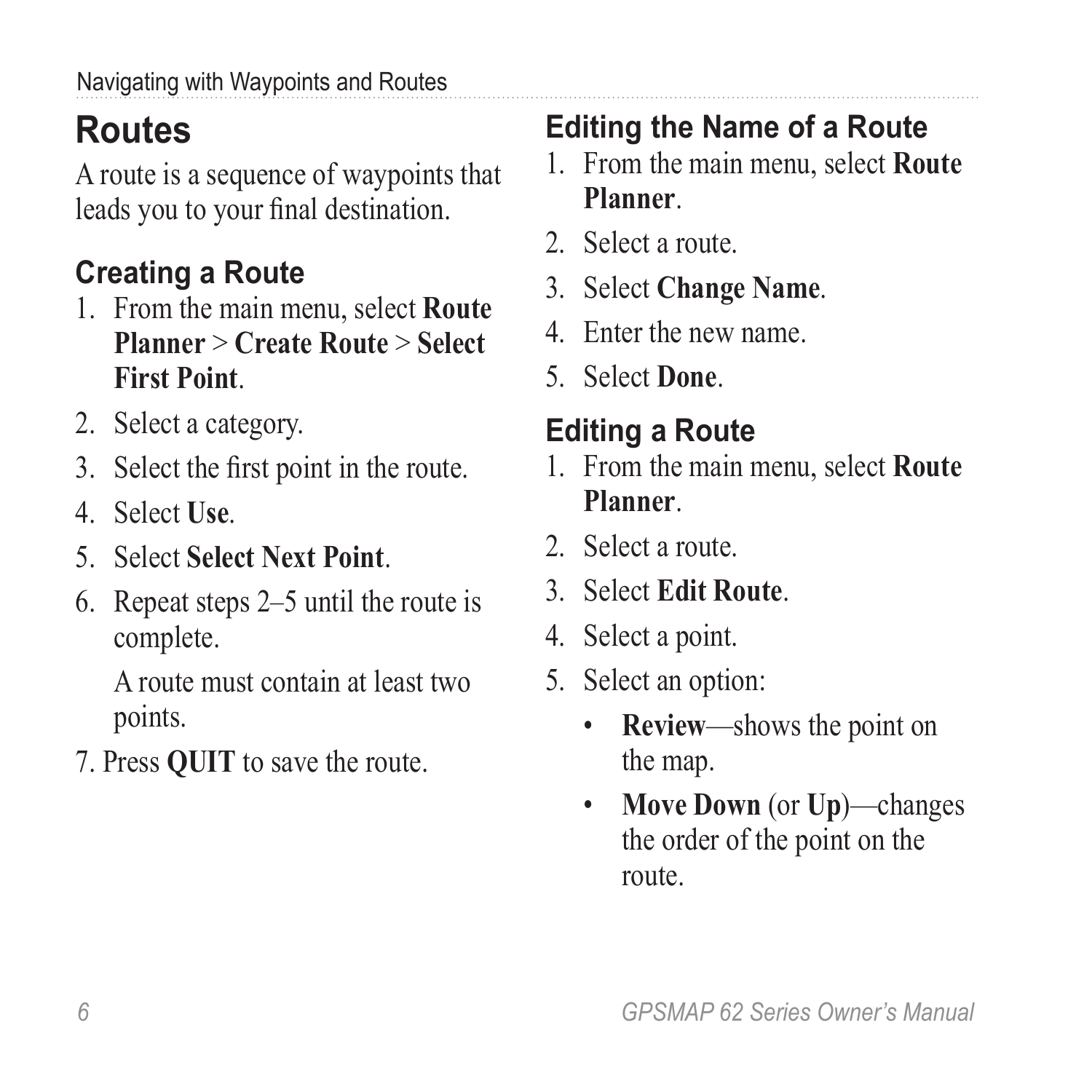# <span id="page-9-0"></span>**Routes**

A route is a sequence of waypoints that leads you to your final destination.

## **Creating a Route**

- 1. From the main menu, select **Route Planner** > **Create Route** > **Select First Point**.
- 2. Select a category.
- 3. Select the first point in the route.
- 4. Select **Use**.
- 5. Select **Select Next Point**.
- 6. Repeat steps 2–5 until the route is complete.

A route must contain at least two points.

7. Press **quit** to save the route.

### **Editing the Name of a Route**

- 1. From the main menu, select **Route Planner**.
- 2. Select a route.
- 3. Select **Change Name**.
- 4. Enter the new name.
- 5. Select **Done**.

### **Editing a Route**

- 1. From the main menu, select **Route Planner**.
- 2. Select a route.
- 3. Select **Edit Route**.
- 4. Select a point.
- 5. Select an option:
	- **Review**—shows the point on the map.
	- **Move Down** (or **Up**)—changes the order of the point on the route.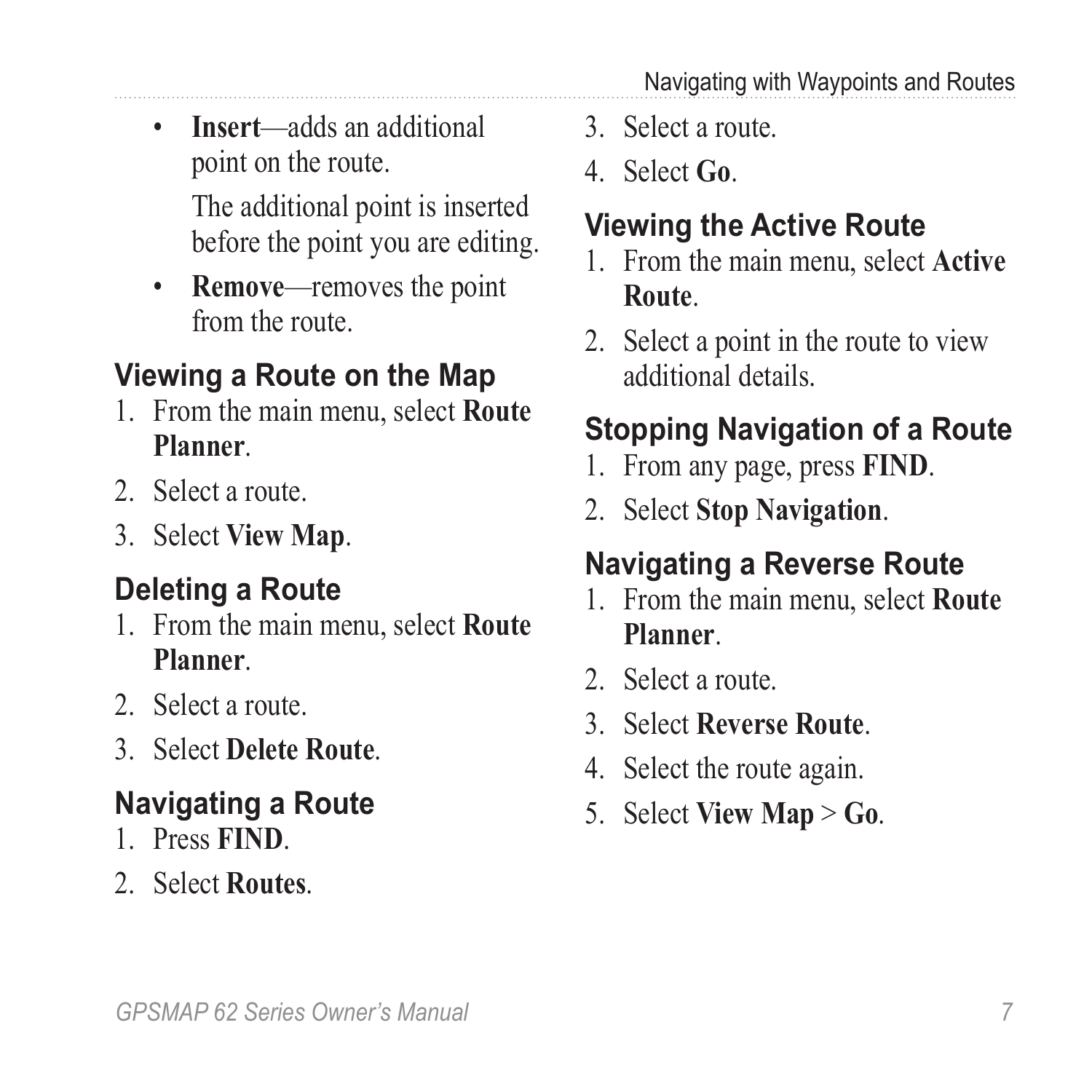<span id="page-10-1"></span>• **Insert**—adds an additional point on the route.

> The additional point is inserted before the point you are editing.

• **Remove**—removes the point from the route.

### **Viewing a Route on the Map**

- 1. From the main menu, select **Route Planner**.
- 2. Select a route.
- 3. Select **View Map**.

### **Deleting a Route**

- 1. From the main menu, select **Route Planner**.
- 2. Select a route.
- 3. Select **Delete Route**.

### <span id="page-10-0"></span>**Navigating a Route**

- 1. Press **FIND**.
- 2. Select **Routes**.
- 3. Select a route.
- 4. Select **Go**.

### **Viewing the Active Route**

- 1. From the main menu, select **Active Route**.
- 2. Select a point in the route to view additional details.

### **Stopping Navigation of a Route**

- 1. From any page, press **FIND**.
- 2. Select **Stop Navigation**.

### **Navigating a Reverse Route**

- 1. From the main menu, select **Route Planner**.
- 2. Select a route.
- 3. Select **Reverse Route**.
- 4. Select the route again.
- 5. Select **View Map** > **Go**.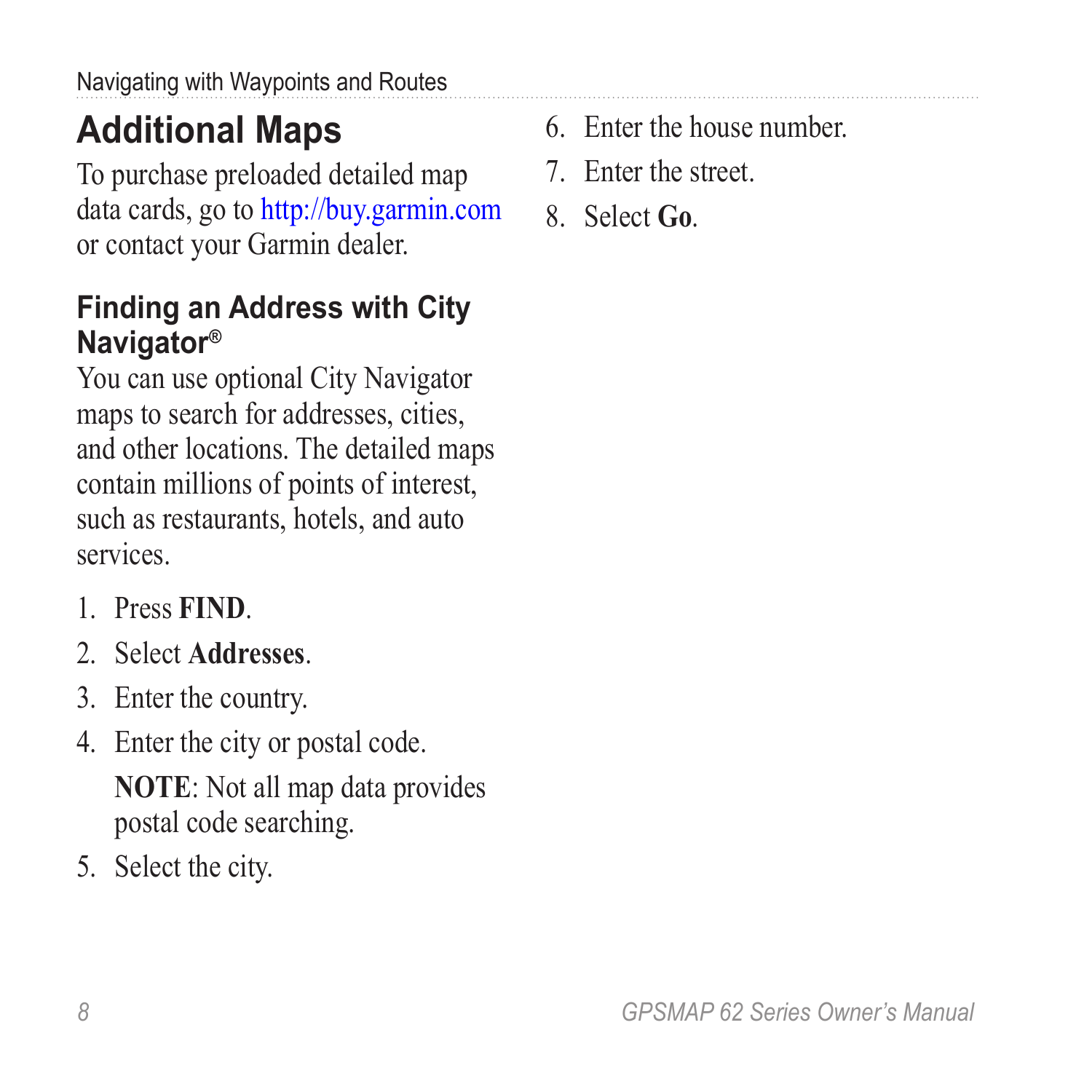# <span id="page-11-0"></span>**Additional Maps**

To purchase preloaded detailed map data cards, go to <http://buy.garmin.com> or contact your Garmin dealer.

### **Finding an Address with City Navigator®**

You can use optional City Navigator maps to search for addresses, cities, and other locations. The detailed maps contain millions of points of interest, such as restaurants, hotels, and auto services.

- 1. Press **FIND**.
- 2. Select **Addresses**.
- 3. Enter the country.
- 4. Enter the city or postal code.

**NOTE**: Not all map data provides postal code searching.

5. Select the city.

- 6. Enter the house number.
- 7. Enter the street.
- 8. Select **Go**.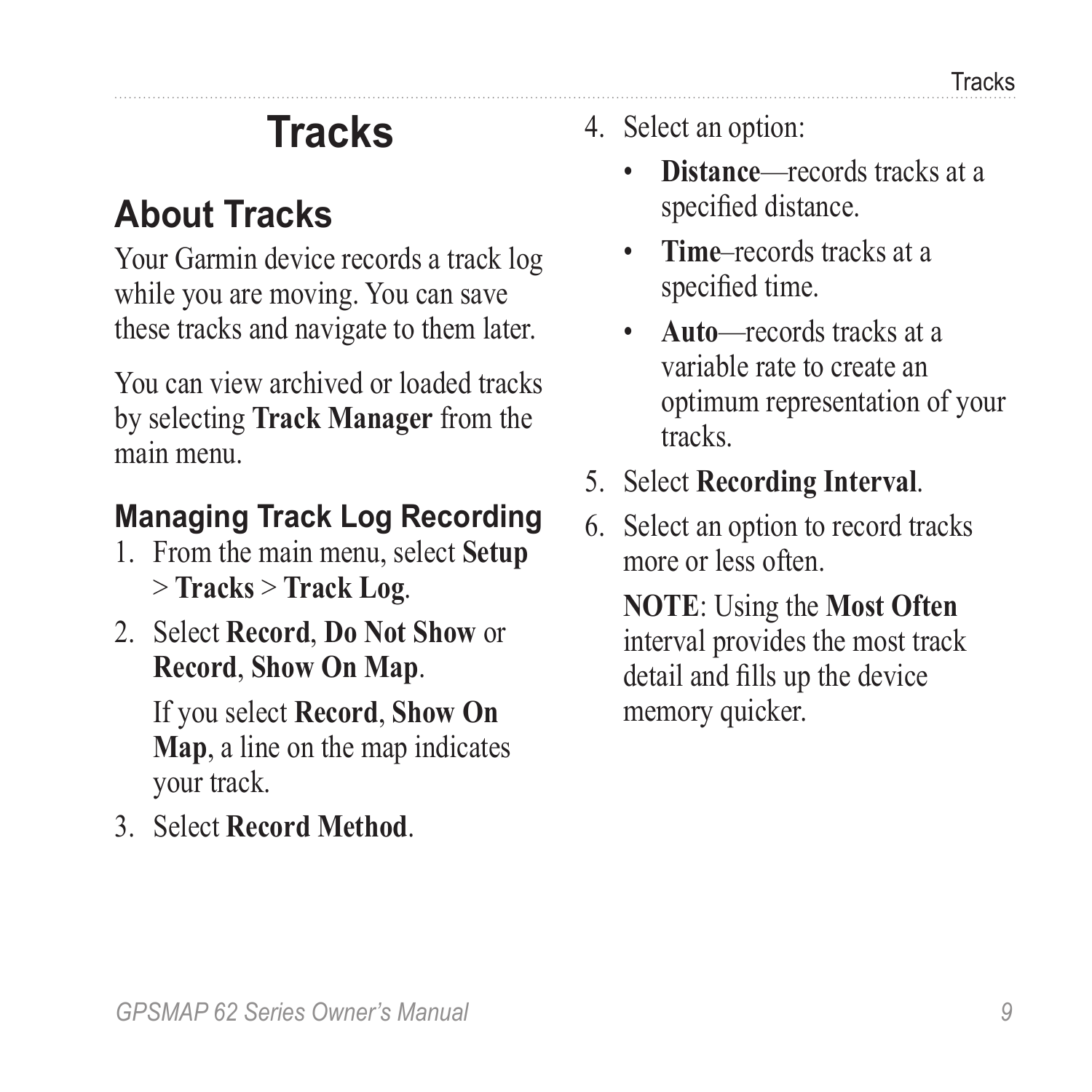# **Tracks**

### <span id="page-12-1"></span><span id="page-12-0"></span>**About Tracks**

Your Garmin device records a track log while you are moving. You can save these tracks and navigate to them later.

You can view archived or loaded tracks by selecting **Track Manager** from the main menu.

#### **Managing Track Log Recording**

- 1. From the main menu, select **Setup**  > **Tracks** > **Track Log**.
- 2. Select **Record**, **Do Not Show** or **Record**, **Show On Map**.

If you select **Record**, **Show On Map**, a line on the map indicates your track.

3. Select **Record Method**.

- 4. Select an option:
	- **Distance**—records tracks at a specified distance.
	- **Time**–records tracks at a specified time.
	- **Auto**—records tracks at a variable rate to create an optimum representation of your tracks.
- 5. Select **Recording Interval**.
- 6. Select an option to record tracks more or less often.

**NOTE**: Using the **Most Often** interval provides the most track detail and fills up the device memory quicker.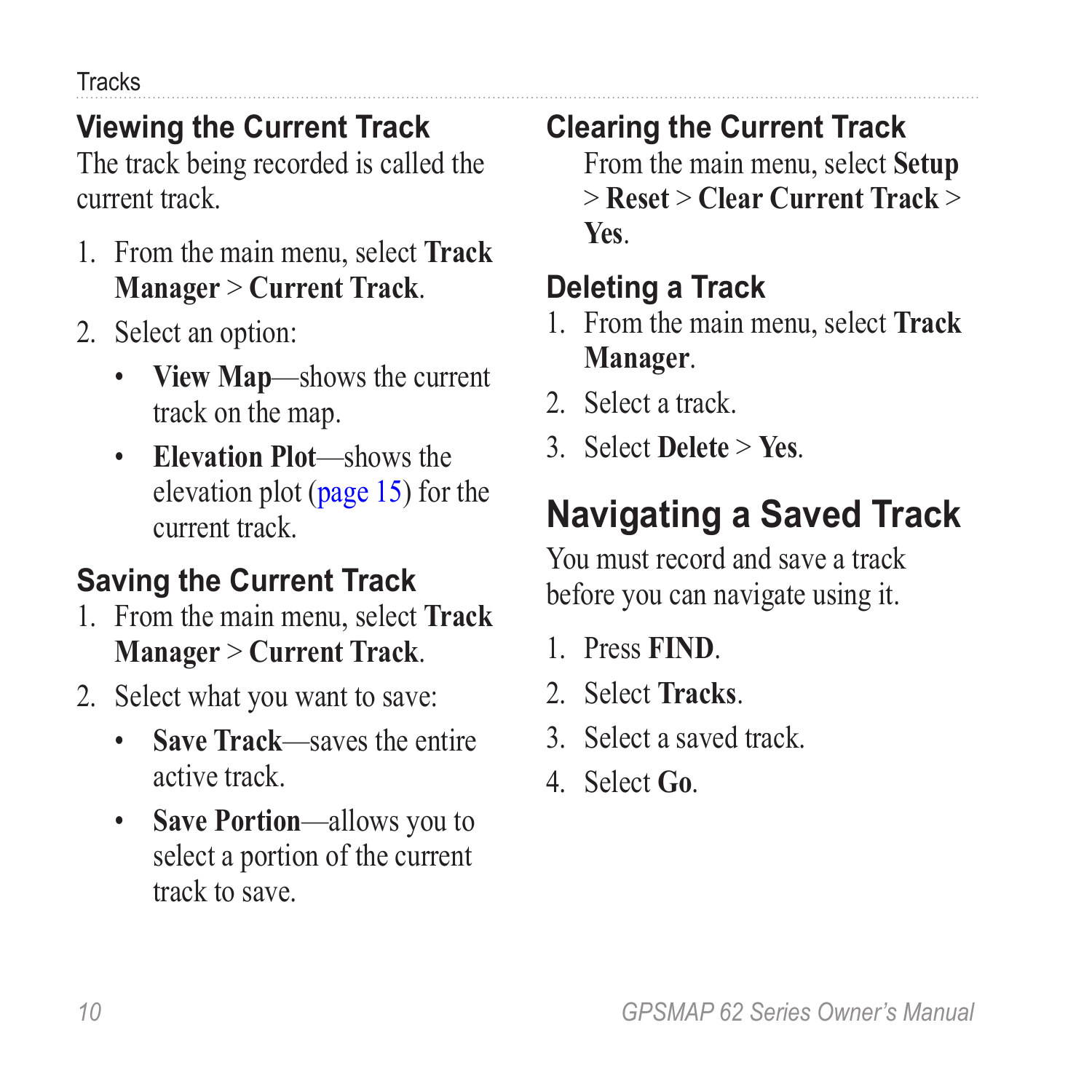<span id="page-13-0"></span>**Tracks** 

### **Viewing the Current Track**

The track being recorded is called the current track.

- 1. From the main menu, select **Track Manager** > **Current Track**.
- 2. Select an option:
	- **View Map**—shows the current track on the map.
	- **Elevation Plot**—shows the elevation plot [\(page 15](#page-18-1)) for the current track.

### **Saving the Current Track**

- 1. From the main menu, select **Track Manager** > **Current Track**.
- 2. Select what you want to save:
	- **Save Track**—saves the entire active track.
	- **Save Portion**—allows you to select a portion of the current track to save.

#### **Clearing the Current Track**

From the main menu, select **Setup** > **Reset** > **Clear Current Track** > **Yes**.

### **Deleting a Track**

- 1. From the main menu, select **Track Manager**.
- 2. Select a track.
- 3. Select **Delete** > **Yes**.

## **Navigating a Saved Track**

You must record and save a track before you can navigate using it.

- 1. Press **FIND**.
- 2. Select **Tracks**.
- 3. Select a saved track.
- 4. Select **Go**.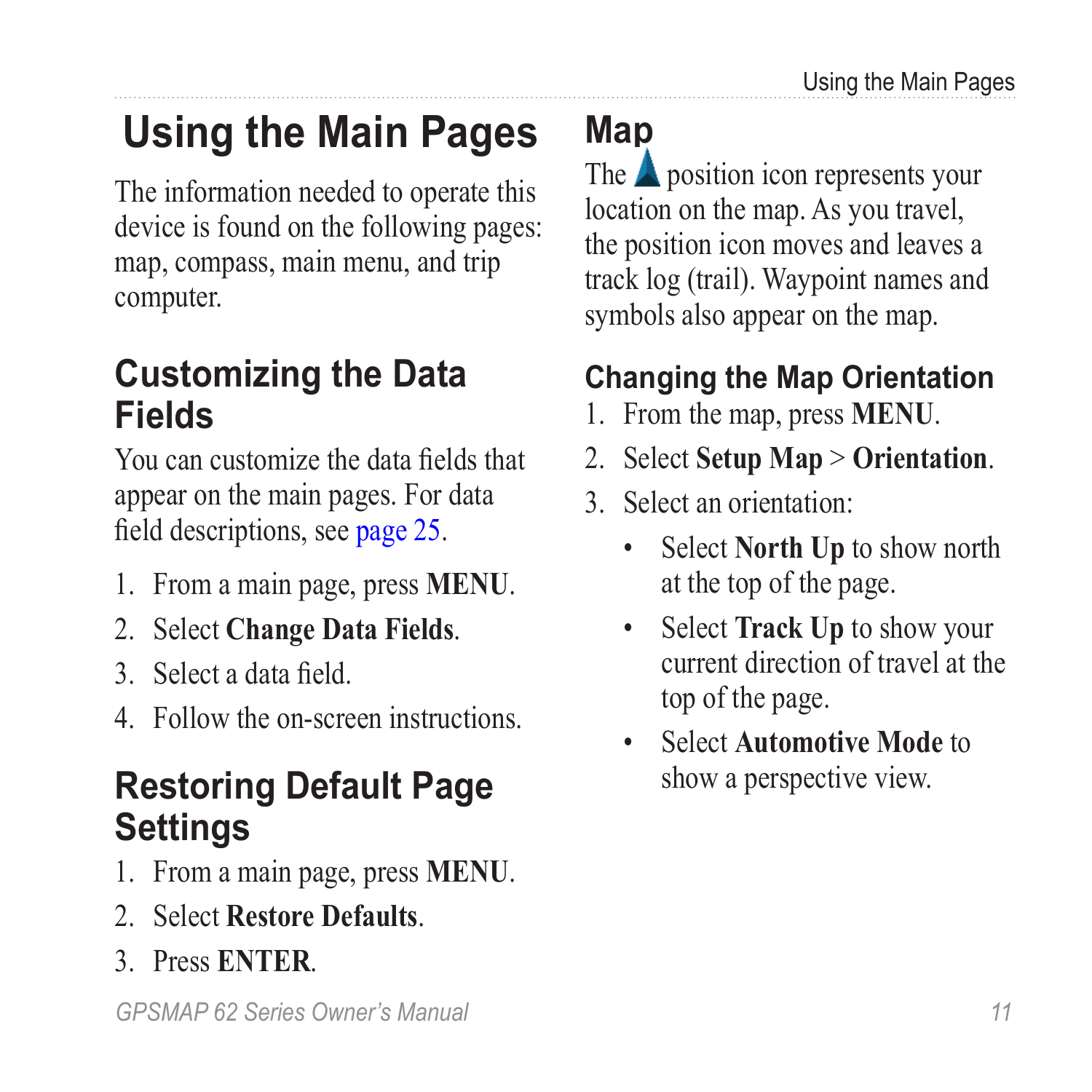# <span id="page-14-1"></span><span id="page-14-0"></span>**Using the Main Pages**

The information needed to operate this device is found on the following pages: map, compass, main menu, and trip computer.

### **Customizing the Data Fields**

You can customize the data fields that appear on the main pages. For data field descriptions, see [page 25](#page-28-1).

- 1. From a main page, press **meNu**.
- 2. Select **Change Data Fields**.
- 3. Select a data field.
- 4. Follow the on-screen instructions.

### **Restoring Default Page Settings**

- 1. From a main page, press **meNu**.
- 2. Select **Restore Defaults**.
- 3. Press **enter**.

*GPSMAP 62 Series Owner's Manual 11*

<span id="page-14-3"></span>**Map**

The  $\triangle$  position icon represents your location on the map. As you travel, the position icon moves and leaves a track log (trail). Waypoint names and symbols also appear on the map.

### <span id="page-14-2"></span>**Changing the Map Orientation**

- 1. From the map, press **MENU**.
- 2. Select **Setup Map** > **Orientation**.
- 3. Select an orientation:
	- Select **North Up** to show north at the top of the page.
	- Select **Track Up** to show your current direction of travel at the top of the page.
	- Select **Automotive Mode** to show a perspective view.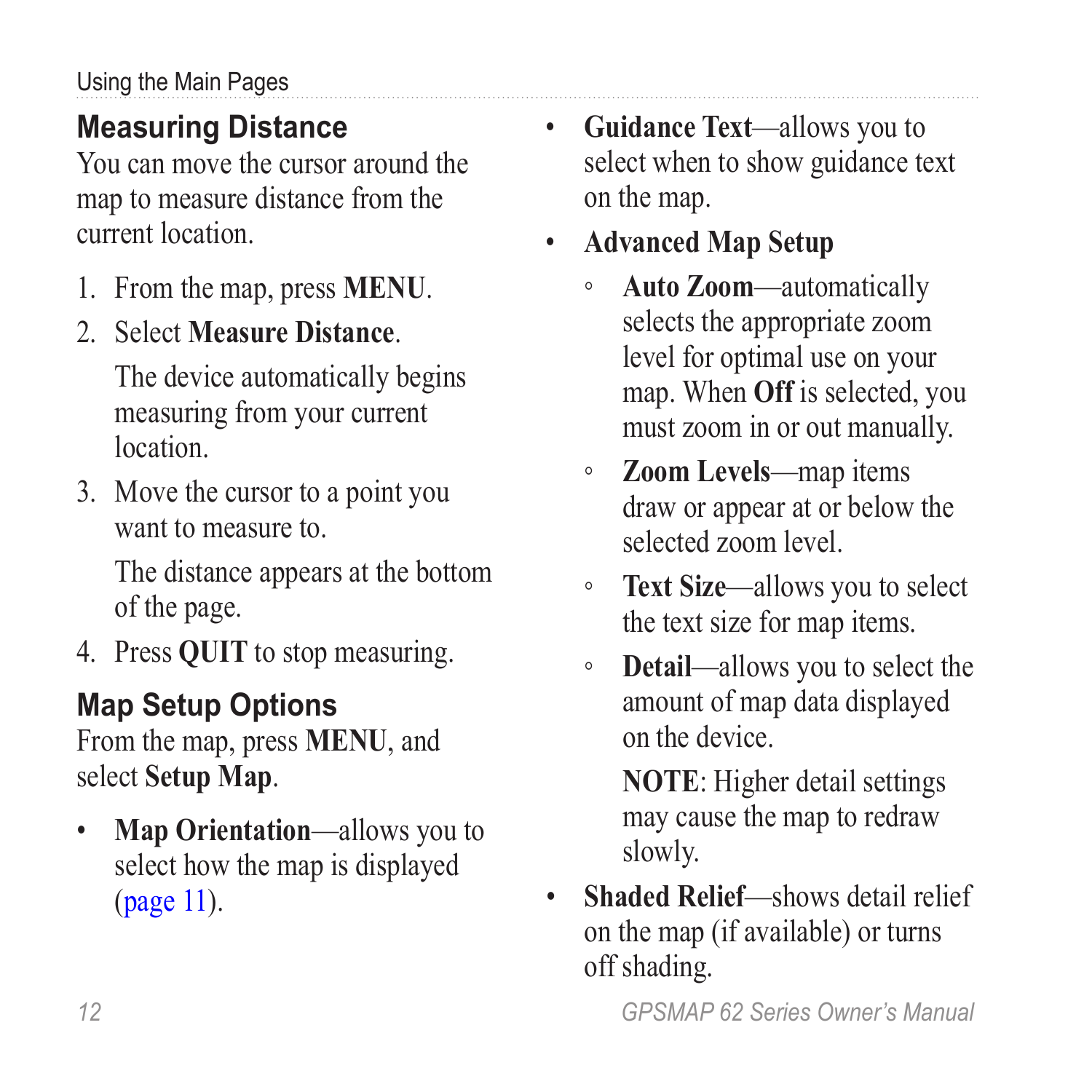### <span id="page-15-0"></span>**Measuring Distance**

You can move the cursor around the map to measure distance from the current location.

- 1. From the map, press **MENU**.
- 2. Select **Measure Distance**.

The device automatically begins measuring from your current location.

3. Move the cursor to a point you want to measure to.

> The distance appears at the bottom of the page.

4. Press **QUIT** to stop measuring.

### **Map Setup Options**

From the map, press **MENU**, and select **Setup Map**.

• **Map Orientation**—allows you to select how the map is displayed ([page 11](#page-14-2)).

- **Guidance Text**—allows you to select when to show guidance text on the map.
- **Advanced Map Setup**
	- **Auto Zoom**—automatically selects the appropriate zoom level for optimal use on your map. When **Off** is selected, you must zoom in or out manually.
	- **Zoom Levels**—map items draw or appear at or below the selected zoom level.
	- **Text Size**—allows you to select the text size for map items.
	- **Detail**—allows you to select the amount of map data displayed on the device.

**NOTE**: Higher detail settings may cause the map to redraw slowly.

• **Shaded Relief**—shows detail relief on the map (if available) or turns off shading.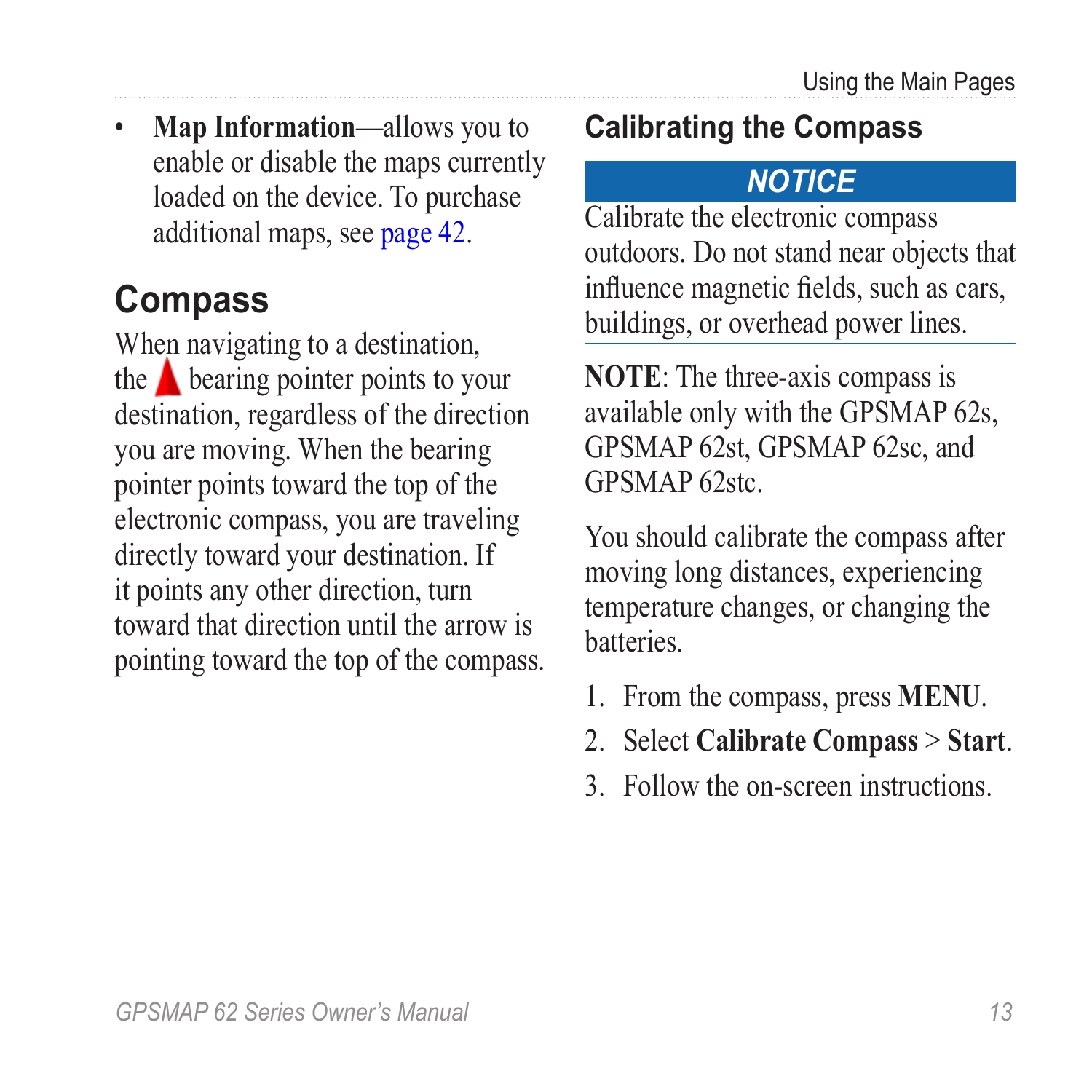<span id="page-16-0"></span>• **Map Information**—allows you to enable or disable the maps currently loaded on the device. To purchase additional maps, see [page 42.](#page-45-3)

### <span id="page-16-2"></span>**Compass**

When navigating to a destination, the  $\triangle$  bearing pointer points to your destination, regardless of the direction you are moving. When the bearing pointer points toward the top of the electronic compass, you are traveling directly toward your destination. If it points any other direction, turn toward that direction until the arrow is pointing toward the top of the compass.

#### <span id="page-16-1"></span>**Calibrating the Compass**

#### *notice*

Calibrate the electronic compass outdoors. Do not stand near objects that influence magnetic fields, such as cars, buildings, or overhead power lines.

**NOTE**: The three-axis compass is available only with the GPSMAP 62s, GPSMAP 62st, GPSMAP 62sc, and GPSMAP 62stc.

You should calibrate the compass after moving long distances, experiencing temperature changes, or changing the batteries.

- 1. From the compass, press **MENU**.
- 2. Select **Calibrate Compass** > **Start**.
- 3. Follow the on-screen instructions.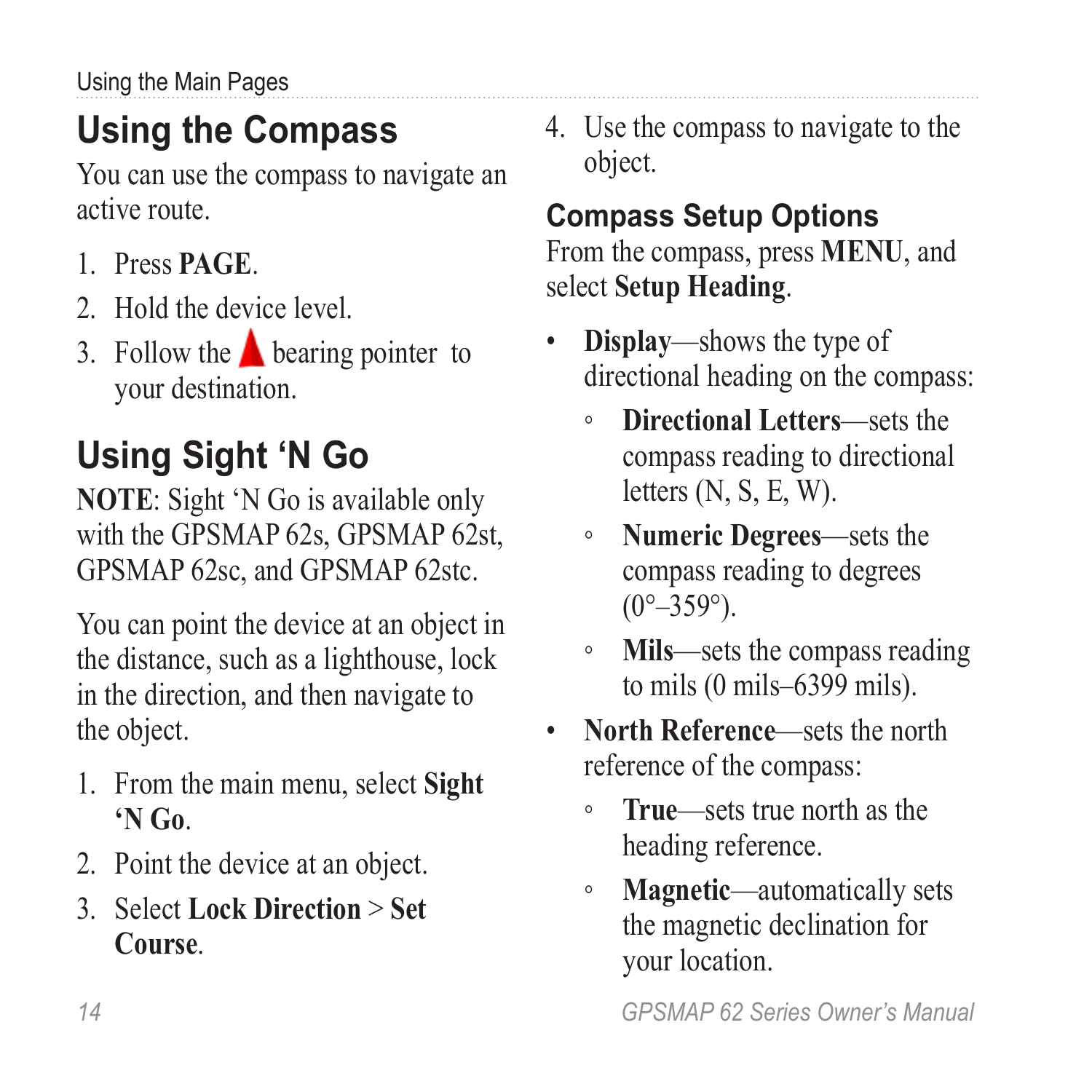# <span id="page-17-0"></span>**Using the Compass**

You can use the compass to navigate an active route.

- 1. Press **page**.
- 2. Hold the device level.
- 3. Follow the  $\triangle$  bearing pointer to your destination.

# **Using Sight 'N Go**

**NOTE**: Sight 'N Go is available only with the GPSMAP 62s, GPSMAP 62st, GPSMAP 62sc, and GPSMAP 62stc.

You can point the device at an object in the distance, such as a lighthouse, lock in the direction, and then navigate to the object.

- 1. From the main menu, select **Sight 'N Go**.
- 2. Point the device at an object.
- 3. Select **Lock Direction** > **Set Course**.

4. Use the compass to navigate to the object.

#### **Compass Setup Options** From the compass, press **menu**, and select **Setup Heading**.

- **Display**—shows the type of directional heading on the compass:
	- **Directional Letters**—sets the compass reading to directional letters (N, S, E, W).
	- **Numeric Degrees**—sets the compass reading to degrees  $(0^{\circ}-359^{\circ})$ .
	- **Mils**—sets the compass reading to mils (0 mils–6399 mils).
- **North Reference**—sets the north reference of the compass:
	- **True**—sets true north as the heading reference.
	- **Magnetic**—automatically sets the magnetic declination for your location.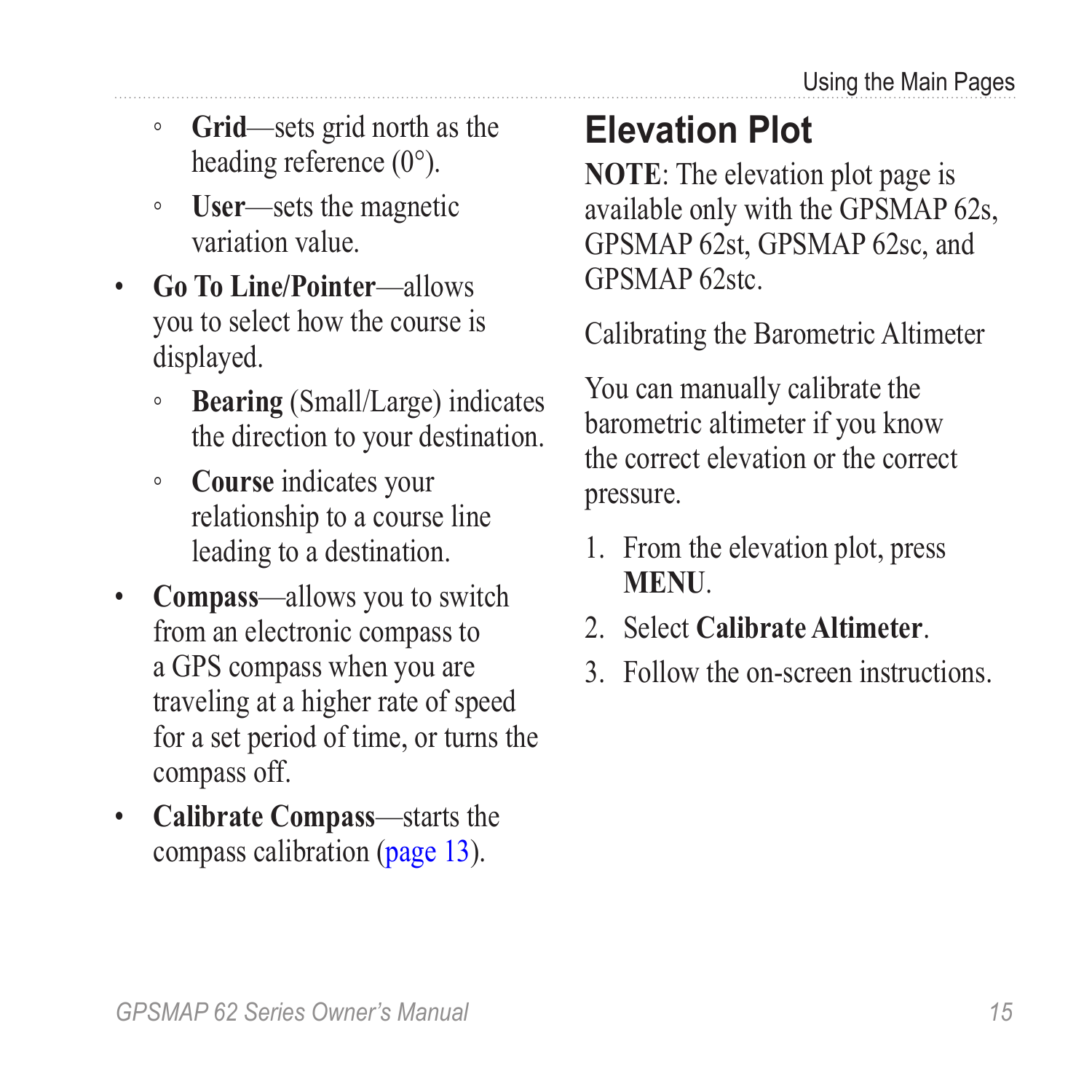- <span id="page-18-0"></span>◦ **Grid**—sets grid north as the heading reference (0°).
- **User**—sets the magnetic variation value.
- **Go To Line/Pointer**—allows you to select how the course is displayed.
	- **Bearing** (Small/Large) indicates the direction to your destination.
	- **Course** indicates your relationship to a course line leading to a destination.
- **Compass**—allows you to switch from an electronic compass to a GPS compass when you are traveling at a higher rate of speed for a set period of time, or turns the compass off.
- **Calibrate Compass**—starts the compass calibration ([page 13](#page-16-1)).

## <span id="page-18-1"></span>**Elevation Plot**

**NOTE**: The elevation plot page is available only with the GPSMAP 62s, GPSMAP 62st, GPSMAP 62sc, and GPSMAP 62stc.

<span id="page-18-2"></span>Calibrating the Barometric Altimeter

You can manually calibrate the barometric altimeter if you know the correct elevation or the correct pressure.

- 1. From the elevation plot, press **menu**.
- 2. Select **Calibrate Altimeter**.
- 3. Follow the on-screen instructions.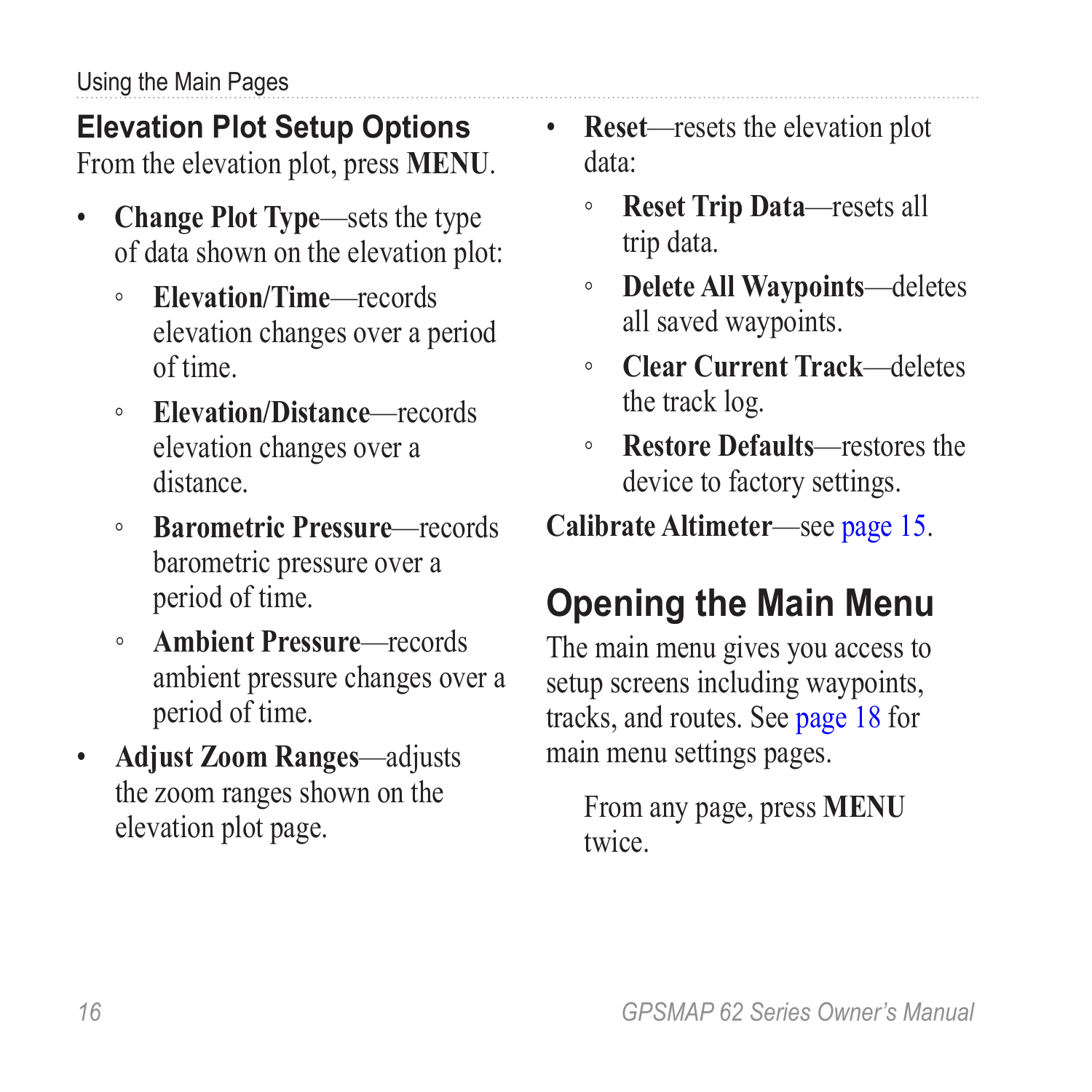### <span id="page-19-0"></span>**Elevation Plot Setup Options**

From the elevation plot, press **menu**.

- **Change Plot Type**—sets the type of data shown on the elevation plot:
	- **Elevation/Time**—records elevation changes over a period of time.
	- **Elevation/Distance**—records elevation changes over a distance.
	- **Barometric Pressure**—records barometric pressure over a period of time.
	- **Ambient Pressure**—records ambient pressure changes over a period of time.
- **Adjust Zoom Ranges**—adjusts the zoom ranges shown on the elevation plot page.
- **Reset**—resets the elevation plot data:
	- **Reset Trip Data**—resets all trip data.
	- **Delete All Waypoints**—deletes all saved waypoints.
	- **Clear Current Track**—deletes the track log.
	- **Restore Defaults**—restores the device to factory settings.

**Calibrate Altimeter**—see [page 15](#page-18-2).

# **Opening the Main Menu**

The main menu gives you access to setup screens including waypoints, tracks, and routes. See [page 18](#page-21-1) for main menu settings pages.

From any page, press **MENU** twice.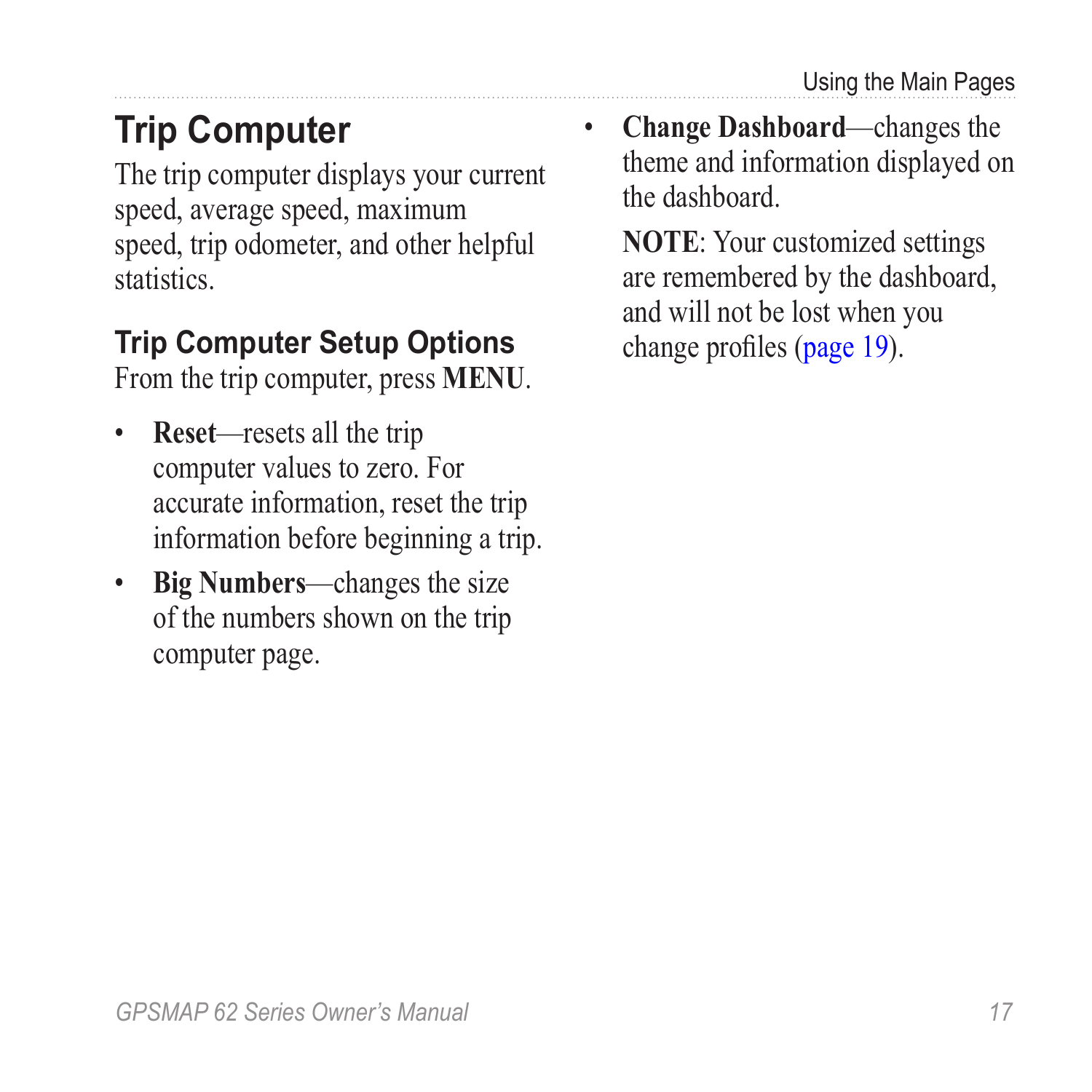## <span id="page-20-0"></span>**Trip Computer**

The trip computer displays your current speed, average speed, maximum speed, trip odometer, and other helpful statistics.

### **Trip Computer Setup Options**

From the trip computer, press **menu**.

- **Reset**—resets all the trip computer values to zero. For accurate information, reset the trip information before beginning a trip.
- **Big Numbers**—changes the size of the numbers shown on the trip computer page.

• **Change Dashboard**—changes the theme and information displayed on the dashboard.

**NOTE**: Your customized settings are remembered by the dashboard, and will not be lost when you change profiles ([page 19](#page-22-1)).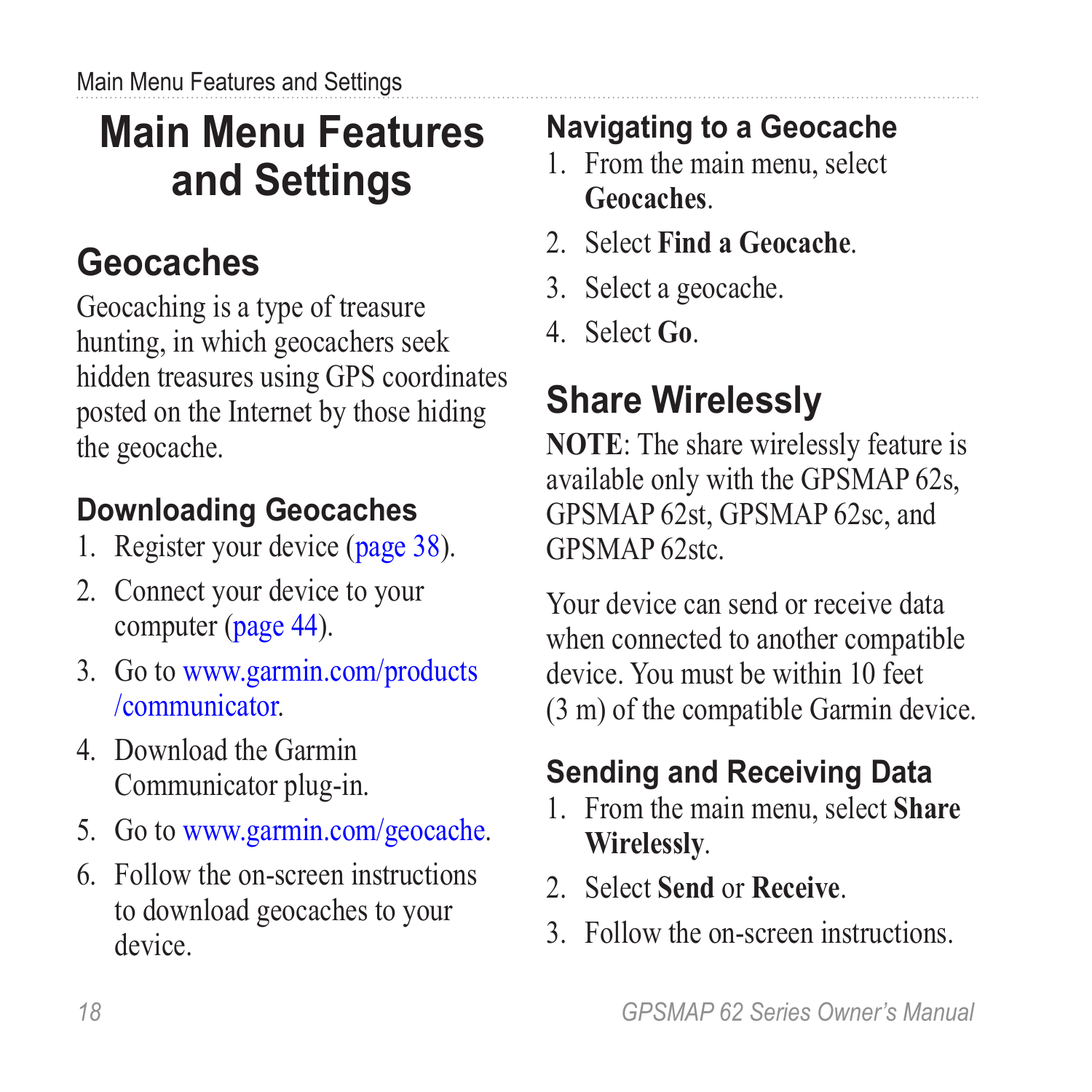# <span id="page-21-1"></span><span id="page-21-0"></span>**Main Menu Features and Settings**

## **Geocaches**

Geocaching is a type of treasure hunting, in which geocachers seek hidden treasures using GPS coordinates posted on the Internet by those hiding the geocache.

### **Downloading Geocaches**

- 1. Register your device [\(page 38\)](#page-41-1).
- 2. Connect your device to your computer [\(page 44\)](#page-47-1).
- 3. Go to [www.garmin.com/products](www.garmin.com/products/communicator) [/communicator.](www.garmin.com/products/communicator)
- 4. Download the Garmin Communicator plug-in.
- 5. Go to<www.garmin.com/geocache>.
- 6. Follow the on-screen instructions to download geocaches to your device.

### **Navigating to a Geocache**

- 1. From the main menu, select **Geocaches**.
- 2. Select **Find a Geocache**.
- 3. Select a geocache.
- 4. Select **Go**.

# **Share Wirelessly**

**NOTE**: The share wirelessly feature is available only with the GPSMAP 62s, GPSMAP 62st, GPSMAP 62sc, and GPSMAP 62stc.

Your device can send or receive data when connected to another compatible device. You must be within 10 feet (3 m) of the compatible Garmin device.

### **Sending and Receiving Data**

- 1. From the main menu, select **Share Wirelessly**.
- 2. Select **Send** or **Receive**.
- 3. Follow the on-screen instructions.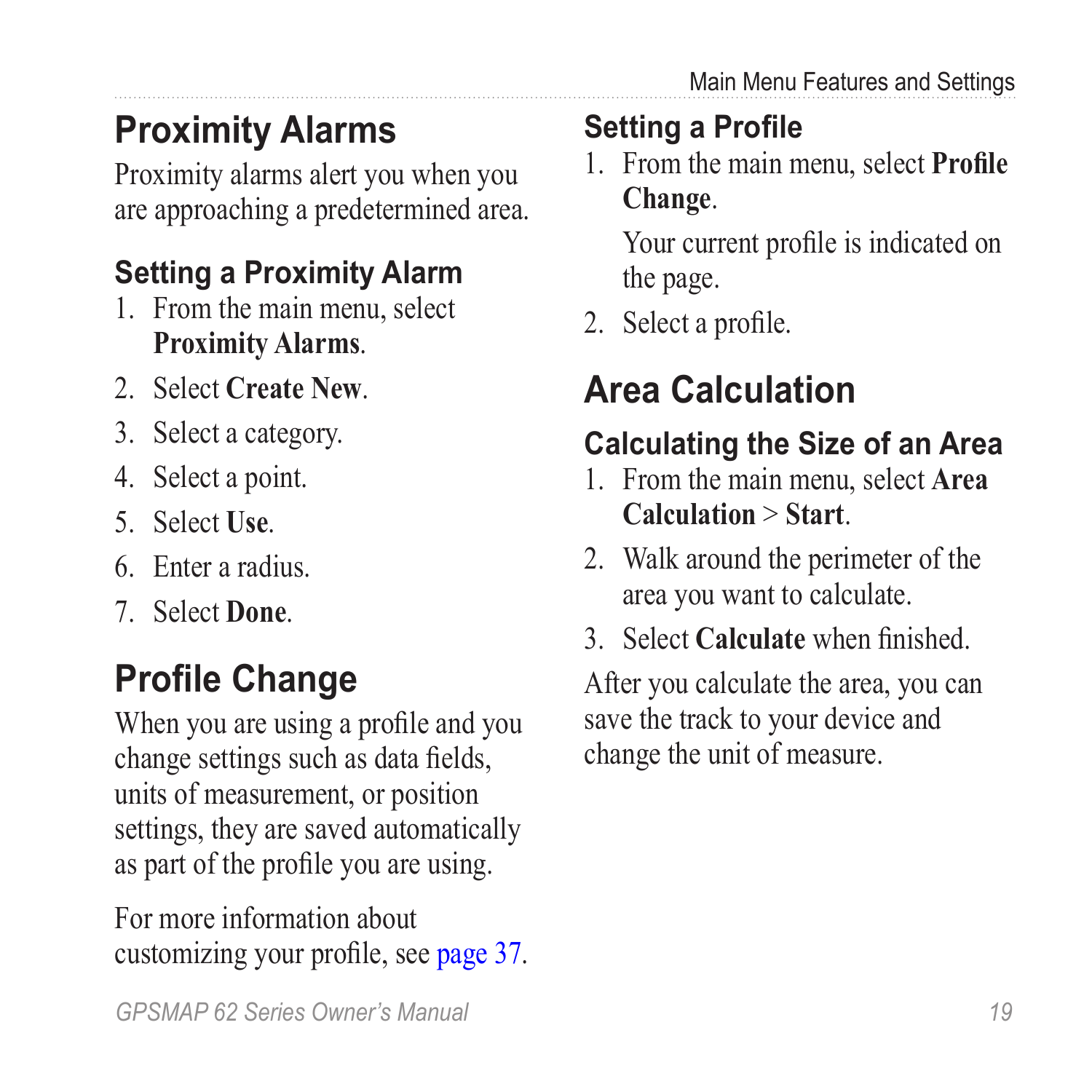## <span id="page-22-0"></span>**Proximity Alarms**

Proximity alarms alert you when you are approaching a predetermined area.

### **Setting a Proximity Alarm**

- 1. From the main menu, select **Proximity Alarms**.
- 2. Select **Create New**.
- 3. Select a category.
- 4. Select a point.
- 5. Select **Use**.
- 6. Enter a radius.
- 7. Select **Done**.

## <span id="page-22-1"></span>**Profile Change**

When you are using a profile and you change settings such as data fields, units of measurement, or position settings, they are saved automatically as part of the profile you are using.

For more information about customizing your profile, see [page 37](#page-40-1).

### **Setting a Profile**

1. From the main menu, select **Profile Change**.

Your current profile is indicated on the page.

2. Select a profile.

## **Area Calculation**

### **Calculating the Size of an Area**

- 1. From the main menu, select **Area Calculation** > **Start**.
- 2. Walk around the perimeter of the area you want to calculate.
- 3. Select **Calculate** when finished.

After you calculate the area, you can save the track to your device and change the unit of measure.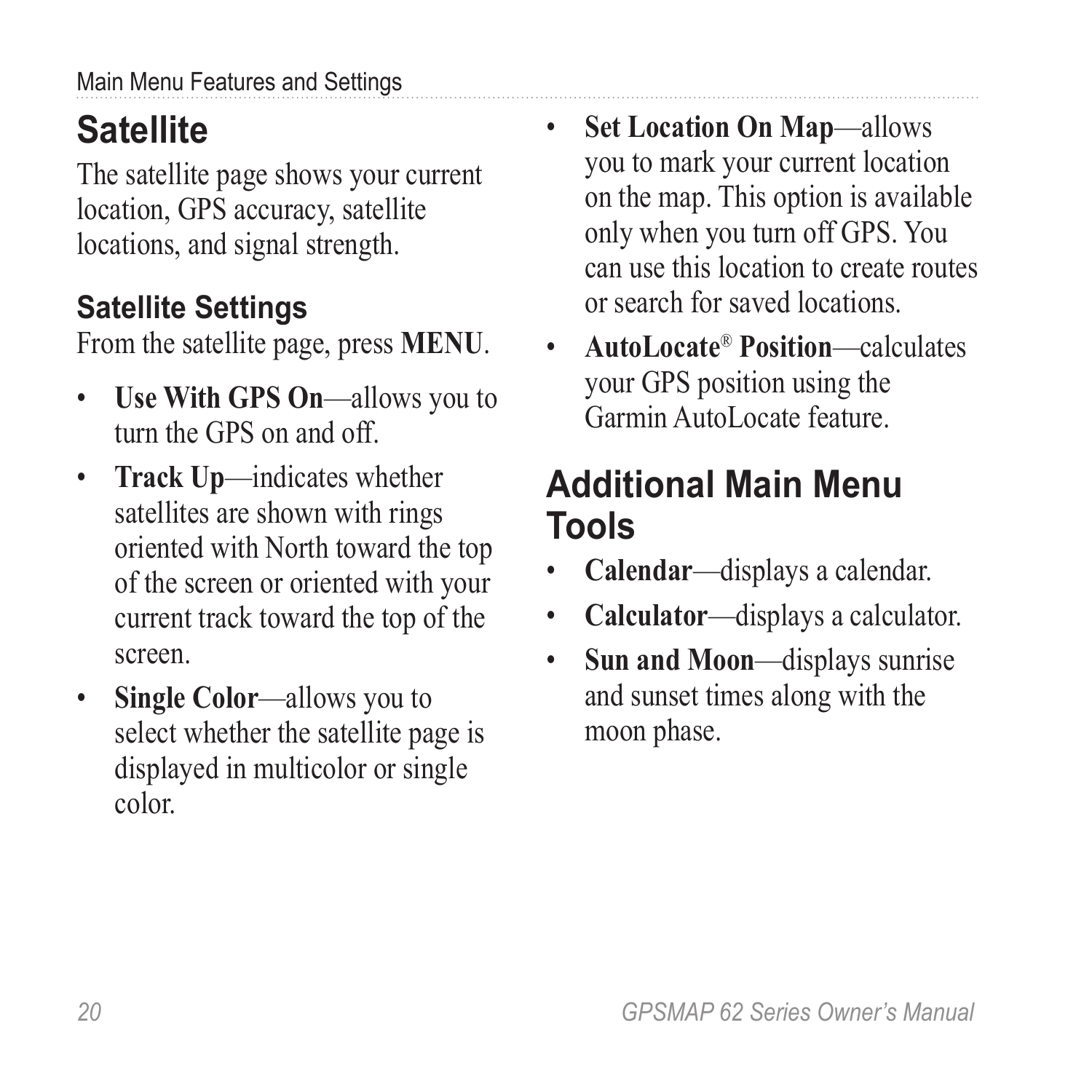## <span id="page-23-0"></span>**Satellite**

The satellite page shows your current location, GPS accuracy, satellite locations, and signal strength.

### **Satellite Settings**

From the satellite page, press **menu**.

- **Use With GPS On**—allows you to turn the GPS on and off.
- **Track Up**—indicates whether satellites are shown with rings oriented with North toward the top of the screen or oriented with your current track toward the top of the screen.
- **Single Color**—allows you to select whether the satellite page is displayed in multicolor or single color.
- **Set Location On Map**—allows you to mark your current location on the map. This option is available only when you turn off GPS. You can use this location to create routes or search for saved locations.
- **AutoLocate**® **Position**—calculates your GPS position using the Garmin AutoLocate feature.

### **Additional Main Menu Tools**

- **Calendar**—displays a calendar.
- **Calculator**—displays a calculator.
- **Sun and Moon**—displays sunrise and sunset times along with the moon phase.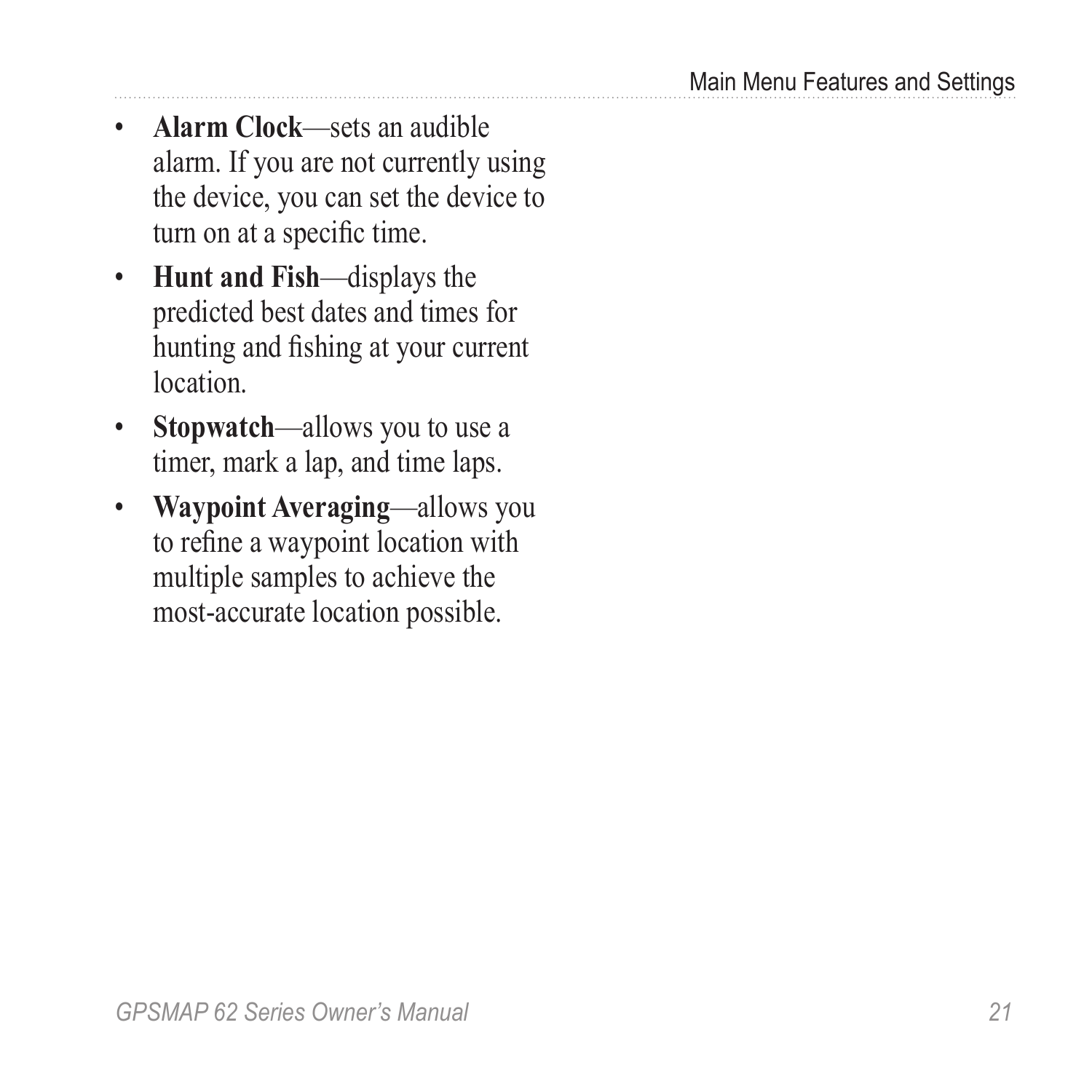- <span id="page-24-0"></span>• **Alarm Clock**—sets an audible alarm. If you are not currently using the device, you can set the device to turn on at a specific time.
- **Hunt and Fish**—displays the predicted best dates and times for hunting and fishing at your current **location**
- **Stopwatch**—allows you to use a timer, mark a lap, and time laps.
- **Waypoint Averaging**—allows you to refine a waypoint location with multiple samples to achieve the most-accurate location possible.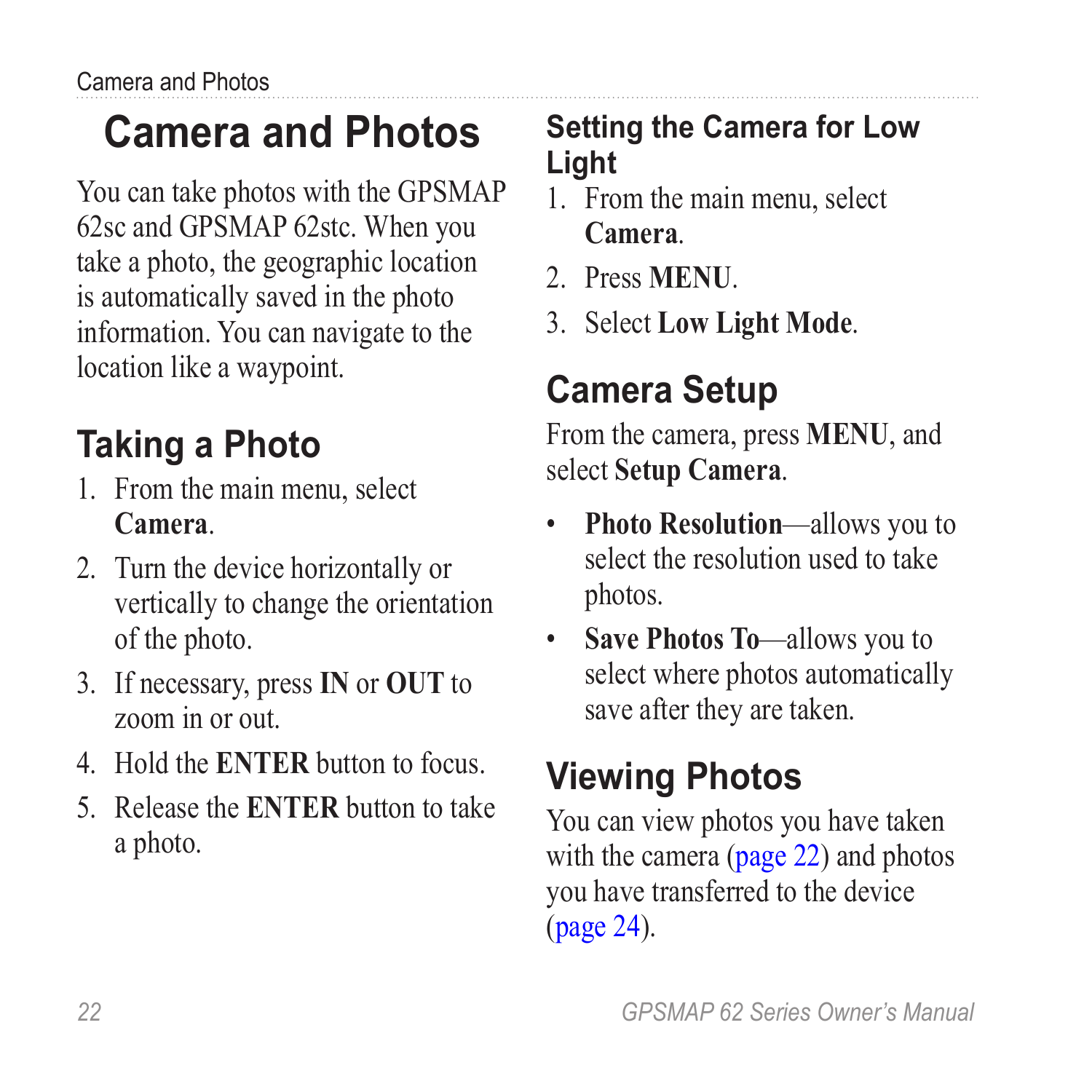# <span id="page-25-0"></span>**Camera and Photos**

You can take photos with the GPSMAP 62sc and GPSMAP 62stc. When you take a photo, the geographic location is automatically saved in the photo information. You can navigate to the location like a waypoint.

## **Taking a Photo**

- 1. From the main menu, select **Camera**.
- 2. Turn the device horizontally or vertically to change the orientation of the photo.
- 3. If necessary, press **IN** or **OUT** to zoom in or out.
- 4. Hold the **ENTER** button to focus.
- 5. Release the **ENTER** button to take a photo.

### **Setting the Camera for Low Light**

- 1. From the main menu, select **Camera**.
- 2. Press **MENU**.
- 3. Select **Low Light Mode**.

## **Camera Setup**

From the camera, press **MENU**, and select **Setup Camera**.

- **Photo Resolution**—allows you to select the resolution used to take photos.
- **Save Photos To**—allows you to select where photos automatically save after they are taken.

## **Viewing Photos**

You can view photos you have taken with the camera (page 22) and photos you have transferred to the device (page 24).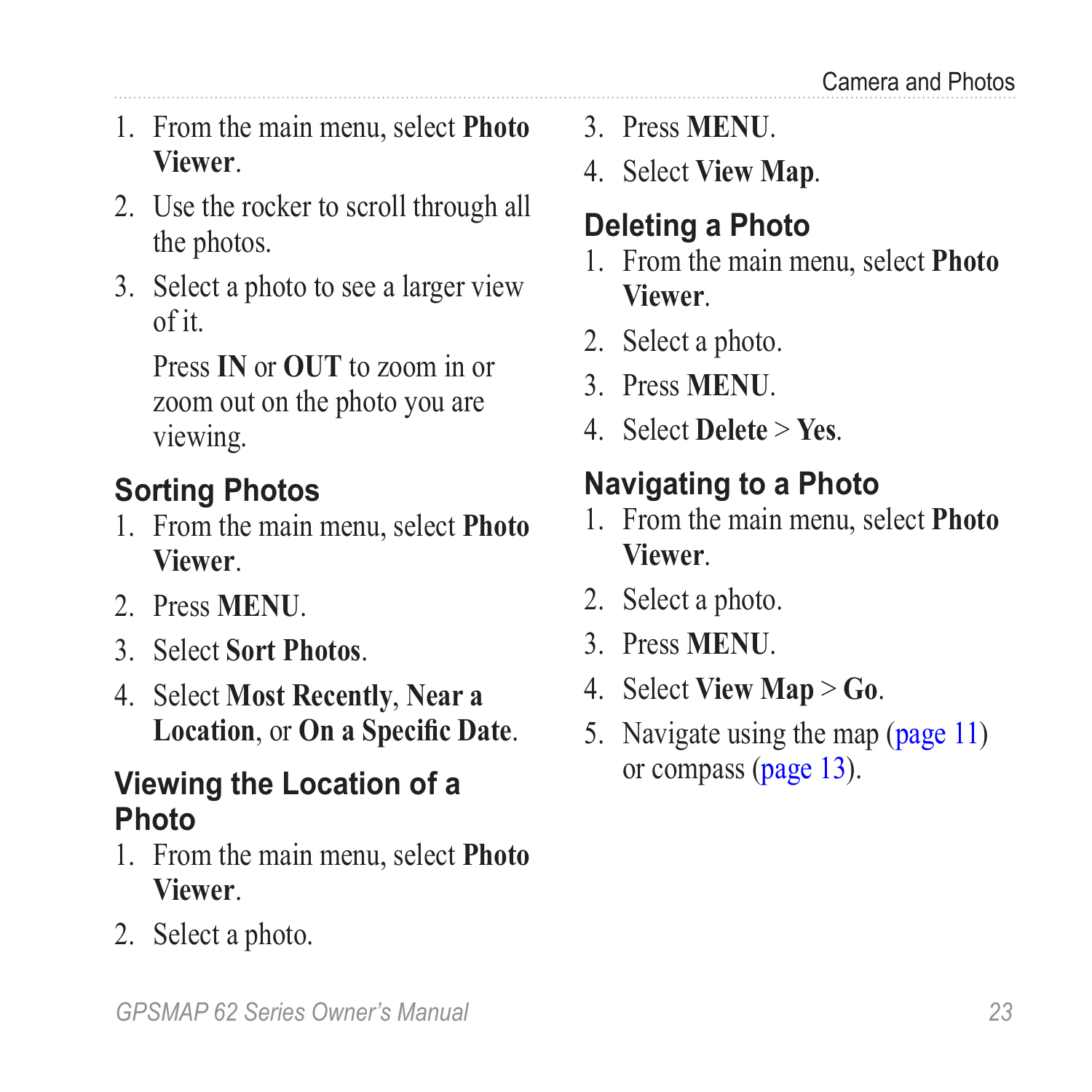- <span id="page-26-0"></span>1. From the main menu, select **Photo Viewer**.
- 2. Use the rocker to scroll through all the photos.
- 3. Select a photo to see a larger view of it.

Press **IN** or **OUT** to zoom in or zoom out on the photo you are viewing.

### **Sorting Photos**

- 1. From the main menu, select **Photo Viewer**.
- 2. Press **MENU**.
- 3. Select **Sort Photos**.
- 4. Select **Most Recently**, **Near a Location**, or **On a Specific Date**.

#### **Viewing the Location of a Photo**

- 1. From the main menu, select **Photo Viewer**.
- 2. Select a photo.
- 3. Press **MENU**.
- 4. Select **View Map**.

### **Deleting a Photo**

- 1. From the main menu, select **Photo Viewer**.
- 2. Select a photo.
- 3. Press **MENU**.
- 4. Select **Delete** > **Yes**.

### **Navigating to a Photo**

- 1. From the main menu, select **Photo Viewer**.
- 2. Select a photo.
- 3. Press **MENU**.
- 4. Select **View Map** > **Go**.
- 5. Navigate using the map [\(page 11\)](#page-14-3) or compass [\(page 13](#page-16-2)).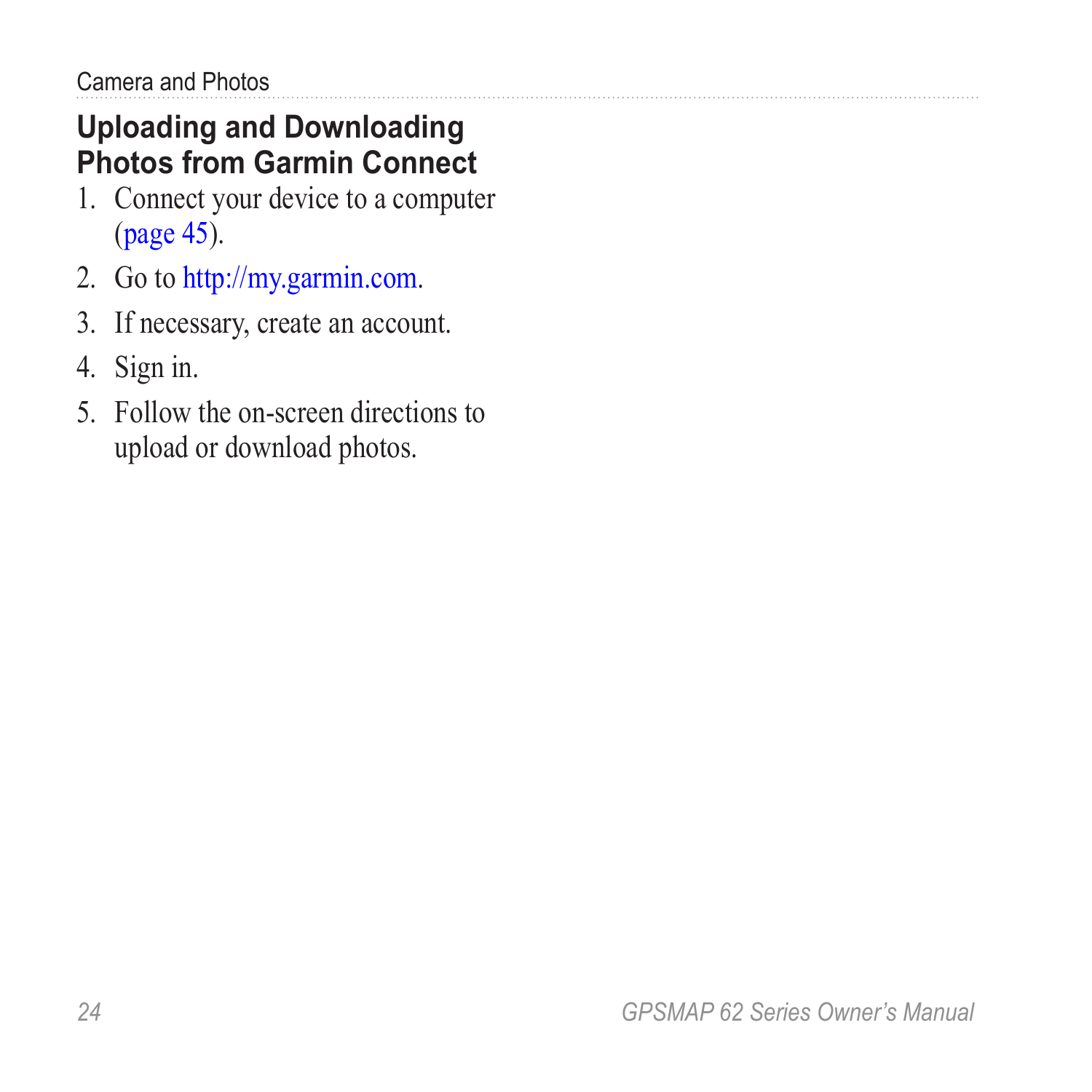#### <span id="page-27-0"></span>**Uploading and Downloading Photos from Garmin Connect**

- 1. Connect your device to a computer ([page 45\)](#page-48-0).
- 2. Go to [http://my.garmin.com.](http://my.garmin.com)
- 3. If necessary, create an account.
- 4. Sign in.
- 5. Follow the on-screen directions to upload or download photos.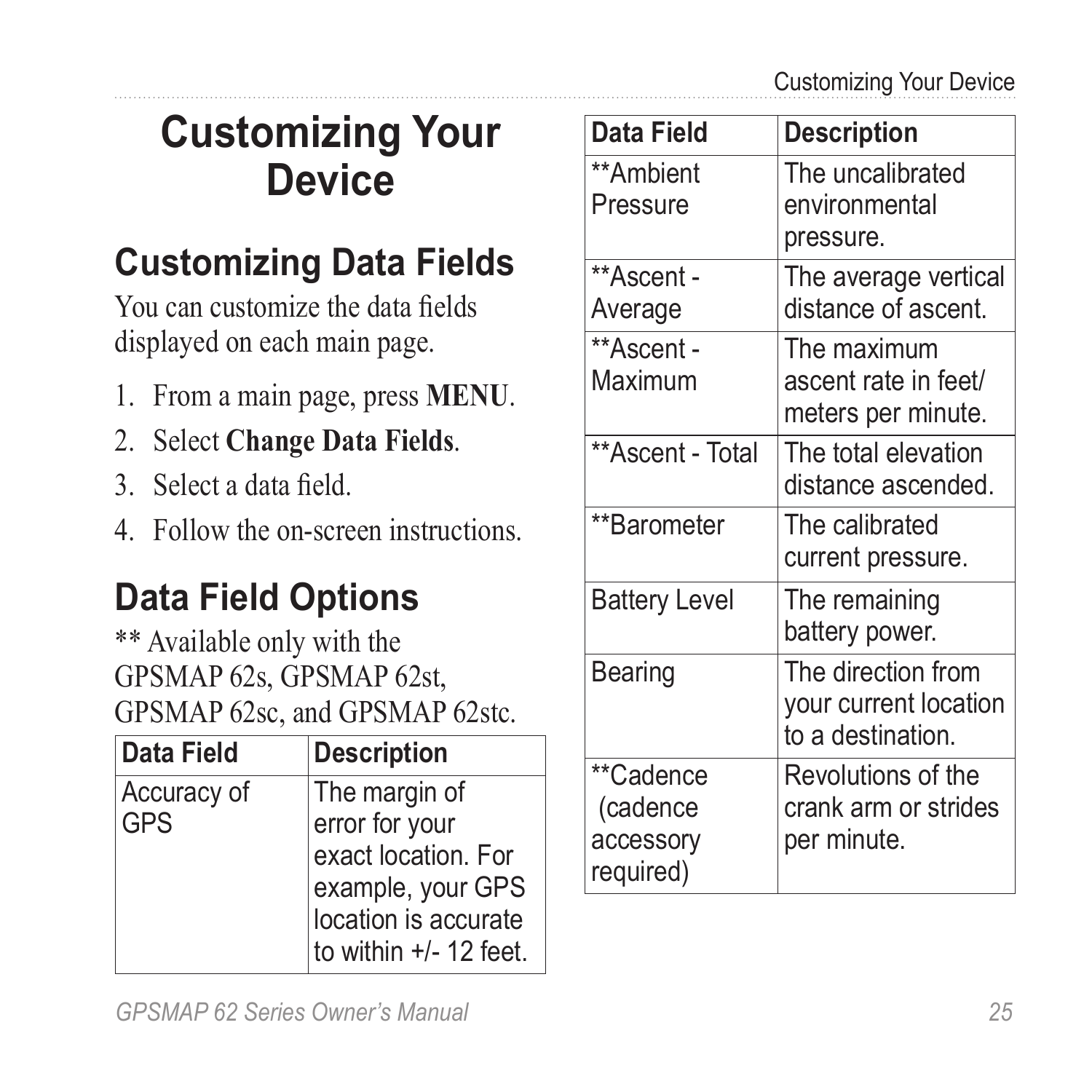## <span id="page-28-0"></span>**Customizing Your Device**

### **Customizing Data Fields**

You can customize the data fields displayed on each main page.

- 1. From a main page, press **meNu**.
- 2. Select **Change Data Fields**.
- 3. Select a data field.
- 4. Follow the on-screen instructions.

### <span id="page-28-1"></span>**Data Field Options**

\*\* Available only with the GPSMAP 62s, GPSMAP 62st, GPSMAP 62sc, and GPSMAP 62stc.

| Data Field         | <b>Description</b>                                                                                                              |
|--------------------|---------------------------------------------------------------------------------------------------------------------------------|
| Accuracy of<br>GPS | The margin of<br>error for your<br>exact location. For<br>example, your GPS<br>location is accurate<br>to within $+/- 12$ feet. |

| Data Field                                      | <b>Description</b>                                               |
|-------------------------------------------------|------------------------------------------------------------------|
| **Ambient<br>Pressure                           | The uncalibrated<br>environmental<br>pressure.                   |
| **Ascent -<br>Average                           | The average vertical<br>distance of ascent.                      |
| **Ascent -<br>Maximum                           | The maximum<br>ascent rate in feet/<br>meters per minute.        |
| **Ascent - Total                                | The total elevation<br>distance ascended.                        |
| **Barometer                                     | The calibrated<br>current pressure.                              |
| <b>Battery Level</b>                            | The remaining<br>battery power.                                  |
| Bearing                                         | The direction from<br>your current location<br>to a destination. |
| **Cadence<br>(cadence<br>accessory<br>required) | Revolutions of the<br>crank arm or strides<br>per minute.        |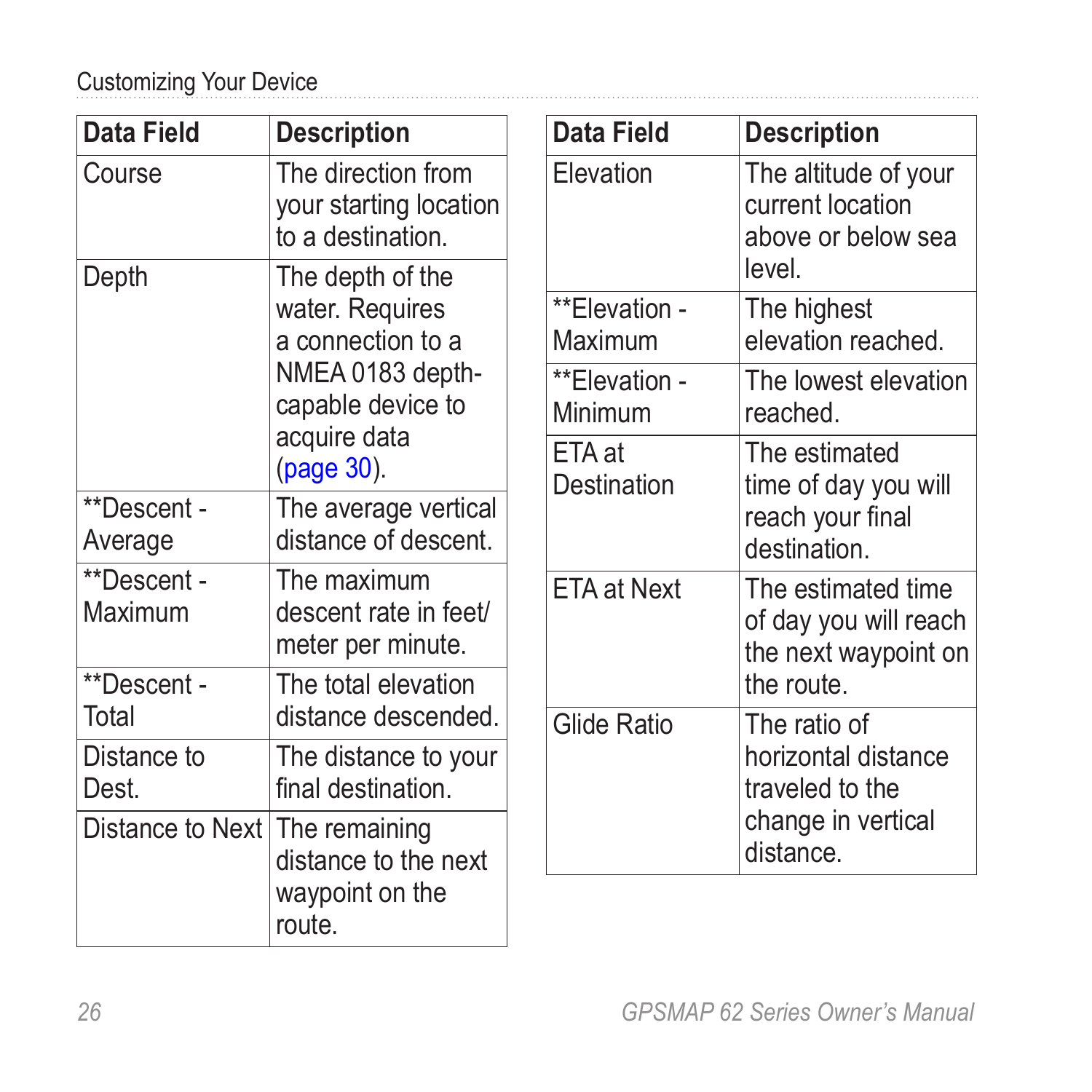#### Customizing Your Device

| Data Field             | <b>Description</b>                                                | Data Field               | <b>Description</b>                                                  |
|------------------------|-------------------------------------------------------------------|--------------------------|---------------------------------------------------------------------|
| Course                 | The direction from<br>your starting location<br>to a destination. | Elevation                | The altitude of your<br>current location<br>above or below sea      |
| Depth                  | The depth of the                                                  |                          | level.                                                              |
|                        | water. Requires<br>a connection to a                              | **Elevation -<br>Maximum | The highest<br>elevation reached.                                   |
|                        | NMEA 0183 depth-<br>capable device to                             | **Elevation -<br>Minimum | The lowest elevation<br>reached.                                    |
|                        | acquire data<br>(page 30).                                        | ETA at<br>Destination    | The estimated<br>time of day you will                               |
| **Descent -<br>Average | The average vertical<br>distance of descent.                      |                          | reach your final<br>destination.                                    |
| **Descent -<br>Maximum | The maximum<br>descent rate in feet/<br>meter per minute.         | <b>ETA at Next</b>       | The estimated time<br>of day you will reach<br>the next waypoint on |
| **Descent -            | The total elevation                                               |                          | the route.                                                          |
| Total                  | distance descended.                                               | Glide Ratio              | The ratio of                                                        |
| Distance to<br>Dest.   | The distance to your<br>final destination.                        |                          | horizontal distance<br>traveled to the                              |
| Distance to Next       | The remaining<br>distance to the next                             |                          | change in vertical<br>distance.                                     |
|                        | waypoint on the<br>route.                                         |                          |                                                                     |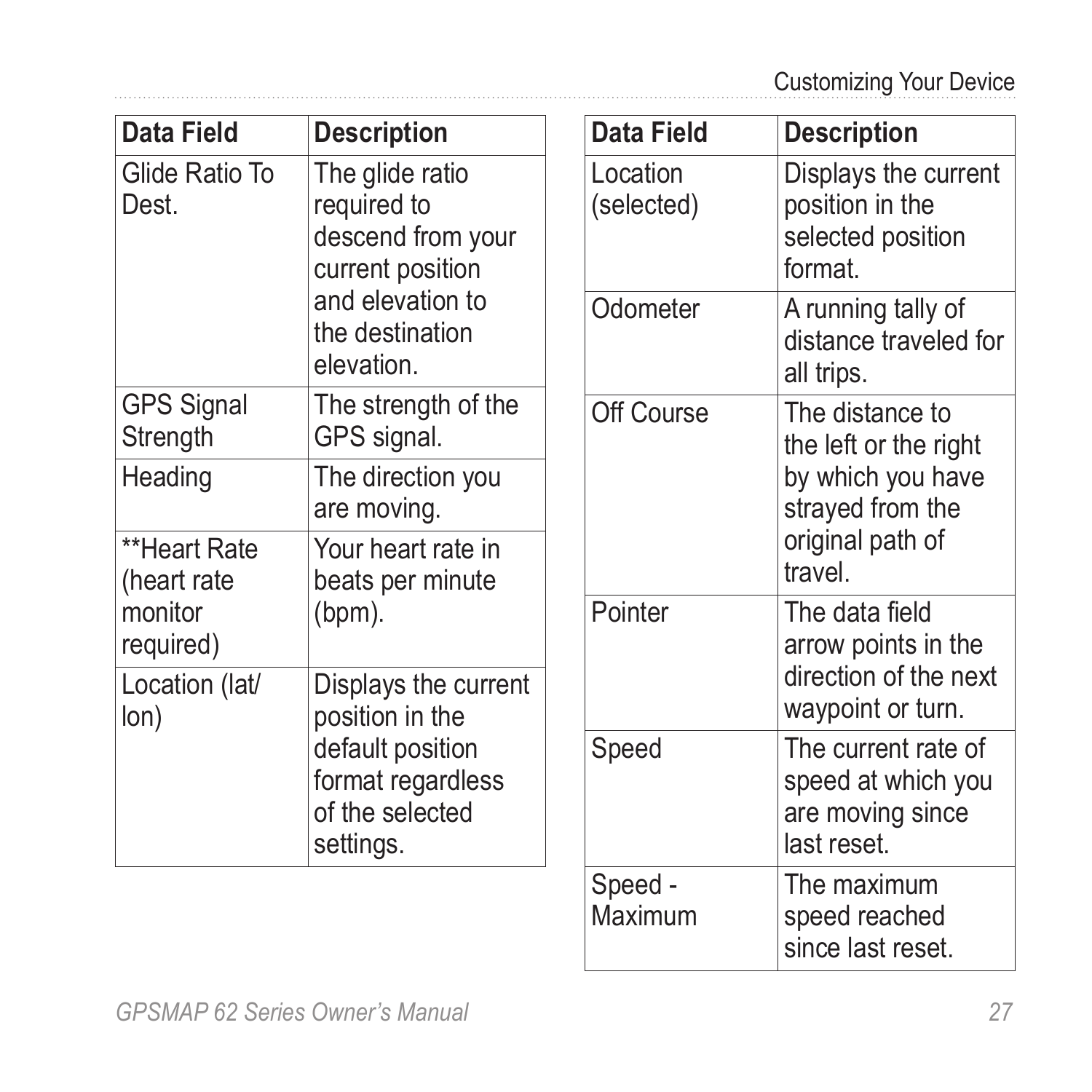<span id="page-30-0"></span>

| Data Field                                                                                                                         | <b>Description</b>                                                                                               | Data Field             | <b>Description</b>                                                           |
|------------------------------------------------------------------------------------------------------------------------------------|------------------------------------------------------------------------------------------------------------------|------------------------|------------------------------------------------------------------------------|
| Glide Ratio To<br>The glide ratio<br>required to<br>Dest.<br>current position<br>and elevation to<br>the destination<br>elevation. | descend from your                                                                                                | Location<br>(selected) | Displays the current<br>position in the<br>selected position<br>format.      |
|                                                                                                                                    |                                                                                                                  | Odometer               | A running tally of<br>distance traveled for<br>all trips.                    |
| <b>GPS Signal</b><br>Strength                                                                                                      | The strength of the<br>GPS signal.                                                                               | Off Course             | The distance to<br>the left or the right                                     |
| Heading                                                                                                                            | The direction you<br>are moving.                                                                                 |                        | by which you have<br>strayed from the                                        |
| **Heart Rate<br>(heart rate)                                                                                                       | Your heart rate in<br>beats per minute                                                                           |                        | original path of<br>travel.                                                  |
| monitor<br>required)                                                                                                               | $(bpm)$ .                                                                                                        | Pointer                | The data field<br>arrow points in the                                        |
| Location (lat/<br>lon)                                                                                                             | Displays the current<br>position in the<br>default position<br>format regardless<br>of the selected<br>settings. |                        | direction of the next<br>waypoint or turn.                                   |
|                                                                                                                                    |                                                                                                                  | Speed                  | The current rate of<br>speed at which you<br>are moving since<br>last reset. |
|                                                                                                                                    |                                                                                                                  | Speed -                | The maximum                                                                  |

Maximum

speed reached since last reset.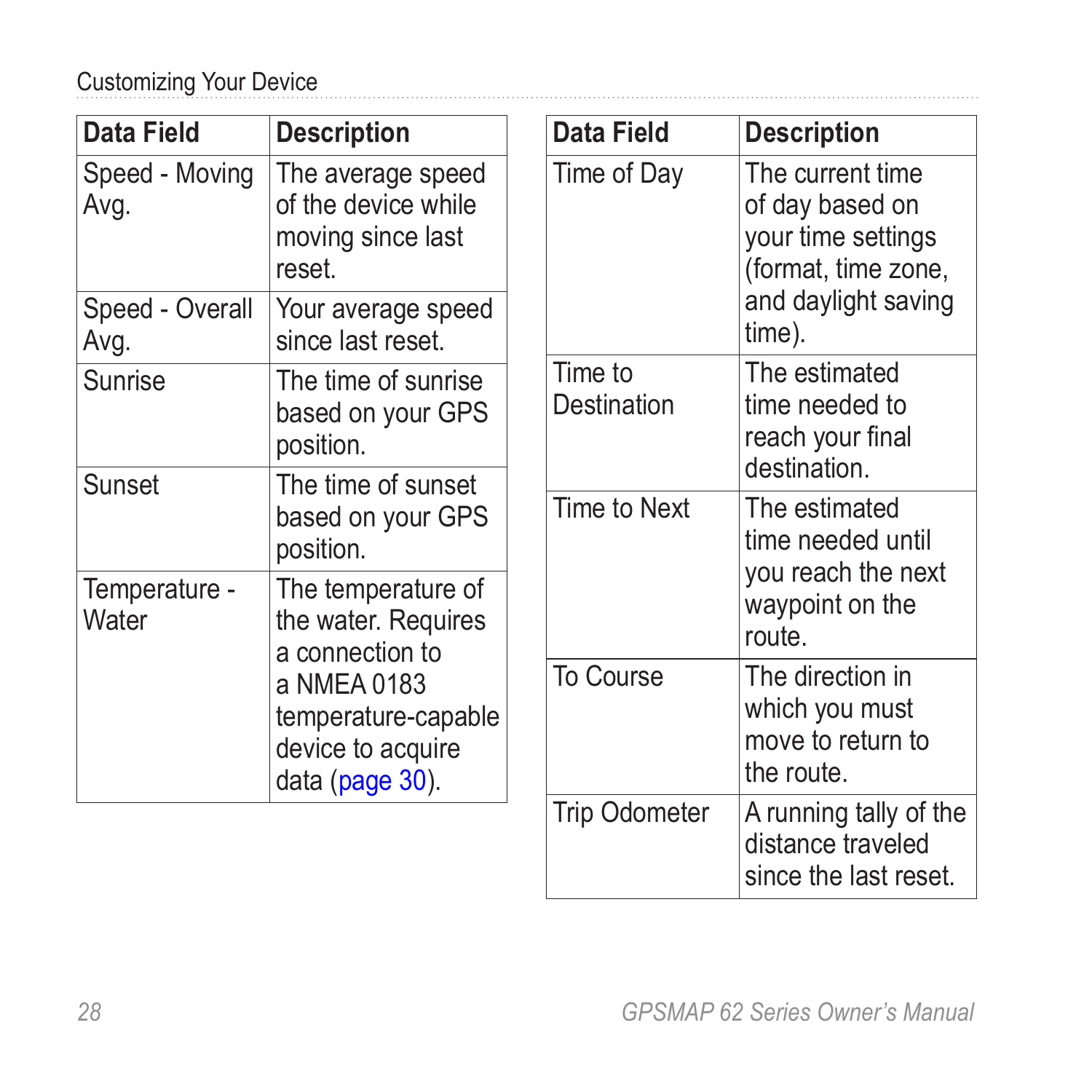<span id="page-31-0"></span>Customizing Your Device

| Data Field                                                                             | <b>Description</b>                                                      |  | Data Field                                      | <b>Description</b>                                                                                                |
|----------------------------------------------------------------------------------------|-------------------------------------------------------------------------|--|-------------------------------------------------|-------------------------------------------------------------------------------------------------------------------|
| Speed - Moving<br>Avg.                                                                 | The average speed<br>of the device while<br>moving since last<br>reset. |  | Time of Day                                     | The current time<br>of day based on<br>your time settings<br>(format, time zone,<br>and daylight saving<br>time). |
| Speed - Overall<br>Avg.                                                                | Your average speed<br>since last reset.                                 |  |                                                 |                                                                                                                   |
| Sunrise                                                                                | The time of sunrise<br>based on your GPS<br>position.                   |  | Time to<br>Destination                          | The estimated<br>time needed to<br>reach your final<br>destination.                                               |
| Sunset                                                                                 | The time of sunset<br>based on your GPS<br>position.                    |  | Time to Next                                    | The estimated<br>time needed until                                                                                |
| Temperature -<br>The temperature of<br>Water<br>the water. Requires<br>a connection to |                                                                         |  | you reach the next<br>waypoint on the<br>route. |                                                                                                                   |
| a NMEA 0183<br>temperature-capable<br>device to acquire<br>data (page 30).             |                                                                         |  | To Course                                       | The direction in<br>which you must<br>move to return to<br>the route.                                             |
|                                                                                        |                                                                         |  | <b>Trip Odometer</b>                            | A running tally of the<br>distance traveled<br>since the last reset.                                              |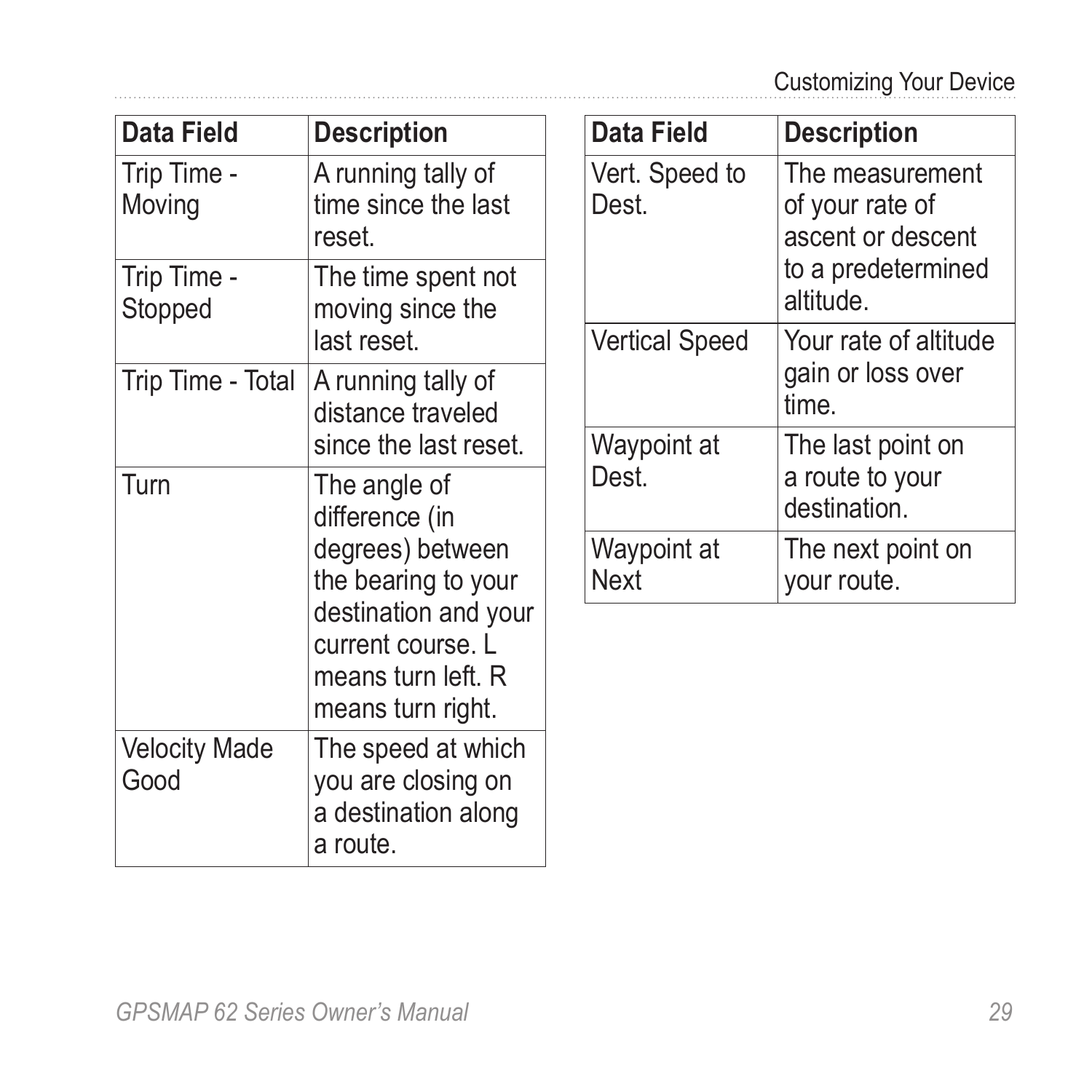| Data Field                   | <b>Description</b>                                                                                                                                                |
|------------------------------|-------------------------------------------------------------------------------------------------------------------------------------------------------------------|
| Trip Time -<br>Moving        | A running tally of<br>time since the last<br>reset.                                                                                                               |
| Trip Time -<br>Stopped       | The time spent not<br>moving since the<br>last reset.                                                                                                             |
| Trip Time - Total            | A running tally of<br>distance traveled<br>since the last reset.                                                                                                  |
| Turn                         | The angle of<br>difference (in<br>degrees) between<br>the bearing to your<br>destination and your<br>current course. L<br>means turn left. R<br>means turn right. |
| <b>Velocity Made</b><br>Good | The speed at which<br>you are closing on<br>a destination along<br>a route.                                                                                       |

| Data Field              | <b>Description</b>                                                                        |
|-------------------------|-------------------------------------------------------------------------------------------|
| Vert. Speed to<br>Dest. | The measurement<br>of your rate of<br>ascent or descent<br>to a predetermined<br>altitude |
| <b>Vertical Speed</b>   | Your rate of altitude<br>gain or loss over<br>time.                                       |
| Waypoint at<br>Dest.    | The last point on<br>a route to your<br>destination.                                      |
| Waypoint at<br>Next     | The next point on<br>your route.                                                          |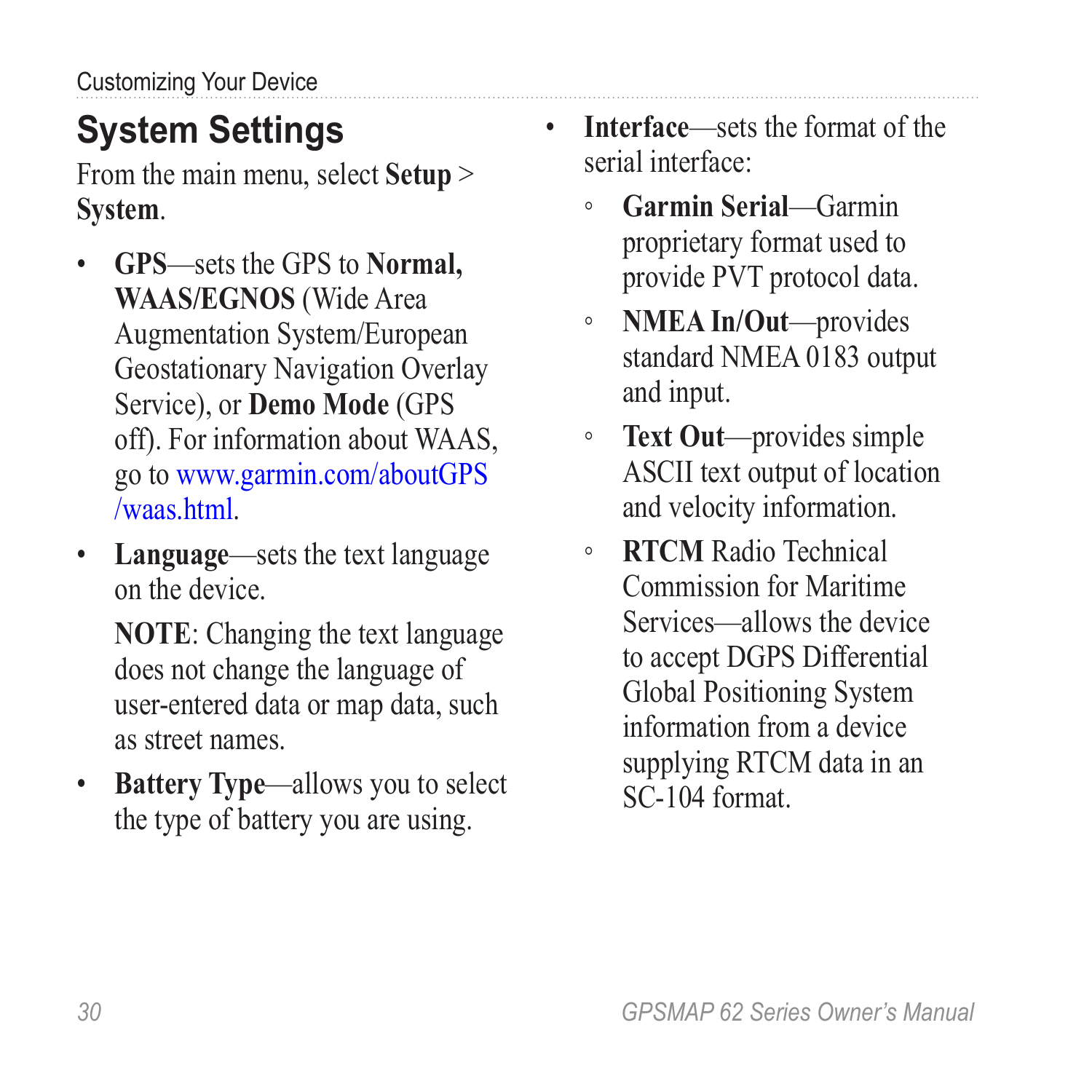## <span id="page-33-0"></span>**System Settings**

From the main menu, select **Setup** > **System**.

- **GPS**—sets the GPS to **Normal, WAAS/EGNOS** (Wide Area Augmentation System/European Geostationary Navigation Overlay Service), or **Demo Mode** (GPS off). For information about WAAS, go to [www.garmin.com/aboutGPS](www.garmin.com/aboutGPS/waas.html) [/waas.html](www.garmin.com/aboutGPS/waas.html).
- **Language**—sets the text language on the device.

**NOTE**: Changing the text language does not change the language of user-entered data or map data, such as street names.

• **Battery Type**—allows you to select the type of battery you are using.

- **Interface**—sets the format of the serial interface:
	- **Garmin Serial**—Garmin proprietary format used to provide PVT protocol data.
	- **NMEA In/Out**—provides standard NMEA 0183 output and input.
	- **Text Out**—provides simple ASCII text output of location and velocity information.
	- **RTCM** Radio Technical Commission for Maritime Services—allows the device to accept DGPS Differential Global Positioning System information from a device supplying RTCM data in an SC-104 format.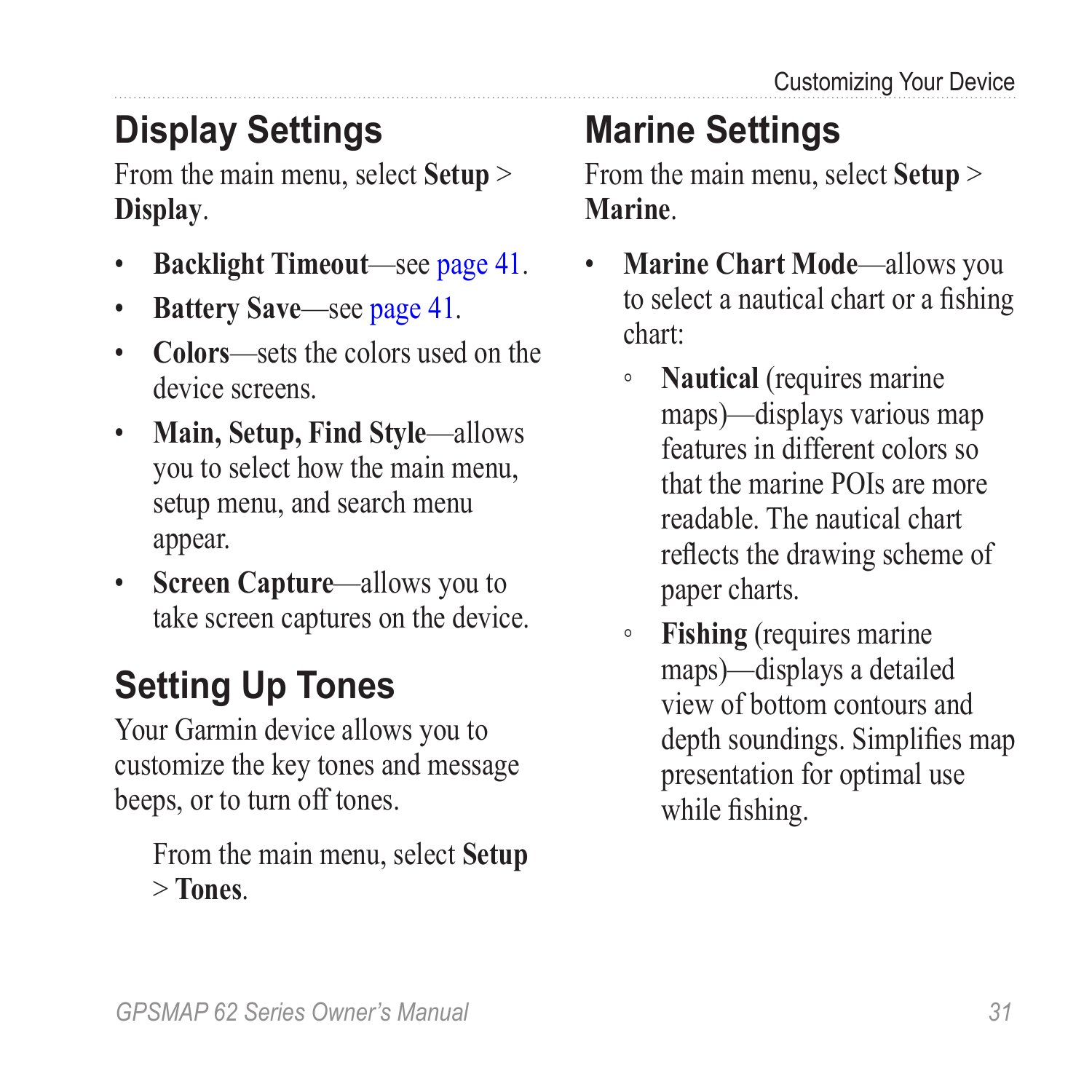## <span id="page-34-0"></span>**Display Settings**

From the main menu, select **Setup** > **Display**.

- **Backlight Timeout**—see [page 41.](#page-44-1)
- **Battery Save**—see [page 41.](#page-44-2)
- **Colors**—sets the colors used on the device screens.
- **Main, Setup, Find Style**—allows you to select how the main menu, setup menu, and search menu appear.
- **Screen Capture**—allows you to take screen captures on the device.

## **Setting Up Tones**

Your Garmin device allows you to customize the key tones and message beeps, or to turn off tones.

From the main menu, select **Setup** > **Tones**.

## **Marine Settings**

From the main menu, select **Setup** > **Marine**.

- **Marine Chart Mode**—allows you to select a nautical chart or a fishing chart:
	- **Nautical** (requires marine maps)—displays various map features in different colors so that the marine POIs are more readable. The nautical chart reflects the drawing scheme of paper charts.
	- **Fishing** (requires marine maps)—displays a detailed view of bottom contours and depth soundings. Simplifies map presentation for optimal use while fishing.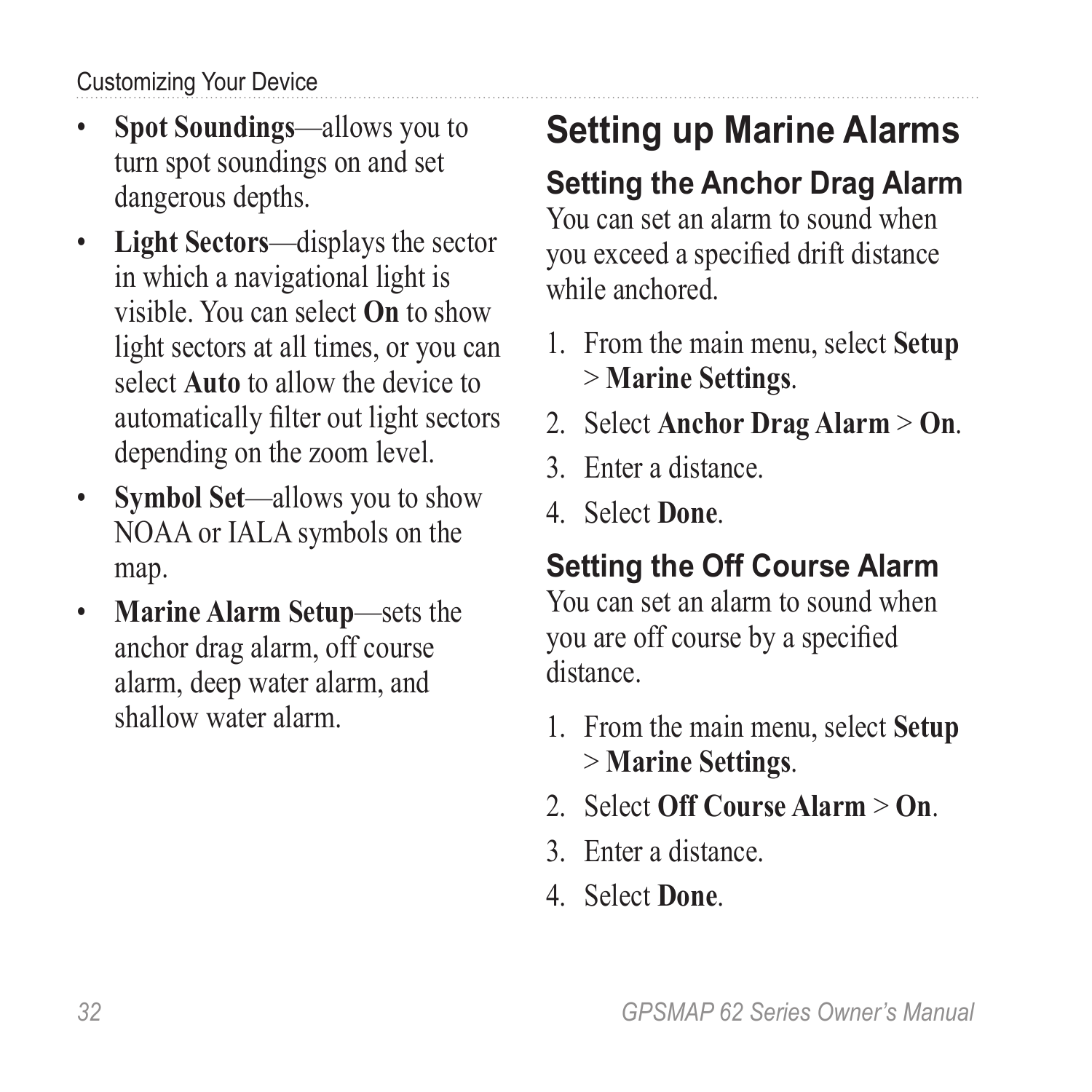<span id="page-35-0"></span>Customizing Your Device

- **Spot Soundings**—allows you to turn spot soundings on and set dangerous depths.
- **Light Sectors**—displays the sector in which a navigational light is visible. You can select **On** to show light sectors at all times, or you can select **Auto** to allow the device to automatically filter out light sectors depending on the zoom level.
- **Symbol Set**—allows you to show NOAA or IALA symbols on the map.
- **Marine Alarm Setup**—sets the anchor drag alarm, off course alarm, deep water alarm, and shallow water alarm.

# **Setting up Marine Alarms**

### **Setting the Anchor Drag Alarm**

You can set an alarm to sound when you exceed a specified drift distance while anchored.

- 1. From the main menu, select **Setup** > **Marine Settings**.
- 2. Select **Anchor Drag Alarm** > **On**.
- 3. Enter a distance.
- 4. Select **Done**.

### **Setting the Off Course Alarm**

You can set an alarm to sound when you are off course by a specified distance.

- 1. From the main menu, select **Setup** > **Marine Settings**.
- 2. Select **Off Course Alarm** > **On**.
- 3. Enter a distance.
- 4. Select **Done**.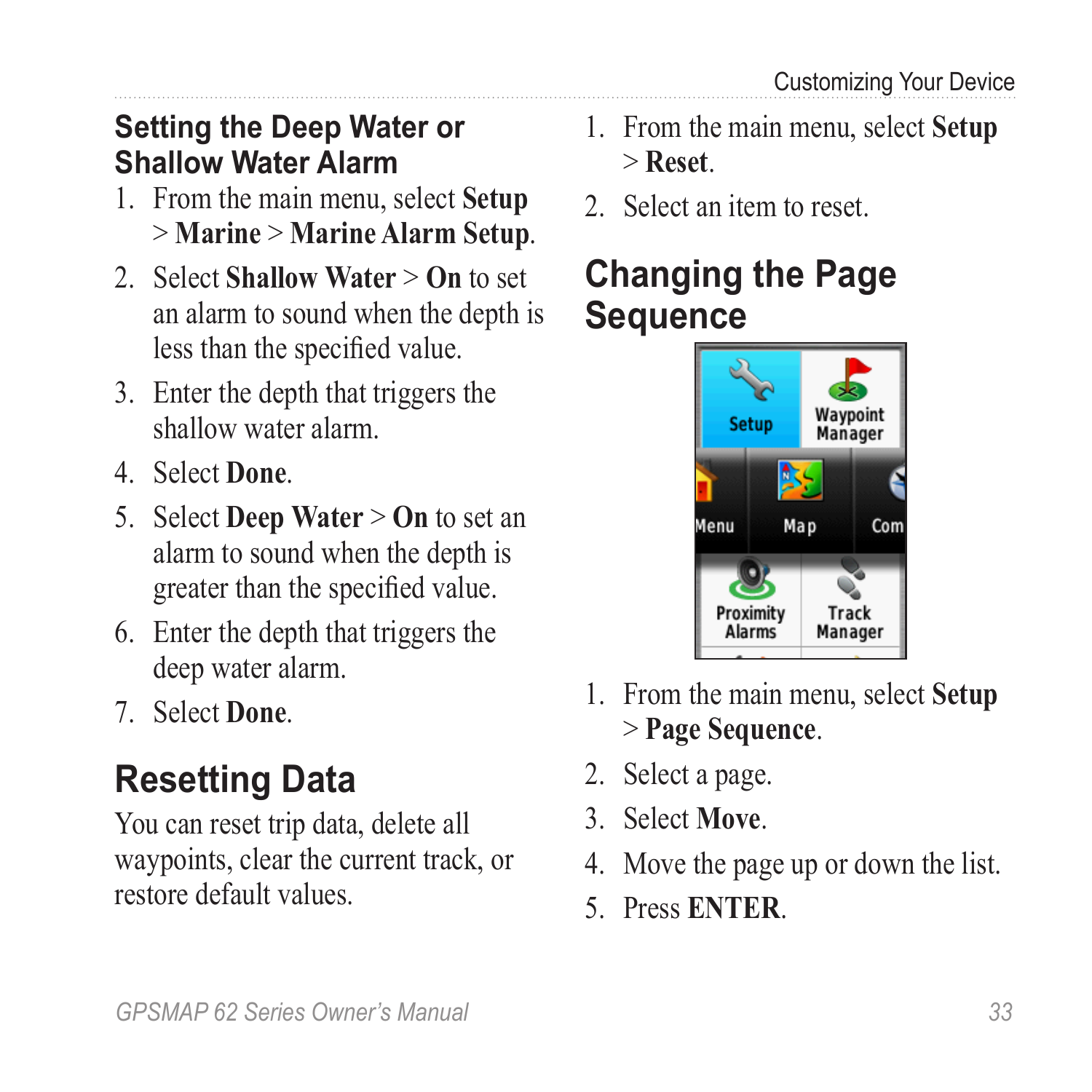#### <span id="page-36-0"></span>**Setting the Deep Water or Shallow Water Alarm**

- 1. From the main menu, select **Setup** > **Marine** > **Marine Alarm Setup**.
- 2. Select **Shallow Water** > **On** to set an alarm to sound when the depth is less than the specified value.
- 3. Enter the depth that triggers the shallow water alarm.
- 4. Select **Done**.
- 5. Select **Deep Water** > **On** to set an alarm to sound when the depth is greater than the specified value.
- 6. Enter the depth that triggers the deep water alarm.
- 7. Select **Done**.

## **Resetting Data**

You can reset trip data, delete all waypoints, clear the current track, or restore default values.

- 1. From the main menu, select **Setup** > **Reset**.
- 2. Select an item to reset.

### **Changing the Page Sequence**



- 1. From the main menu, select **Setup** > **Page Sequence**.
- 2. Select a page.
- 3. Select **Move**.
- 4. Move the page up or down the list.
- 5. Press **Enter**.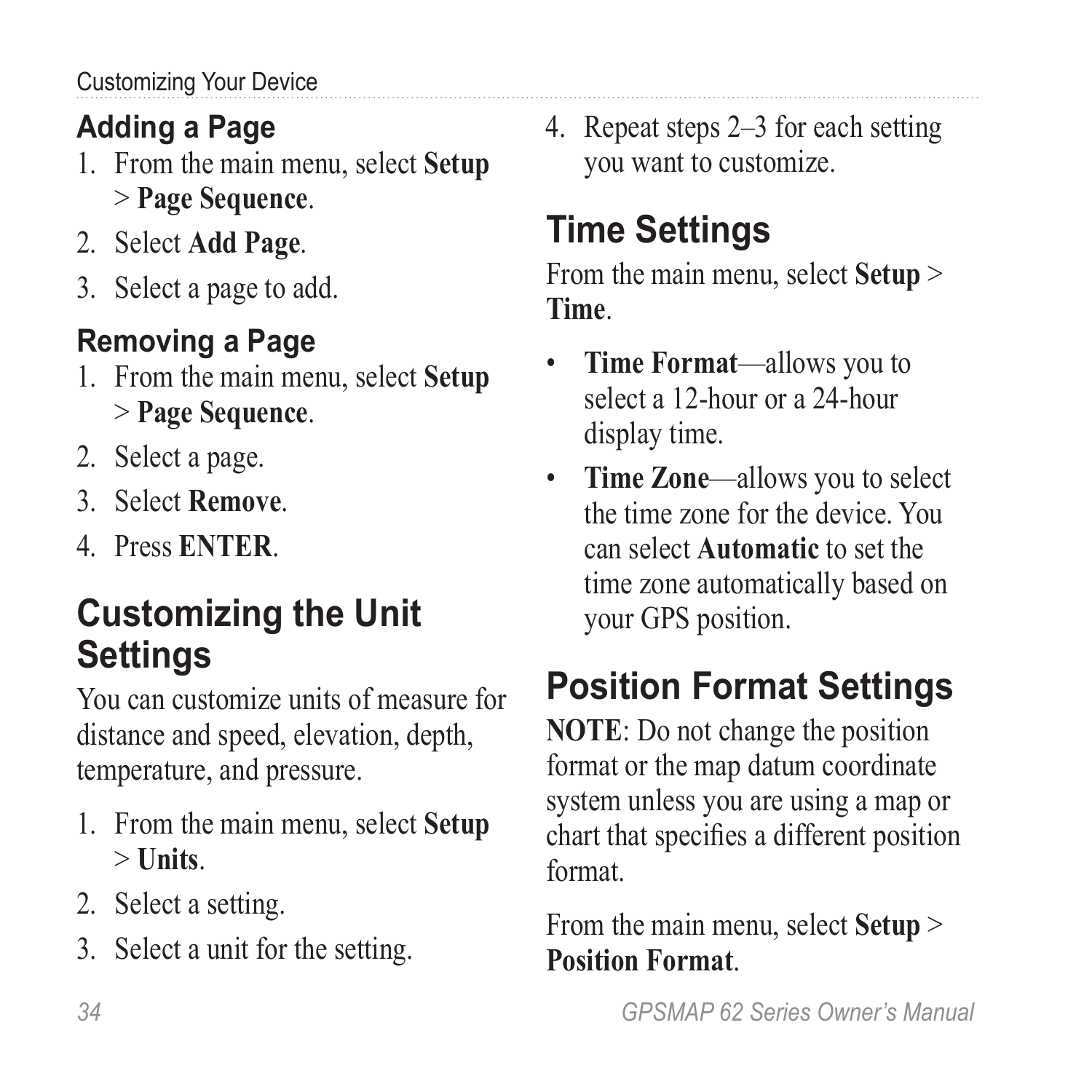### <span id="page-37-0"></span>**Adding a Page**

- 1. From the main menu, select **Setup** > **Page Sequence**.
- 2. Select **Add Page**.
- 3. Select a page to add.

### **Removing a Page**

- 1. From the main menu, select **Setup** > **Page Sequence**.
- 2. Select a page.
- 3. Select **Remove**.
- 4 Press **ENTER**

## **Customizing the Unit Settings**

You can customize units of measure for distance and speed, elevation, depth, temperature, and pressure.

- 1. From the main menu, select **Setup** > **Units**.
- 2. Select a setting.
- 3. Select a unit for the setting.

4. Repeat steps 2–3 for each setting you want to customize.

## **Time Settings**

From the main menu, select **Setup** > **Time**.

- **Time Format**—allows you to select a 12-hour or a 24-hour display time.
- **Time Zone**—allows you to select the time zone for the device. You can select **Automatic** to set the time zone automatically based on your GPS position.

# **Position Format Settings**

**NOTE**: Do not change the position format or the map datum coordinate system unless you are using a map or chart that specifies a different position format.

From the main menu, select **Setup** > **Position Format**.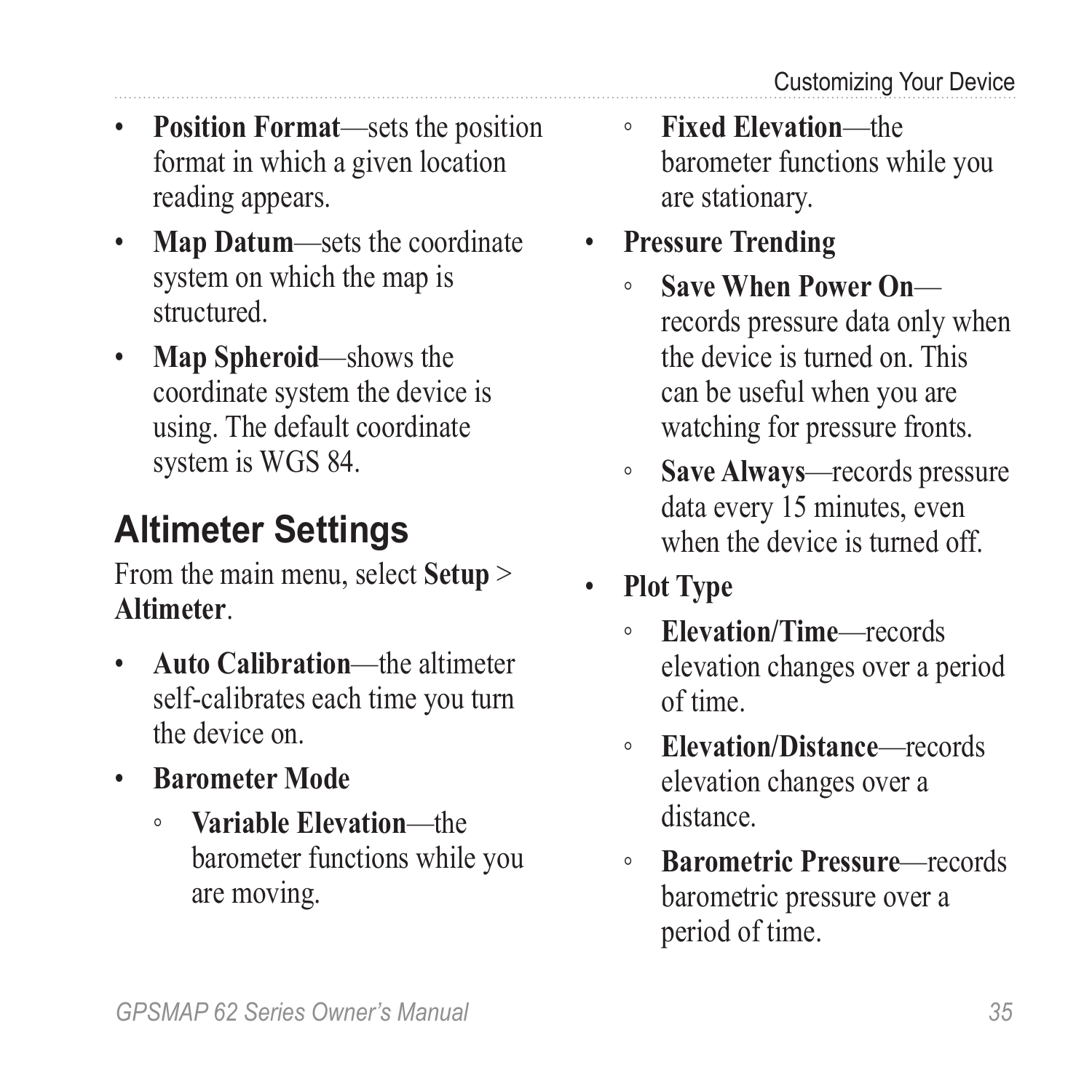- <span id="page-38-0"></span>• **Position Format**—sets the position format in which a given location reading appears.
- **Map Datum**—sets the coordinate system on which the map is structured.
- **Map Spheroid**—shows the coordinate system the device is using. The default coordinate system is WGS 84.

# **Altimeter Settings**

From the main menu, select **Setup** > **Altimeter**.

- **Auto Calibration**—the altimeter self-calibrates each time you turn the device on.
- **Barometer Mode**
	- **Variable Elevation**—the barometer functions while you are moving.
- **Fixed Elevation**—the barometer functions while you are stationary.
- **Pressure Trending**
	- Save When Power Onrecords pressure data only when the device is turned on. This can be useful when you are watching for pressure fronts.
	- **Save Always**—records pressure data every 15 minutes, even when the device is turned off.
- **Plot Type**
	- **Elevation/Time**—records elevation changes over a period of time.
	- **Elevation/Distance**—records elevation changes over a distance.
	- **Barometric Pressure**—records barometric pressure over a period of time.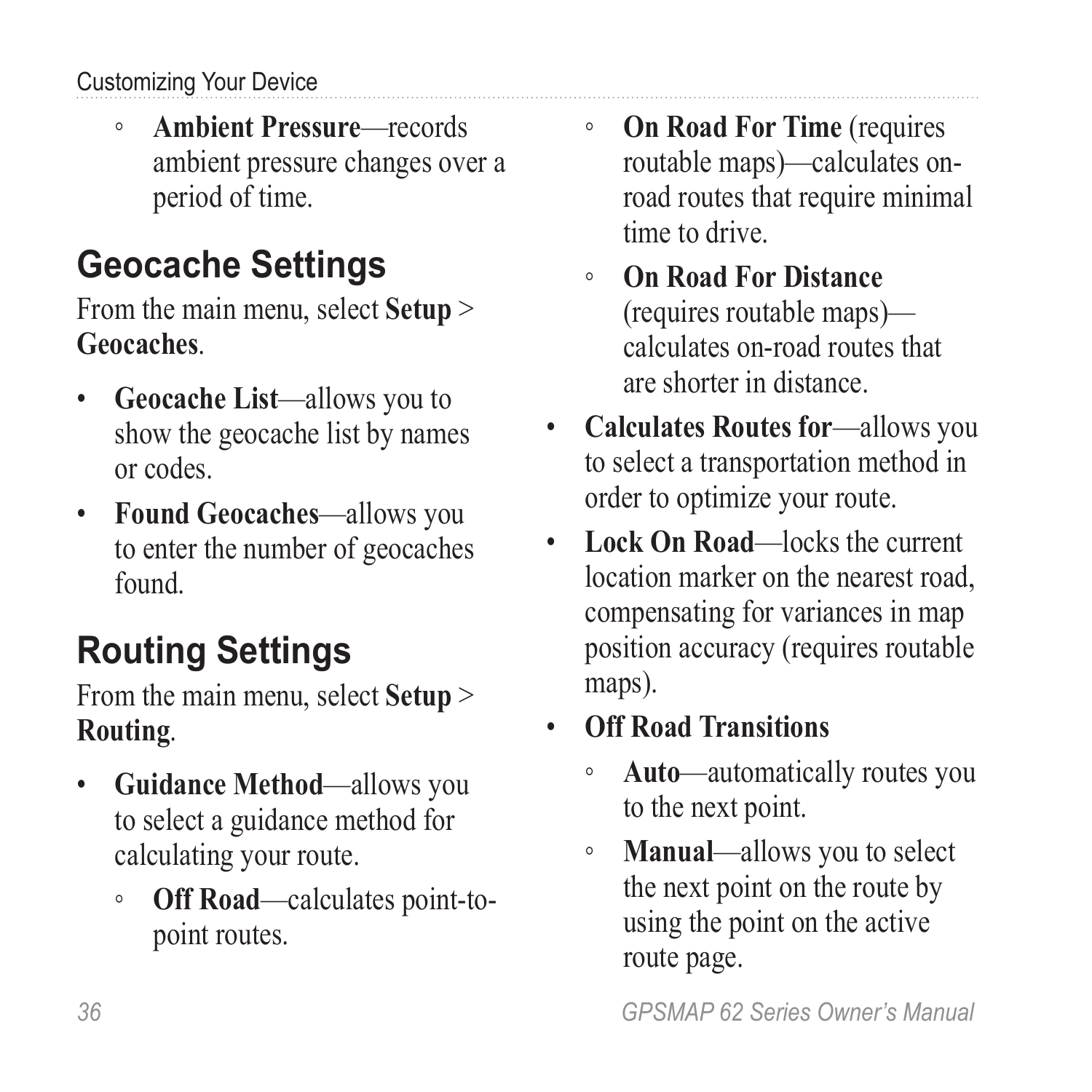#### <span id="page-39-0"></span>Customizing Your Device

◦ **Ambient Pressure**—records ambient pressure changes over a period of time.

## **Geocache Settings**

From the main menu, select **Setup** > **Geocaches**.

- **Geocache List**—allows you to show the geocache list by names or codes.
- **Found Geocaches**—allows you to enter the number of geocaches found.

# **Routing Settings**

From the main menu, select **Setup** > **Routing**.

- **Guidance Method**—allows you to select a guidance method for calculating your route.
	- **Off Road**—calculates point-topoint routes.
- **On Road For Time** (requires routable maps)—calculates onroad routes that require minimal time to drive.
- **On Road For Distance**  (requires routable maps) calculates on-road routes that are shorter in distance.
- **Calculates Routes for**—allows you to select a transportation method in order to optimize your route.
- **Lock On Road**—locks the current location marker on the nearest road, compensating for variances in map position accuracy (requires routable maps).

### • **Off Road Transitions**

- **Auto**—automatically routes you to the next point.
- **Manual**—allows you to select the next point on the route by using the point on the active route page.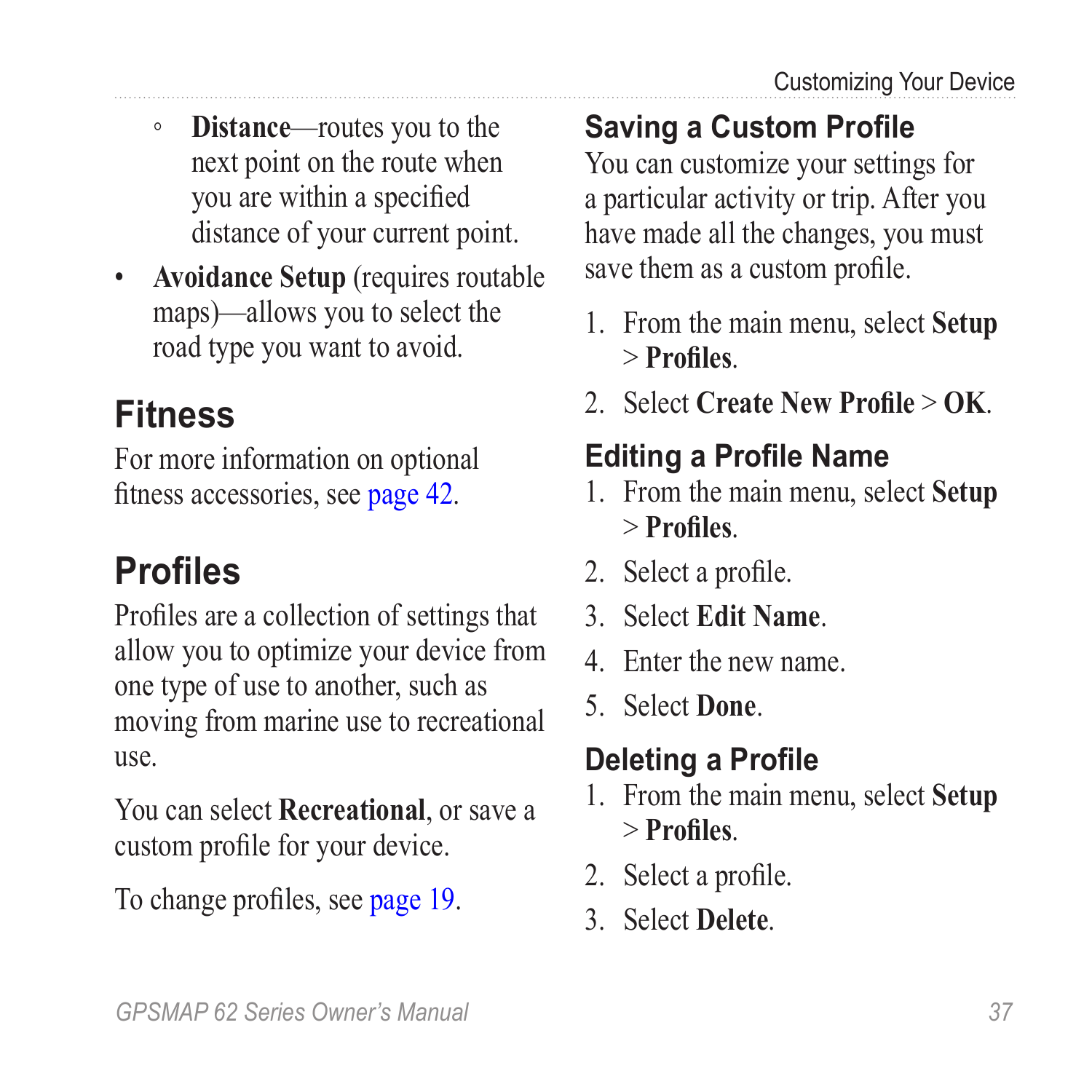- <span id="page-40-0"></span>◦ **Distance**—routes you to the next point on the route when you are within a specified distance of your current point.
- **Avoidance Setup** (requires routable maps)—allows you to select the road type you want to avoid.

## **Fitness**

For more information on optional fitness accessories, see [page 42.](#page-45-4)

# <span id="page-40-1"></span>**Profiles**

Profiles are a collection of settings that allow you to optimize your device from one type of use to another, such as moving from marine use to recreational use.

You can select **Recreational**, or save a custom profile for your device.

To change profiles, see [page 19.](#page-22-1)

### **Saving a Custom Profile**

You can customize your settings for a particular activity or trip. After you have made all the changes, you must save them as a custom profile.

- 1. From the main menu, select **Setup** > **Profiles**.
- 2. Select **Create New Profile** > **OK**.

## **Editing a Profile Name**

- 1. From the main menu, select **Setup** > **Profiles**.
- 2. Select a profile.
- 3. Select **Edit Name**.
- 4. Enter the new name.
- 5. Select **Done**.

### **Deleting a Profile**

- 1. From the main menu, select **Setup** > **Profiles**.
- 2. Select a profile.
- 3. Select **Delete**.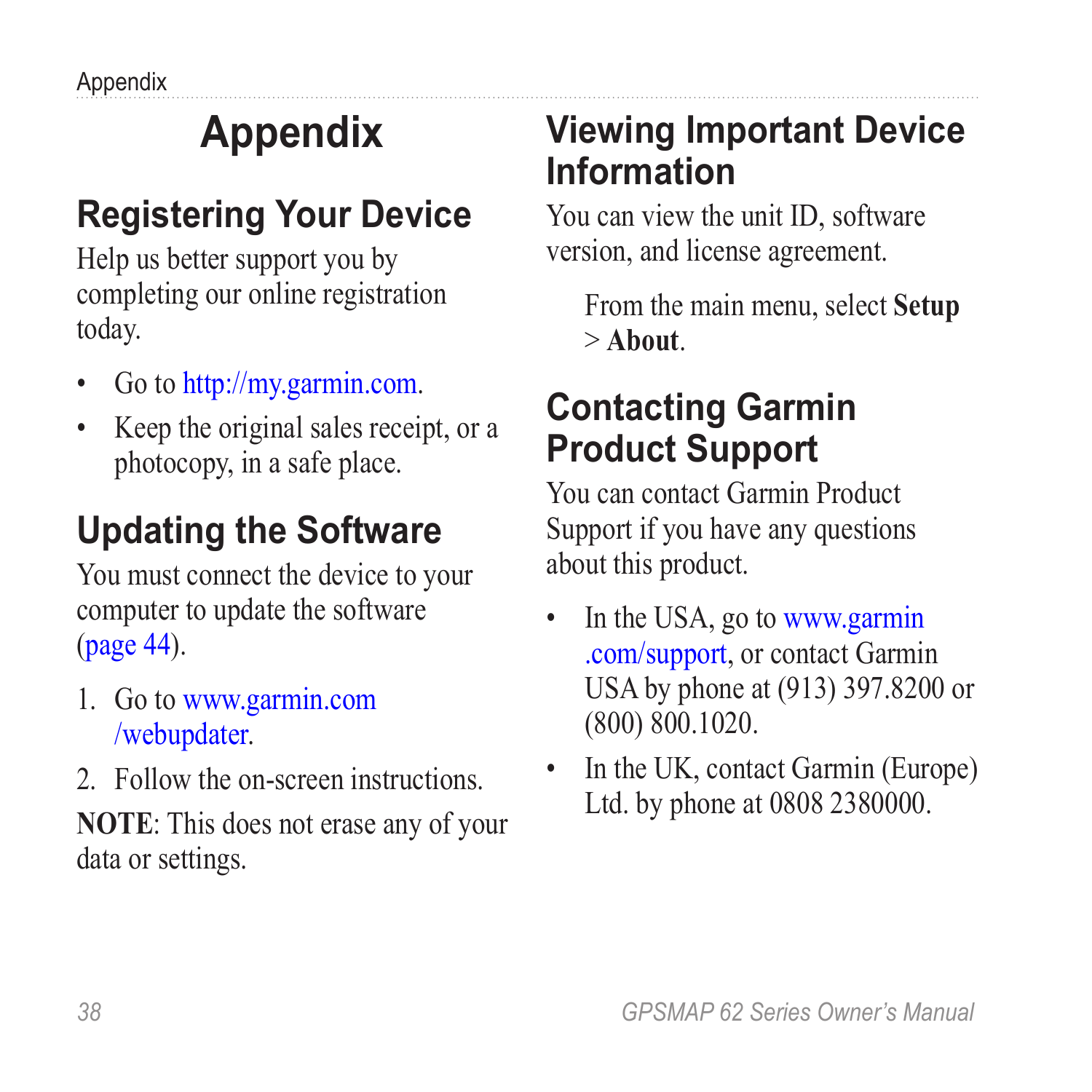<span id="page-41-0"></span>Appendix

# **Appendix**

## <span id="page-41-1"></span>**Registering Your Device**

Help us better support you by completing our online registration today.

- Go to [http://my.garmin.com.](http://my.garmin.com)
- Keep the original sales receipt, or a photocopy, in a safe place.

## **Updating the Software**

You must connect the device to your computer to update the software ([page 44\)](#page-47-1).

- 1. Go to [www.garmin.com](www.garmin.com/webupdater) [/webupdater.](www.garmin.com/webupdater)
- 2. Follow the on-screen instructions.

**NOTE**: This does not erase any of your data or settings.

### **Viewing Important Device Information**

You can view the unit ID, software version, and license agreement.

From the main menu, select **Setup** > **About**.

### **Contacting Garmin Product Support**

You can contact Garmin Product Support if you have any questions about this product.

- In the USA, go to [www.garmin](http://garmin.com/support) [.com/support,](http://garmin.com/support) or contact Garmin USA by phone at (913) 397.8200 or (800) 800.1020.
- In the UK, contact Garmin (Europe) Ltd. by phone at 0808 2380000.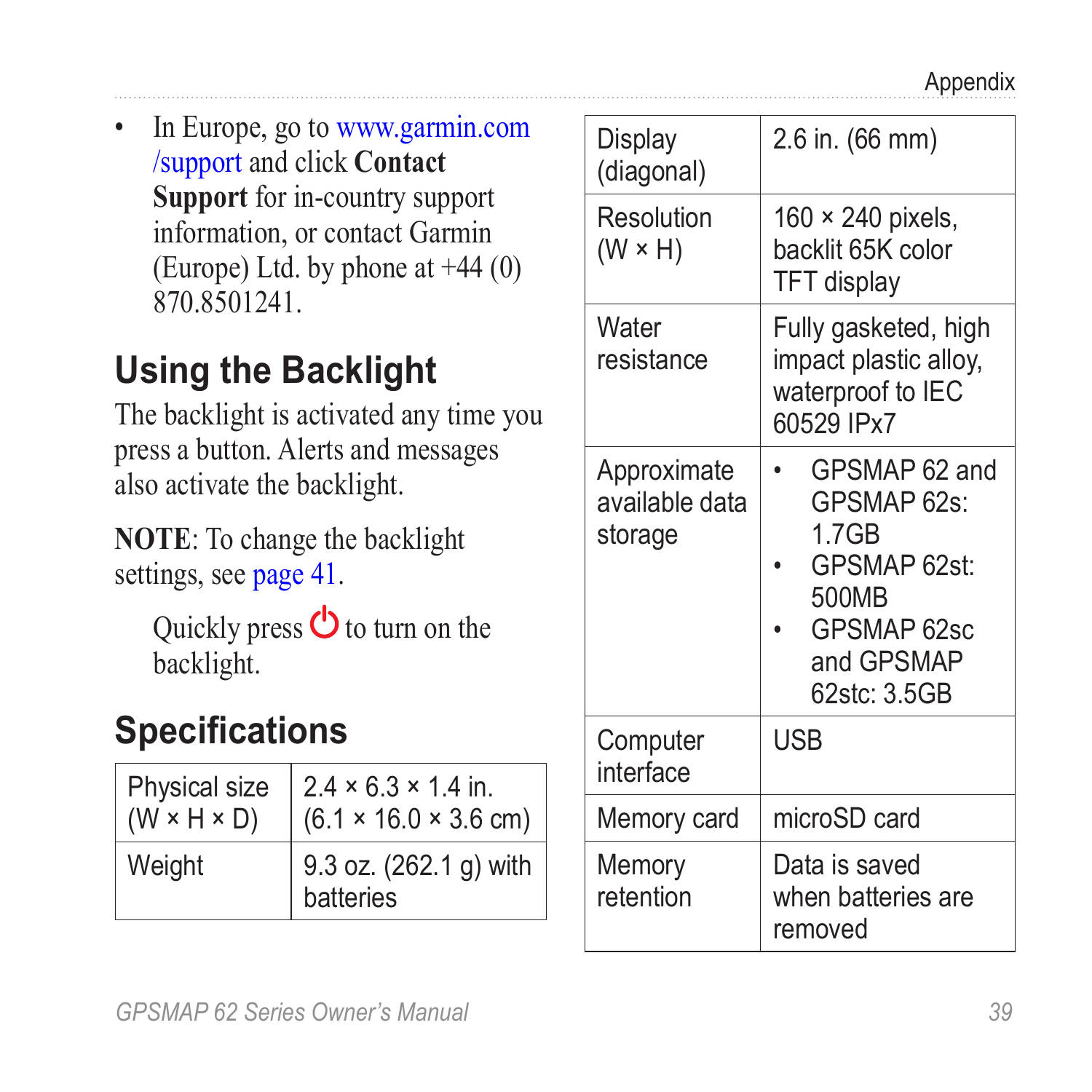<span id="page-42-0"></span>In Europe, go to [www.garmin.com](http://garmin.com/support) [/support](http://garmin.com/support) and click **Contact Support** for in-country support information, or contact Garmin (Europe) Ltd. by phone at  $+44(0)$ 870.8501241.

## **Using the Backlight**

The backlight is activated any time you press a button. Alerts and messages also activate the backlight.

**NOTE**: To change the backlight settings, see [page 41.](#page-44-1)

Quickly press  $\bigcirc$  to turn on the backlight.

## **Specifications**

| Physical size<br>( $W \times H \times D$ ) | $2.4 \times 6.3 \times 1.4$ in.<br>(6.1 × 16.0 × 3.6 cm) |  |
|--------------------------------------------|----------------------------------------------------------|--|
| Weight                                     | 9.3 oz. (262.1 g) with<br>batteries                      |  |

| Display<br>(diagonal)                    | 2.6 in. (66 mm)                                                                                             |
|------------------------------------------|-------------------------------------------------------------------------------------------------------------|
| Resolution<br>$(W \times H)$             | 160 × 240 pixels,<br>backlit 65K color<br><b>TFT</b> display                                                |
| Water<br>resistance                      | Fully gasketed, high<br>impact plastic alloy,<br>waterproof to IEC<br>60529 IPx7                            |
| Approximate<br>available data<br>storage | GPSMAP 62 and<br>GPSMAP 62s:<br>1.7GB<br>GPSMAP 62st:<br>500MB<br>GPSMAP 62sc<br>and GPSMAP<br>62stc: 3.5GB |
| Computer<br>interface                    | USB                                                                                                         |
| Memory card                              | microSD card                                                                                                |
| Memory<br>retention                      | Data is saved<br>when batteries are<br>removed                                                              |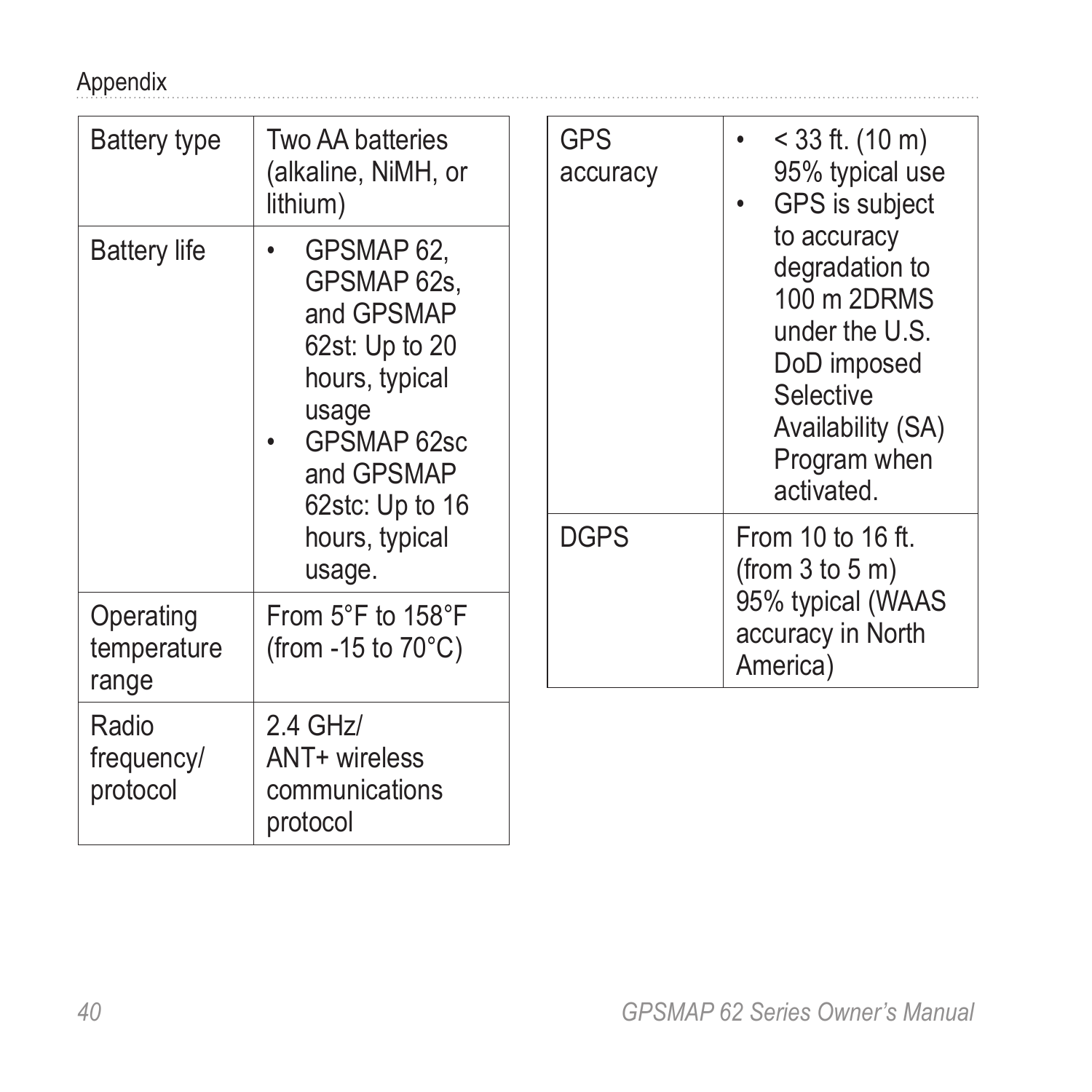#### <span id="page-43-0"></span>Appendix

| Battery type                      | Two AA batteries<br>(alkaline, NiMH, or<br>lithium)<br>GPSMAP 62.<br>٠<br>GPSMAP 62s.<br>and GPSMAP<br>62st: Up to 20<br>hours, typical<br>usage<br>GPSMAP 62sc<br>٠<br>and GPSMAP<br>62stc: Up to 16 |                                          | <b>GPS</b><br>accuracy                                                                                                                        | $<$ 33 ft. (10 m)<br>95% typical use<br>GPS is subject |
|-----------------------------------|-------------------------------------------------------------------------------------------------------------------------------------------------------------------------------------------------------|------------------------------------------|-----------------------------------------------------------------------------------------------------------------------------------------------|--------------------------------------------------------|
| <b>Battery life</b>               |                                                                                                                                                                                                       |                                          | to accuracy<br>degradation to<br>100 m 2DRMS<br>under the U.S.<br>DoD imposed<br>Selective<br>Availability (SA)<br>Program when<br>activated. |                                                        |
| hours, typical<br>usage.          | <b>DGPS</b>                                                                                                                                                                                           | From 10 to 16 ft.<br>(from $3$ to $5$ m) |                                                                                                                                               |                                                        |
| Operating<br>temperature<br>range | From $5^{\circ}$ F to $158^{\circ}$ F<br>(from -15 to $70^{\circ}$ C)                                                                                                                                 |                                          |                                                                                                                                               | 95% typical (WAAS<br>accuracy in North<br>America)     |
| Radio<br>frequency/<br>protocol   | $2.4$ GHz/<br>ANT+ wireless<br>communications<br>protocol                                                                                                                                             |                                          |                                                                                                                                               |                                                        |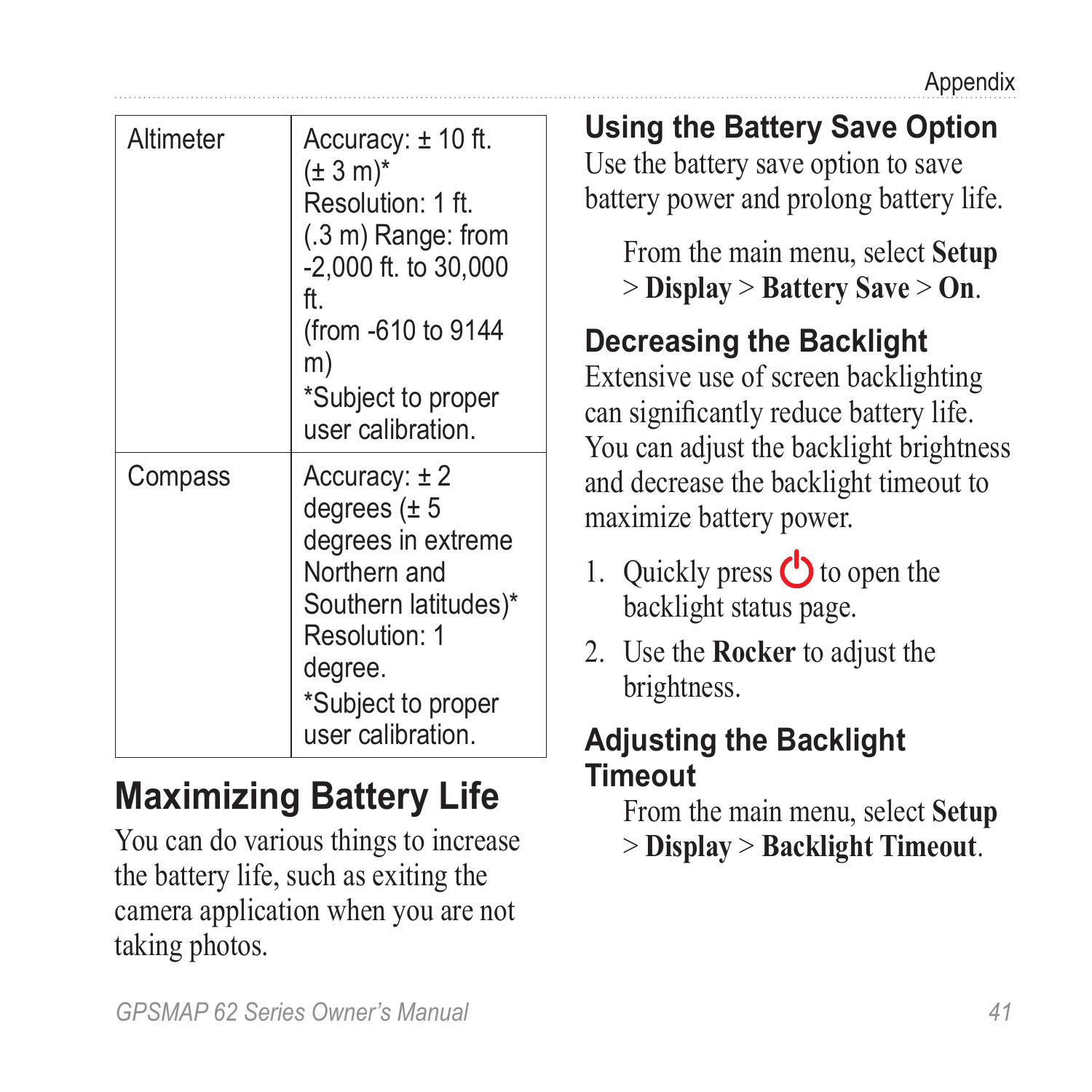<span id="page-44-2"></span><span id="page-44-0"></span>

| Altimeter                                                                                                                                                                                                                                                            | Accuracy: $± 10$ ft.<br>$(\pm 3 \text{ m})^*$<br>Resolution: 1 ft.<br>$(.3 \text{ m})$ Range: from<br>-2,000 ft. to 30,000                                                                     | <b>Using the Battery Save Option</b><br>Use the battery save option to save<br>battery power and prolong battery life.<br>From the main menu, select <b>Setup</b><br>$>$ Display $>$ Battery Save $>$ On. |
|----------------------------------------------------------------------------------------------------------------------------------------------------------------------------------------------------------------------------------------------------------------------|------------------------------------------------------------------------------------------------------------------------------------------------------------------------------------------------|-----------------------------------------------------------------------------------------------------------------------------------------------------------------------------------------------------------|
| ft.<br>(from -610 to 9144<br>m)<br>*Subject to proper<br>user calibration.<br>Accuracy: $\pm 2$<br>Compass<br>degrees $(\pm 5)$<br>degrees in extreme<br>Northern and<br>Southern latitudes)*<br>Resolution: 1<br>degree.<br>*Subject to proper<br>user calibration. | <b>Decreasing the Backlight</b><br>Extensive use of screen backlighting<br>can significantly reduce battery life.<br>You can adjust the backlight brightness                                   |                                                                                                                                                                                                           |
|                                                                                                                                                                                                                                                                      | and decrease the backlight timeout to<br>maximize battery power.<br>1. Quickly press $\bigcirc$ to open the<br>backlight status page.<br>2. Use the <b>Rocker</b> to adjust the<br>brightness. |                                                                                                                                                                                                           |
|                                                                                                                                                                                                                                                                      |                                                                                                                                                                                                | <b>Adiusting the Backlight</b>                                                                                                                                                                            |

# **Maximizing Battery Life**

You can do various things to increase the battery life, such as exiting the camera application when you are not taking photos.

#### <span id="page-44-3"></span><span id="page-44-1"></span>**Adjusting the Backlight Timeout**

From the main menu, select **Setup** > **Display** > **Backlight Timeout**.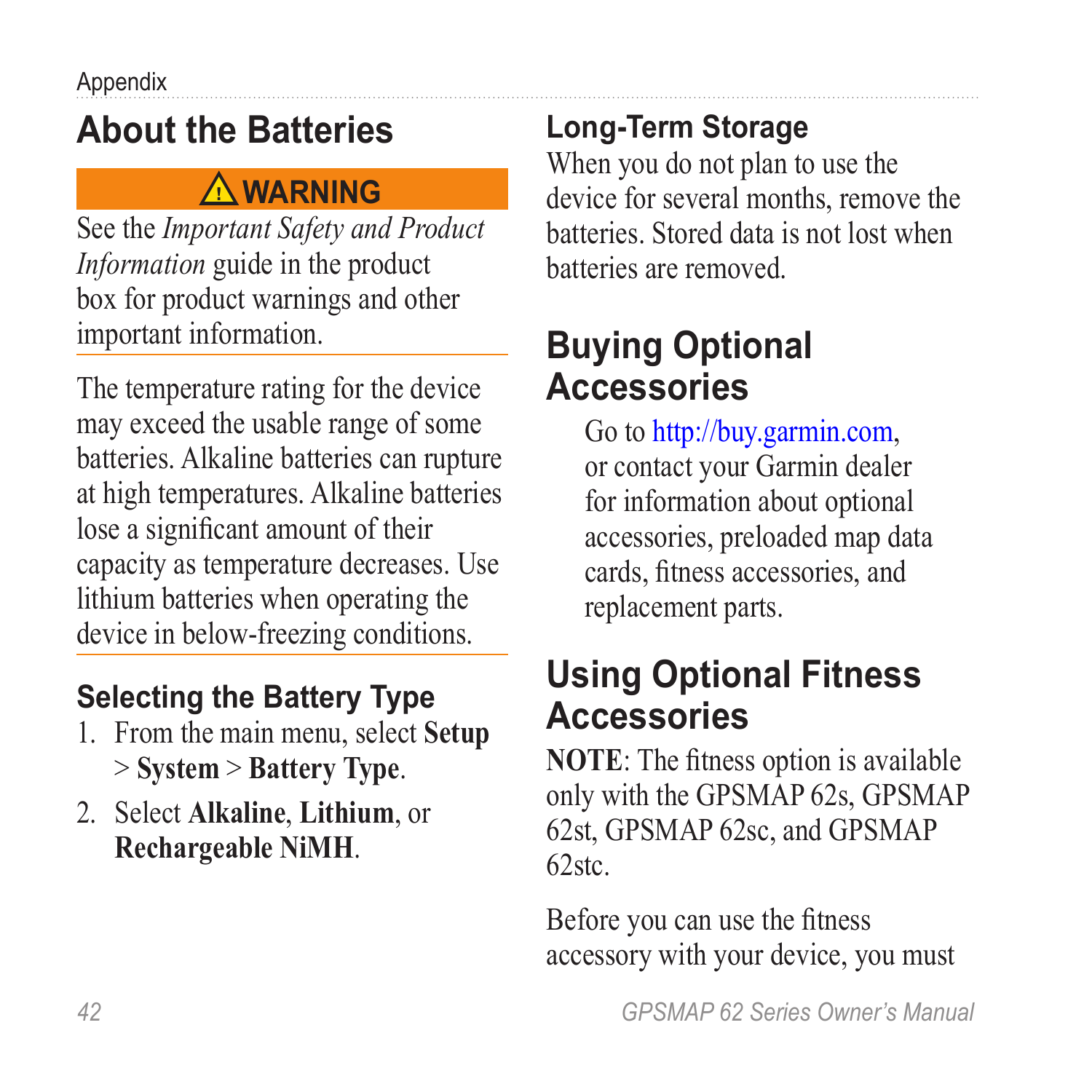## <span id="page-45-1"></span><span id="page-45-0"></span>**About the Batteries**

### **warning**

See the *Important Safety and Product Information* guide in the product box for product warnings and other important information.

The temperature rating for the device may exceed the usable range of some batteries. Alkaline batteries can rupture at high temperatures. Alkaline batteries lose a significant amount of their capacity as temperature decreases. Use lithium batteries when operating the device in below-freezing conditions.

### <span id="page-45-2"></span>**Selecting the Battery Type**

- 1. From the main menu, select **Setup** > **System** > **Battery Type**.
- 2. Select **Alkaline**, **Lithium**, or **Rechargeable NiMH**.

### **Long-Term Storage**

When you do not plan to use the device for several months, remove the batteries. Stored data is not lost when batteries are removed.

### <span id="page-45-3"></span>**Buying Optional Accessories**

Go to [http://buy.garmin.com,](http://buy.garmin.com) or contact your Garmin dealer for information about optional accessories, preloaded map data cards, fitness accessories, and replacement parts.

### <span id="page-45-4"></span>**Using Optional Fitness Accessories**

**NOTE**: The fitness option is available only with the GPSMAP 62s, GPSMAP 62st, GPSMAP 62sc, and GPSMAP 62stc.

Before you can use the fitness accessory with your device, you must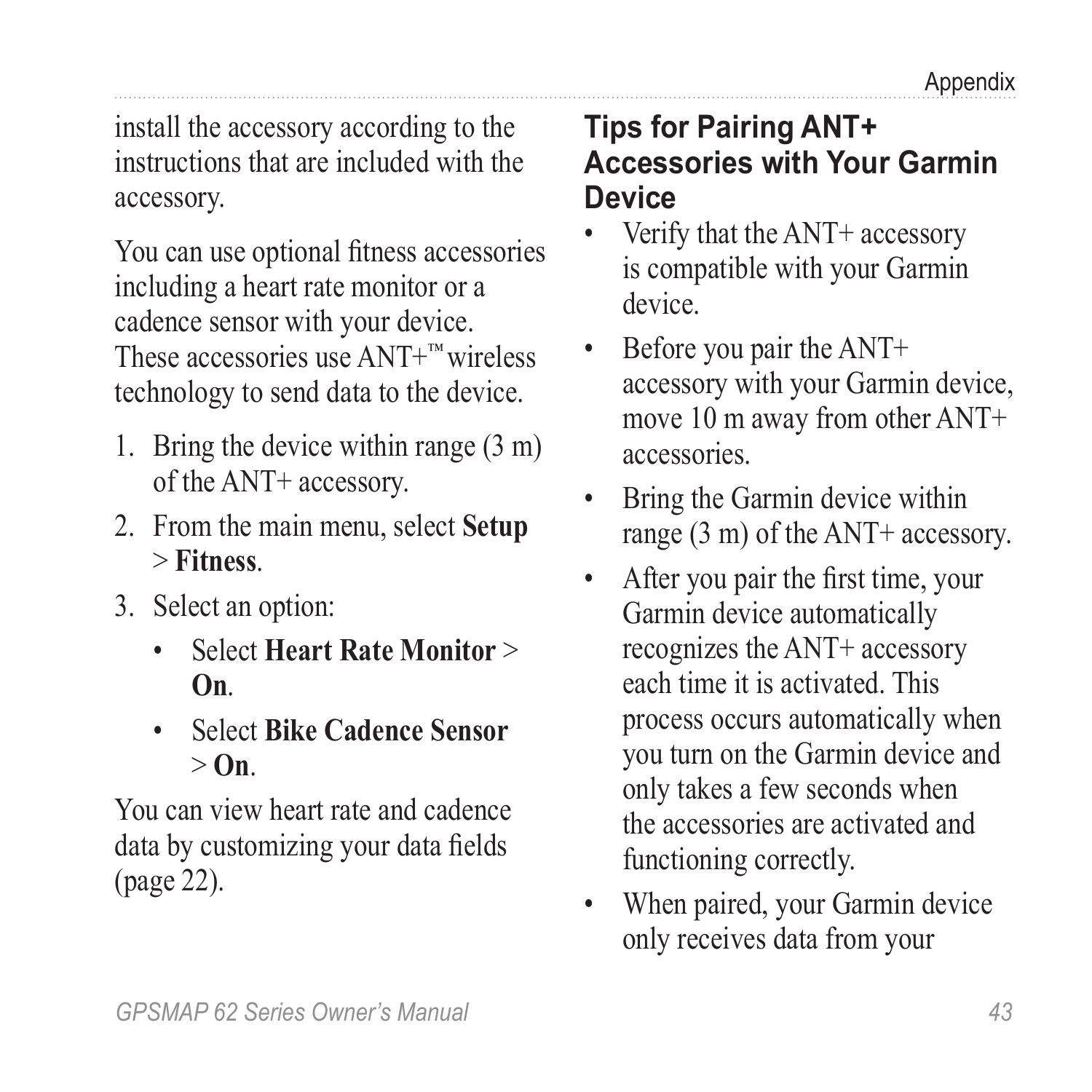install the accessory according to the instructions that are included with the accessory.

You can use optional fitness accessories including a heart rate monitor or a cadence sensor with your device. These accessories use ANT+™ wireless technology to send data to the device.

- 1. Bring the device within range (3 m) of the ANT+ accessory.
- 2. From the main menu, select **Setup** > **Fitness**.
- 3. Select an option:
	- Select **Heart Rate Monitor** > **On**.
	- Select **Bike Cadence Sensor** > **On**.

You can view heart rate and cadence data by customizing your data fields ([page 22\)](#page-28-1).

#### **Tips for Pairing ANT+ Accessories with Your Garmin Device**

- Verify that the ANT+ accessory is compatible with your Garmin device.
- Before you pair the ANT+ accessory with your Garmin device, move 10 m away from other ANT+ accessories.
- Bring the Garmin device within range (3 m) of the ANT+ accessory.
- After you pair the first time, your Garmin device automatically recognizes the ANT+ accessory each time it is activated. This process occurs automatically when you turn on the Garmin device and only takes a few seconds when the accessories are activated and functioning correctly.
- When paired, your Garmin device only receives data from your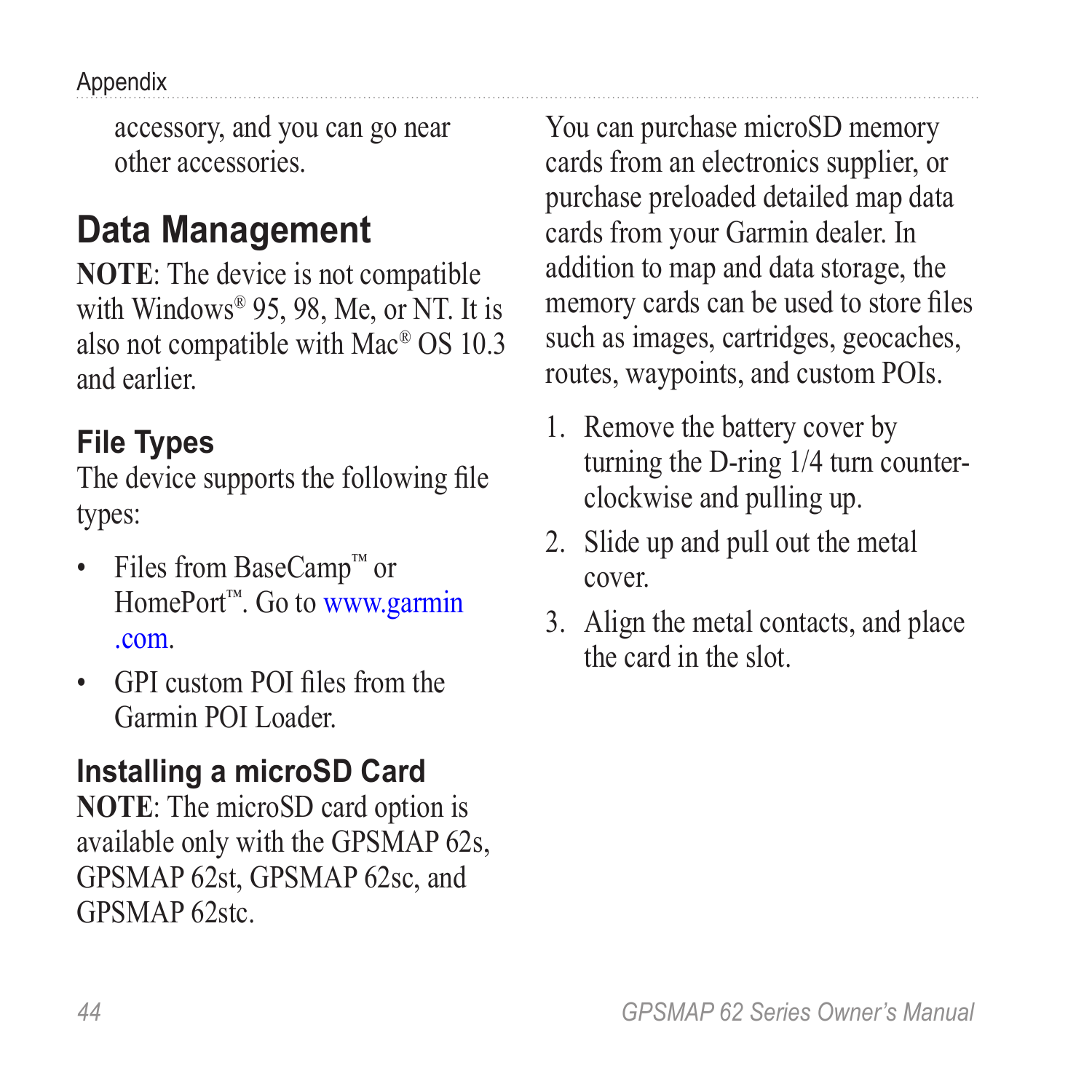<span id="page-47-0"></span>Appendix

accessory, and you can go near other accessories.

## <span id="page-47-1"></span>**Data Management**

**NOTE**: The device is not compatible with Windows<sup>®</sup> 95, 98, Me, or NT. It is also not compatible with Mac® OS 10.3 and earlier.

### **File Types**

The device supports the following file types:

- Files from BaseCamp™ or HomePort™. Go to [www.garmin](www.garmin.com) [.com.](www.garmin.com)
- GPI custom POI files from the Garmin POI Loader.

### **Installing a microSD Card**

**NOTE**: The microSD card option is available only with the GPSMAP 62s, GPSMAP 62st, GPSMAP 62sc, and GPSMAP 62stc.

You can purchase microSD memory cards from an electronics supplier, or purchase preloaded detailed map data cards from your Garmin dealer. In addition to map and data storage, the memory cards can be used to store files such as images, cartridges, geocaches, routes, waypoints, and custom POIs.

- 1. Remove the battery cover by turning the D-ring 1/4 turn counterclockwise and pulling up.
- 2. Slide up and pull out the metal cover.
- 3. Align the metal contacts, and place the card in the slot.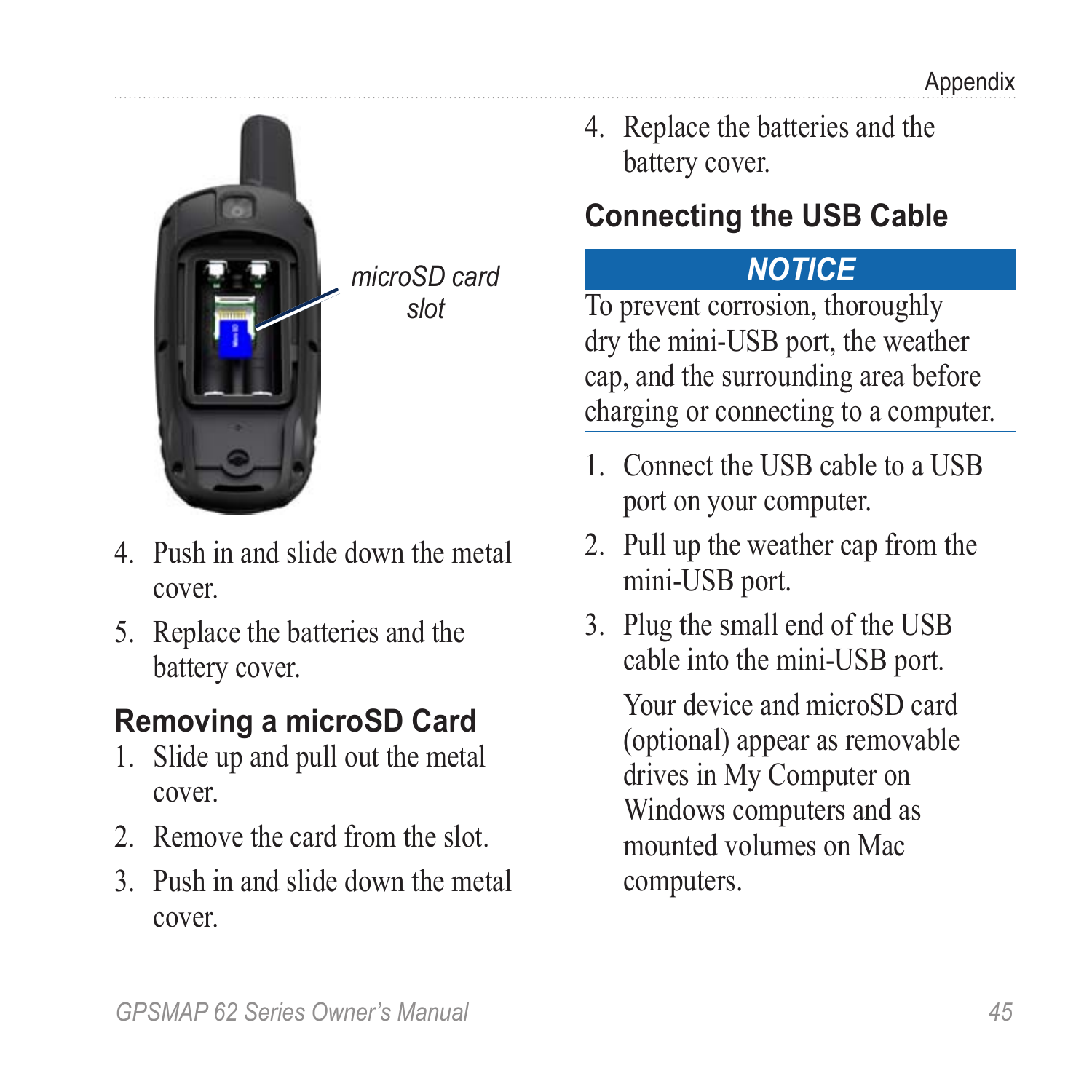<span id="page-48-1"></span>

*microSD card slot*

- 4. Push in and slide down the metal cover.
- 5. Replace the batteries and the battery cover.

### **Removing a microSD Card**

- 1. Slide up and pull out the metal cover.
- 2. Remove the card from the slot.
- 3. Push in and slide down the metal cover.

4. Replace the batteries and the battery cover.

### <span id="page-48-0"></span>**Connecting the USB Cable**

### *notice*

To prevent corrosion, thoroughly dry the mini-USB port, the weather cap, and the surrounding area before charging or connecting to a computer.

- 1. Connect the USB cable to a USB port on your computer.
- 2. Pull up the weather cap from the mini-USB port.
- 3. Plug the small end of the USB cable into the mini-USB port.

Your device and microSD card (optional) appear as removable drives in My Computer on Windows computers and as mounted volumes on Mac computers.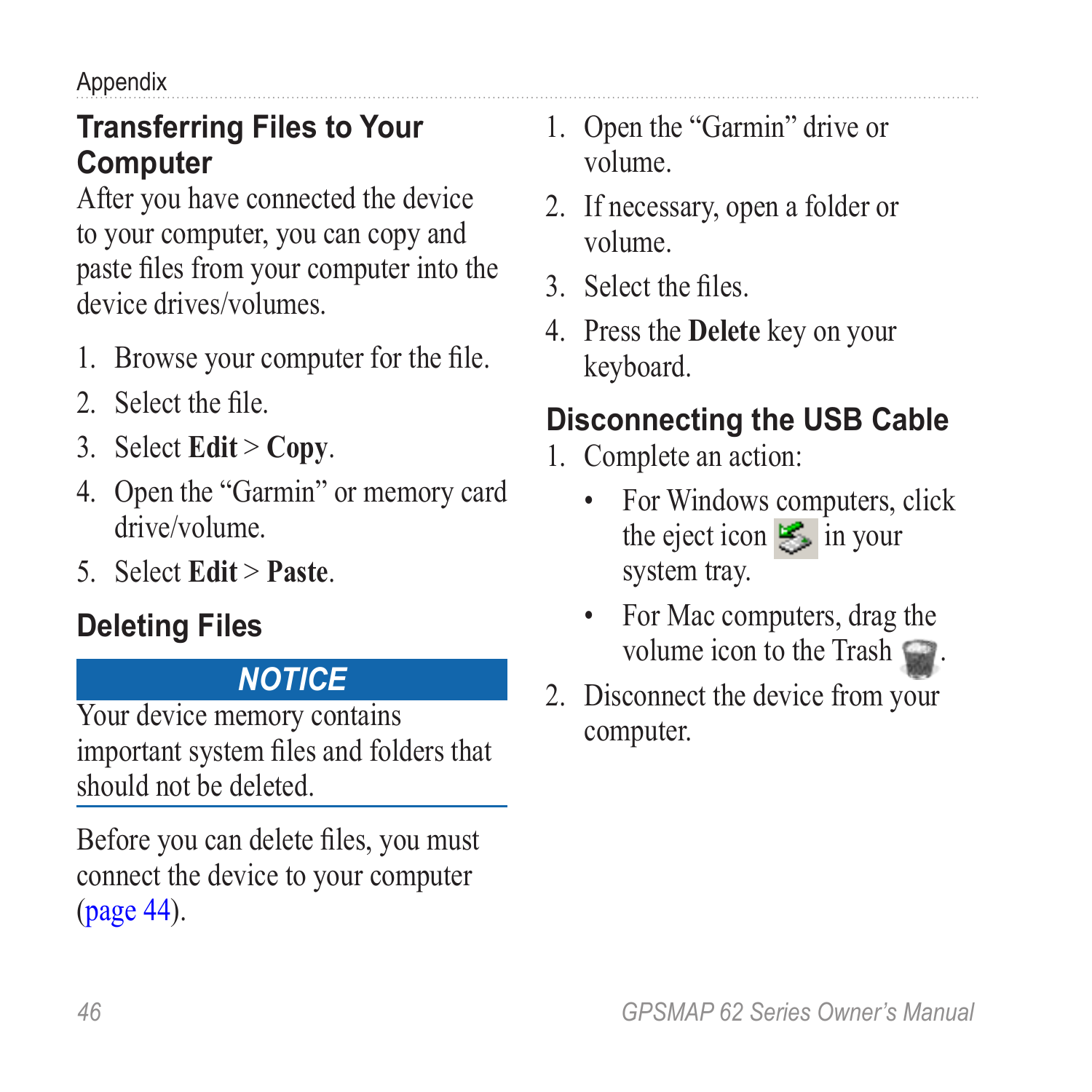<span id="page-49-0"></span>Appendix

#### **Transferring Files to Your Computer**

After you have connected the device to your computer, you can copy and paste files from your computer into the device drives/volumes.

- 1. Browse your computer for the file.
- 2. Select the file.
- 3. Select **Edit** > **Copy**.
- 4. Open the "Garmin" or memory card drive/volume.
- 5. Select **Edit** > **Paste**.

### **Deleting Files**

#### *NOTICE*

Your device memory contains important system files and folders that should not be deleted.

Before you can delete files, you must connect the device to your computer ([page 44\)](#page-47-1).

- 1. Open the "Garmin" drive or volume.
- 2. If necessary, open a folder or volume.
- 3. Select the files.
- 4. Press the **Delete** key on your keyboard.

### **Disconnecting the USB Cable**

- 1. Complete an action:
	- For Windows computers, click the eject icon  $\leq$  in your system tray.
	- For Mac computers, drag the volume icon to the Trash  $\blacksquare$ .
- 2. Disconnect the device from your computer.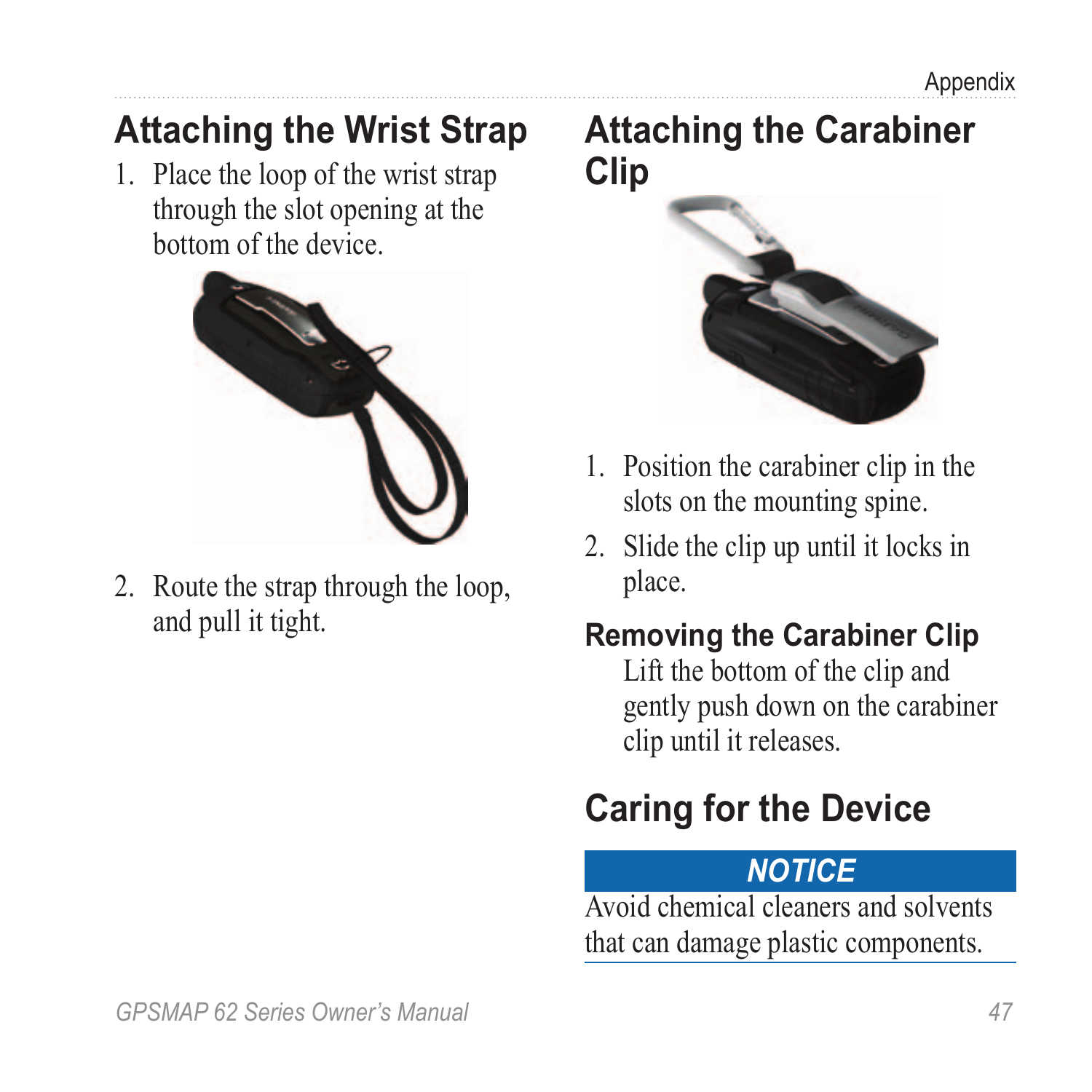### <span id="page-50-0"></span>**Attaching the Wrist Strap**

1. Place the loop of the wrist strap through the slot opening at the bottom of the device.



2. Route the strap through the loop, and pull it tight.

### **Attaching the Carabiner Clip**



- 1. Position the carabiner clip in the slots on the mounting spine.
- 2. Slide the clip up until it locks in place.

### **Removing the Carabiner Clip**

Lift the bottom of the clip and gently push down on the carabiner clip until it releases.

## **Caring for the Device**

### *NOTICE*

Avoid chemical cleaners and solvents that can damage plastic components.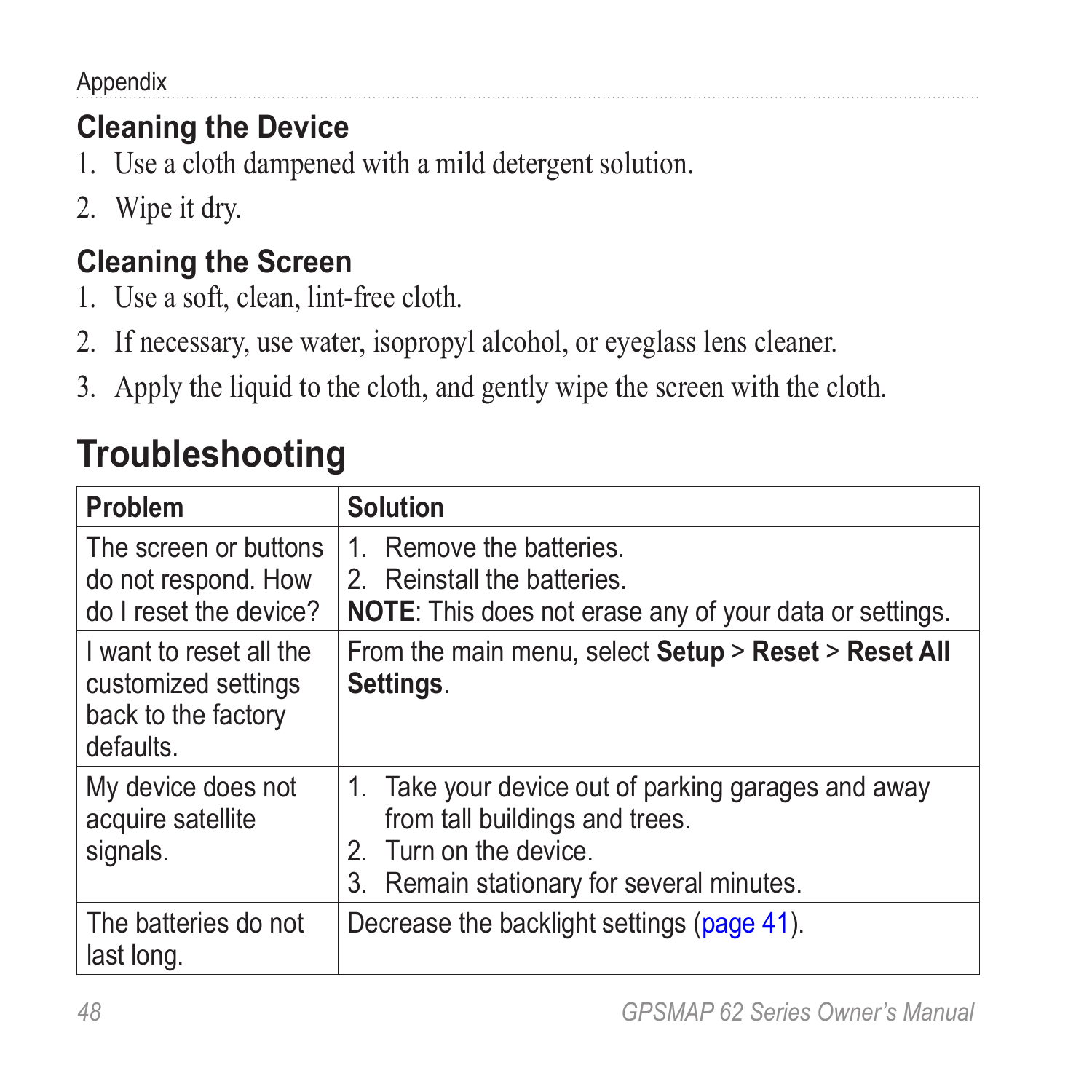<span id="page-51-0"></span>Appendix

### **Cleaning the Device**

- 1. Use a cloth dampened with a mild detergent solution.
- 2. Wipe it dry.

### **Cleaning the Screen**

- 1. Use a soft, clean, lint-free cloth.
- 2. If necessary, use water, isopropyl alcohol, or eyeglass lens cleaner.
- 3. Apply the liquid to the cloth, and gently wipe the screen with the cloth.

| Problem                                                                            | <b>Solution</b>                                                                                                                                              |
|------------------------------------------------------------------------------------|--------------------------------------------------------------------------------------------------------------------------------------------------------------|
| The screen or buttons<br>do not respond. How<br>do I reset the device?             | Remove the batteries.<br>1.<br>2. Reinstall the batteries.<br>NOTE: This does not erase any of your data or settings.                                        |
| I want to reset all the<br>customized settings<br>back to the factory<br>defaults. | From the main menu, select Setup > Reset > Reset All<br>Settings.                                                                                            |
| My device does not<br>acquire satellite<br>signals.                                | 1. Take your device out of parking garages and away<br>from tall buildings and trees.<br>2. Turn on the device.<br>3. Remain stationary for several minutes. |
| The batteries do not<br>last long.                                                 | Decrease the backlight settings (page 41).                                                                                                                   |

## **Troubleshooting**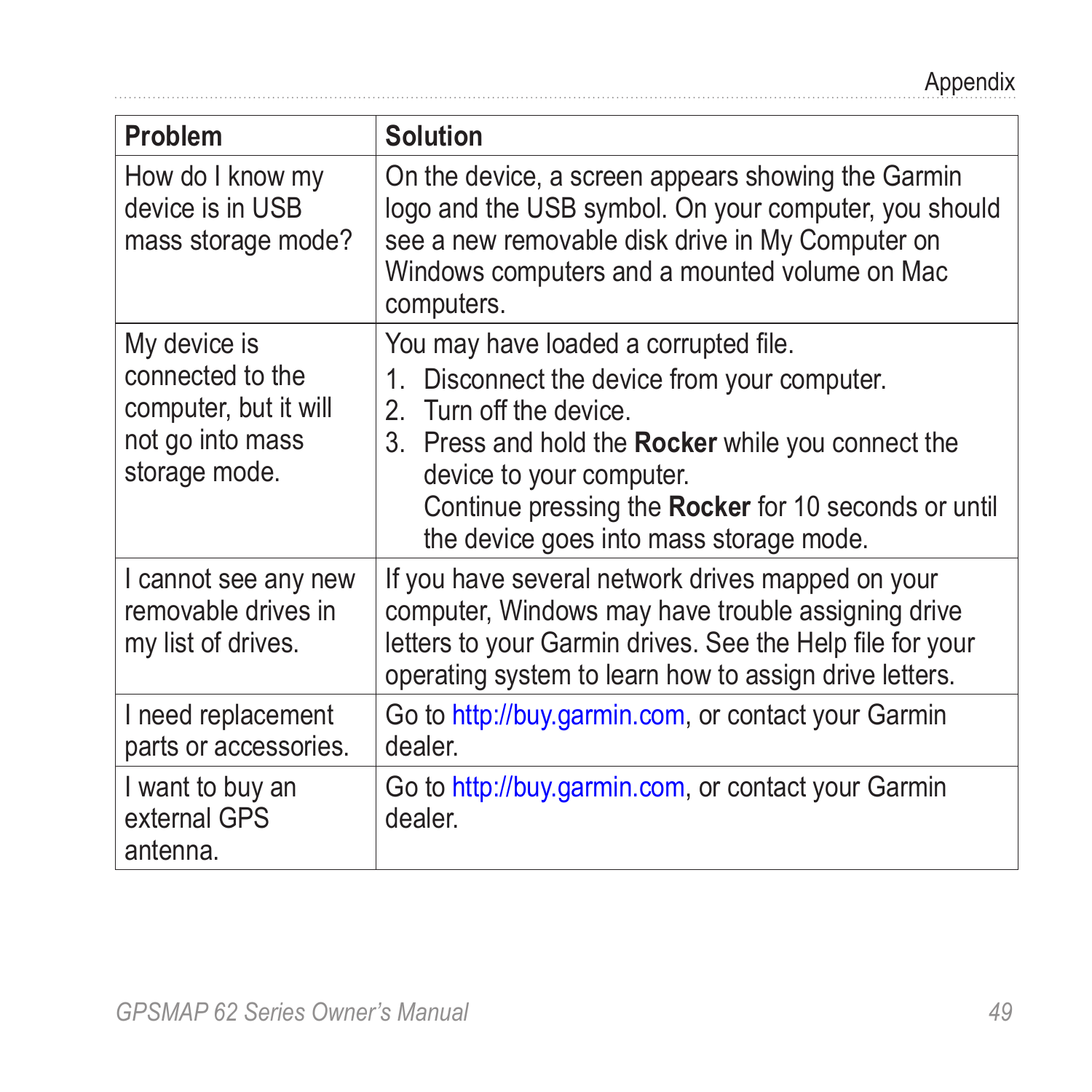| Problem                                                                                        | <b>Solution</b>                                                                                                                                                                                                                                                                                              |
|------------------------------------------------------------------------------------------------|--------------------------------------------------------------------------------------------------------------------------------------------------------------------------------------------------------------------------------------------------------------------------------------------------------------|
| How do I know my<br>device is in USB<br>mass storage mode?                                     | On the device, a screen appears showing the Garmin<br>logo and the USB symbol. On your computer, you should<br>see a new removable disk drive in My Computer on<br>Windows computers and a mounted volume on Mac<br>computers.                                                                               |
| My device is<br>connected to the<br>computer, but it will<br>not go into mass<br>storage mode. | You may have loaded a corrupted file.<br>1. Disconnect the device from your computer.<br>2. Turn off the device.<br>3. Press and hold the <b>Rocker</b> while you connect the<br>device to your computer.<br>Continue pressing the Rocker for 10 seconds or until<br>the device goes into mass storage mode. |
| I cannot see any new<br>removable drives in<br>my list of drives.                              | If you have several network drives mapped on your<br>computer, Windows may have trouble assigning drive<br>letters to your Garmin drives. See the Help file for your<br>operating system to learn how to assign drive letters.                                                                               |
| I need replacement<br>parts or accessories.                                                    | Go to http://buy.garmin.com, or contact your Garmin<br>dealer.                                                                                                                                                                                                                                               |
| I want to buy an<br>external GPS<br>antenna.                                                   | Go to http://buy.garmin.com, or contact your Garmin<br>dealer.                                                                                                                                                                                                                                               |

<span id="page-52-0"></span>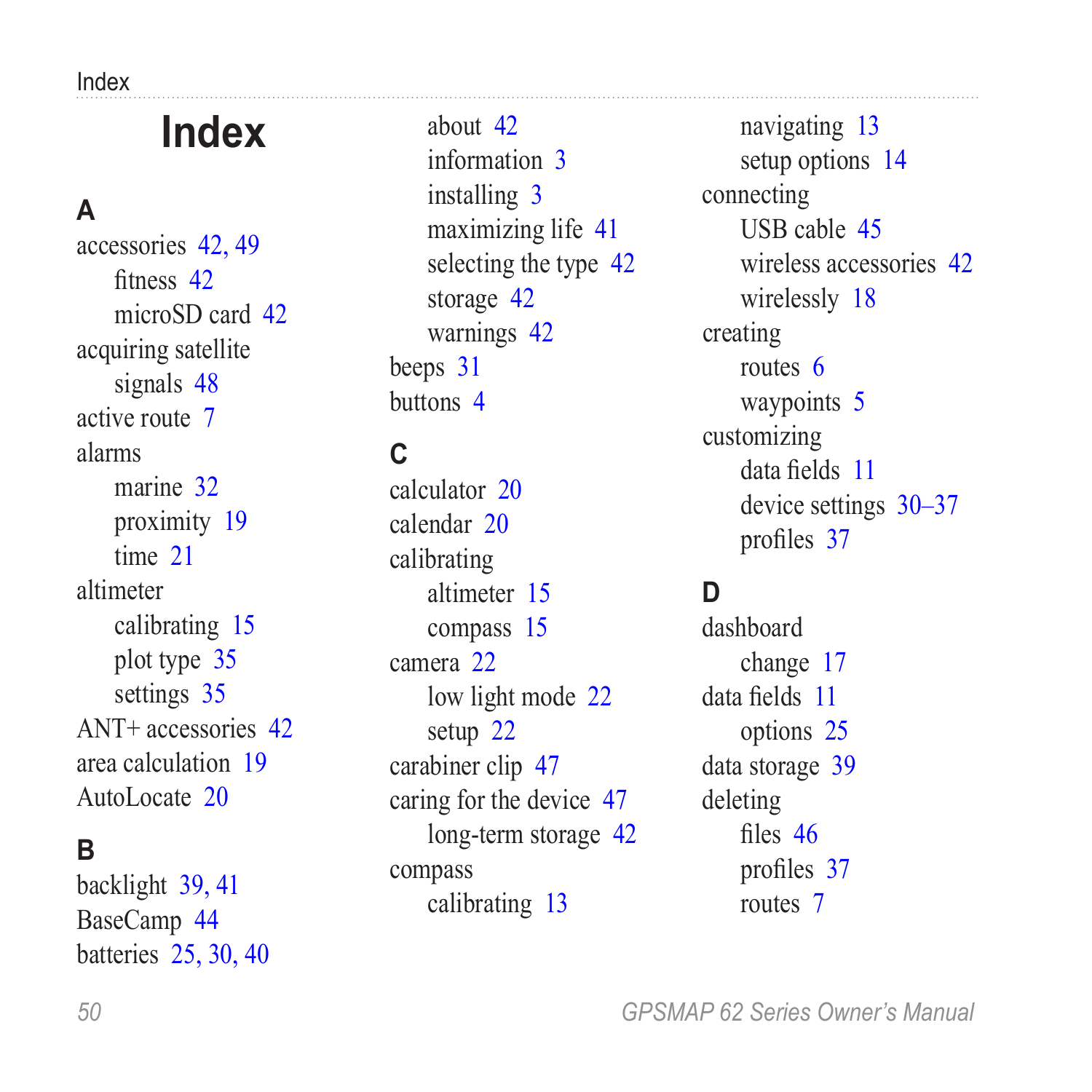<span id="page-53-0"></span>Index

# **Index**

#### **A**

accessories [42,](#page-45-0) [49](#page-52-0) fitness [42](#page-45-0) microSD card [42](#page-45-0) acquiring satellite signals [48](#page-51-0) active route [7](#page-10-1) alarms marine [32](#page-35-0) proximity [19](#page-22-0) time [21](#page-24-0) altimeter calibrating [15](#page-18-0) plot type [35](#page-38-0) settings [35](#page-38-0) ANT+ accessories [42](#page-45-0) area calculation [19](#page-22-0) AutoLocate [20](#page-23-0)

#### **B**

backlight [39,](#page-42-0) [41](#page-44-0) BaseCamp [44](#page-47-0) batteries [25](#page-28-0), [30,](#page-33-0) [40](#page-43-0)

about [42](#page-45-0) information [3](#page-6-0) installing [3](#page-6-0) maximizing life [41](#page-44-0) selecting the type [42](#page-45-0) storage [42](#page-45-0) warnings [42](#page-45-0) beeps [31](#page-34-0) buttons [4](#page-7-0)

#### **C**

calculator [20](#page-23-0) calendar [20](#page-23-0) calibrating altimeter [15](#page-18-0) compass [15](#page-18-0) camera [22](#page-25-0) low light mode [22](#page-25-0) setup [22](#page-25-0) carabiner clip [47](#page-50-0) caring for the device [47](#page-50-0) long-term storage [42](#page-45-0) compass calibrating [13](#page-16-0)

navigating [13](#page-16-0) setup options [14](#page-17-0) connecting USB cable [45](#page-48-1) wireless accessories [42](#page-45-0) wirelessly [18](#page-21-0) creating routes [6](#page-9-0) waypoints [5](#page-8-0) customizing data fields [11](#page-14-0) device settings [30–](#page-33-0)[37](#page-40-0) profiles [37](#page-40-0)

#### **D**

dashboard change [17](#page-20-0) data fields [11](#page-14-0) options [25](#page-28-0) data storage [39](#page-42-0) deleting files [46](#page-49-0) profiles [37](#page-40-0) routes [7](#page-10-1)

*50 GPSMAP 62 Series Owner's Manual*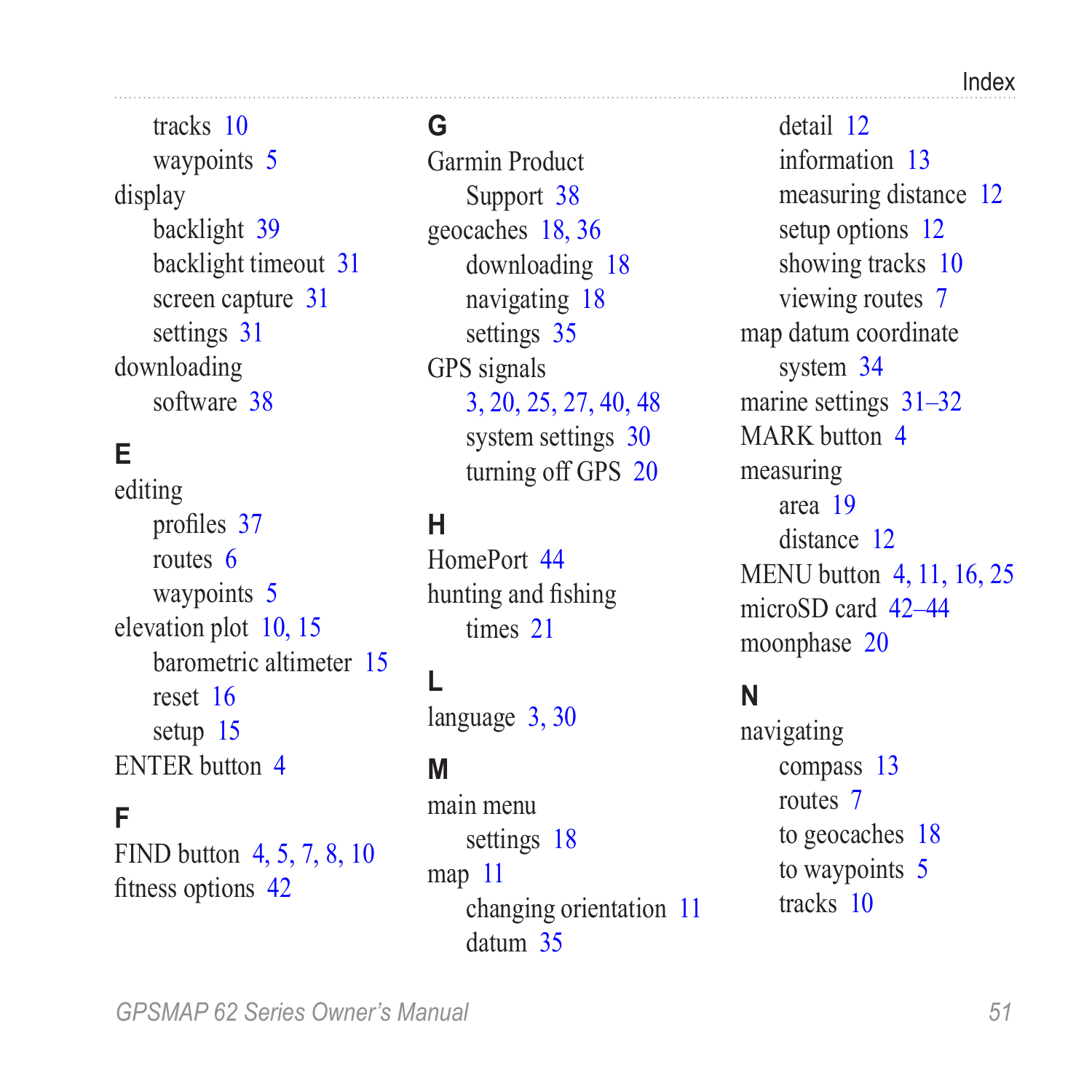tracks [10](#page-13-0) waypoints [5](#page-8-0) display backlight [39](#page-42-0) backlight timeout [31](#page-34-0) screen capture [31](#page-34-0) settings [31](#page-34-0) downloading software [38](#page-41-0)

#### **E**

editing profiles [37](#page-40-0) routes [6](#page-9-0) waypoints [5](#page-8-0) elevation plot [10](#page-13-0), [15](#page-18-0) barometric altimeter [15](#page-18-0) reset [16](#page-19-0) setup [15](#page-18-0) ENTER button [4](#page-7-0)

#### **F**

FIND button [4,](#page-7-0) [5,](#page-8-0) [7](#page-10-1), [8,](#page-11-0) [10](#page-13-0) fitness options [42](#page-45-0)

#### **G**

Garmin Product Support [38](#page-41-0) geocaches [18,](#page-21-0) [36](#page-39-0) downloading [18](#page-21-0) navigating [18](#page-21-0) settings [35](#page-38-0) GPS signals [3,](#page-6-0) [20](#page-23-0), [25,](#page-28-0) [27](#page-30-0), [40,](#page-43-0) [48](#page-51-0) system settings [30](#page-33-0) turning off GPS [20](#page-23-0)

#### **H**

HomePort [44](#page-47-0) hunting and fishing times [21](#page-24-0)

#### **L**

language [3](#page-6-0), [30](#page-33-0)

#### **M**

main menu settings [18](#page-21-0) map [11](#page-14-0) changing orientation [11](#page-14-0) datum [35](#page-38-0)

detail [12](#page-15-0) information [13](#page-16-0) measuring distance [12](#page-15-0) setup options [12](#page-15-0) showing tracks [10](#page-13-0) viewing routes [7](#page-10-1) map datum coordinate system [34](#page-37-0) marine settings [31](#page-34-0)–[32](#page-35-0) MARK button [4](#page-7-0) measuring area [19](#page-22-0) distance [12](#page-15-0) MENU button [4,](#page-7-0) [11,](#page-14-0) [16](#page-19-0), [25](#page-28-0) microSD card [42](#page-45-0)[–44](#page-47-0) moonphase [20](#page-23-0)

#### **N**

navigating compass [13](#page-16-0) routes [7](#page-10-1) to geocaches [18](#page-21-0) to waypoints [5](#page-8-0) tracks [10](#page-13-0)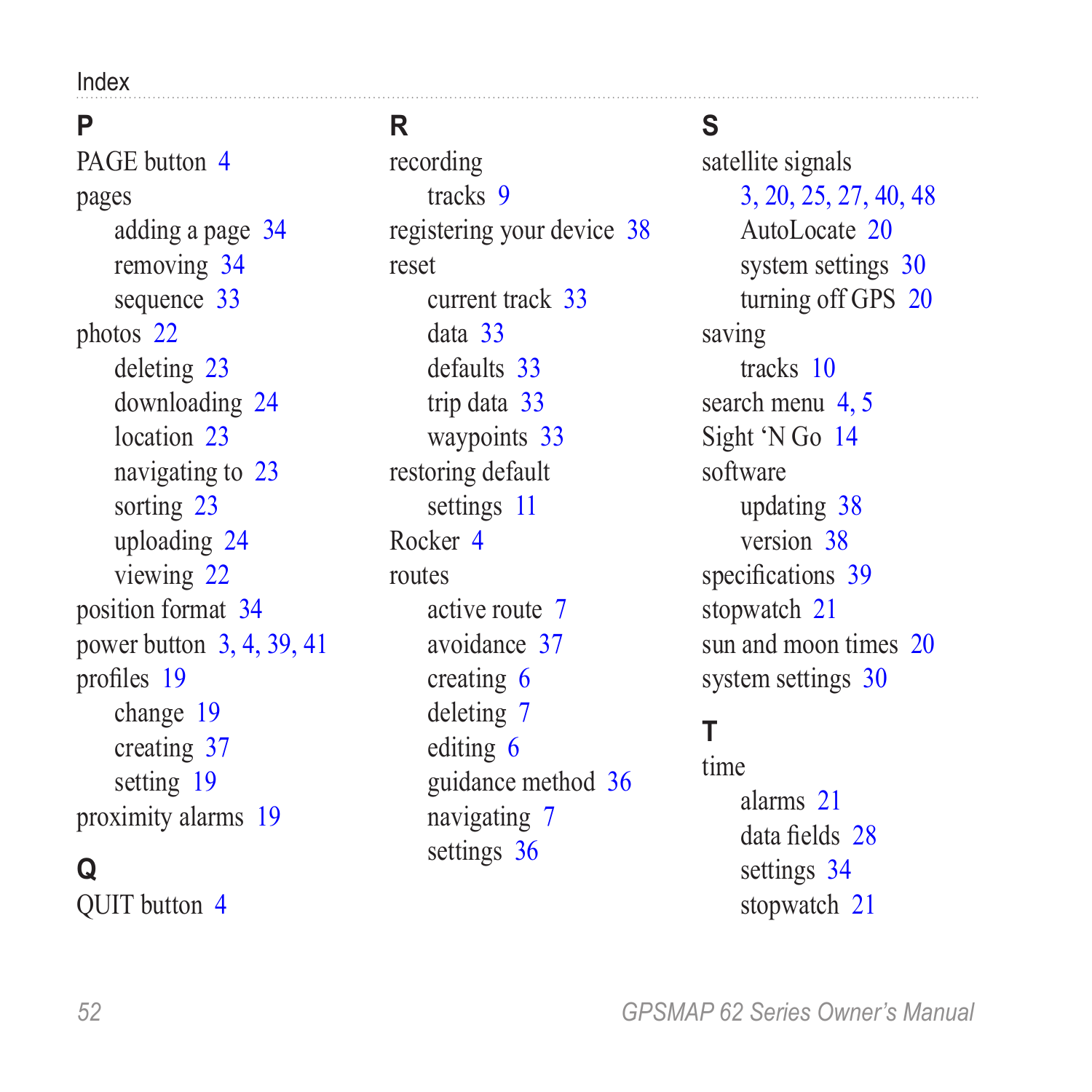Index

#### **P**

PAGE button  $\Delta$ pages adding a page [34](#page-37-0) removing [34](#page-37-0) sequence [33](#page-36-0) photos [22](#page-25-0) deleting [23](#page-26-0) downloading [24](#page-27-0) location [23](#page-26-0) navigating to [23](#page-26-0) sorting [23](#page-26-0) uploading [24](#page-27-0) viewing [22](#page-25-0) position format [34](#page-37-0) power button [3](#page-6-0), [4,](#page-7-0) [39](#page-42-0), [41](#page-44-0) profiles [19](#page-22-0) change [19](#page-22-0) creating [37](#page-40-0) setting [19](#page-22-0) proximity alarms [19](#page-22-0)

#### **Q**

QUIT button [4](#page-7-0)

#### **R**

recording tracks [9](#page-12-0) registering your device [38](#page-41-0) reset current track [33](#page-36-0) data [33](#page-36-0) defaults [33](#page-36-0) trip data [33](#page-36-0) waypoints [33](#page-36-0) restoring default settings [11](#page-14-0) Rocker [4](#page-7-0) routes active route [7](#page-10-1) avoidance [37](#page-40-0) creating [6](#page-9-0) deleting [7](#page-10-1) editing [6](#page-9-0) guidance method [36](#page-39-0) navigating [7](#page-10-1) settings [36](#page-39-0)

#### **S**

satellite signals [3,](#page-6-0) [20](#page-23-0), [25,](#page-28-0) [27](#page-30-0), [40,](#page-43-0) [48](#page-51-0) AutoLocate [20](#page-23-0) system settings [30](#page-33-0) turning off GPS [20](#page-23-0) saving tracks [10](#page-13-0) search menu [4](#page-7-0), [5](#page-8-0) Sight 'N Go [14](#page-17-0) software updating [38](#page-41-0) version [38](#page-41-0) specifications [39](#page-42-0) stopwatch [21](#page-24-0) sun and moon times [20](#page-23-0) system settings [30](#page-33-0)

#### **T**

time alarms [21](#page-24-0) data fields [28](#page-31-0) settings [34](#page-37-0) stopwatch [21](#page-24-0)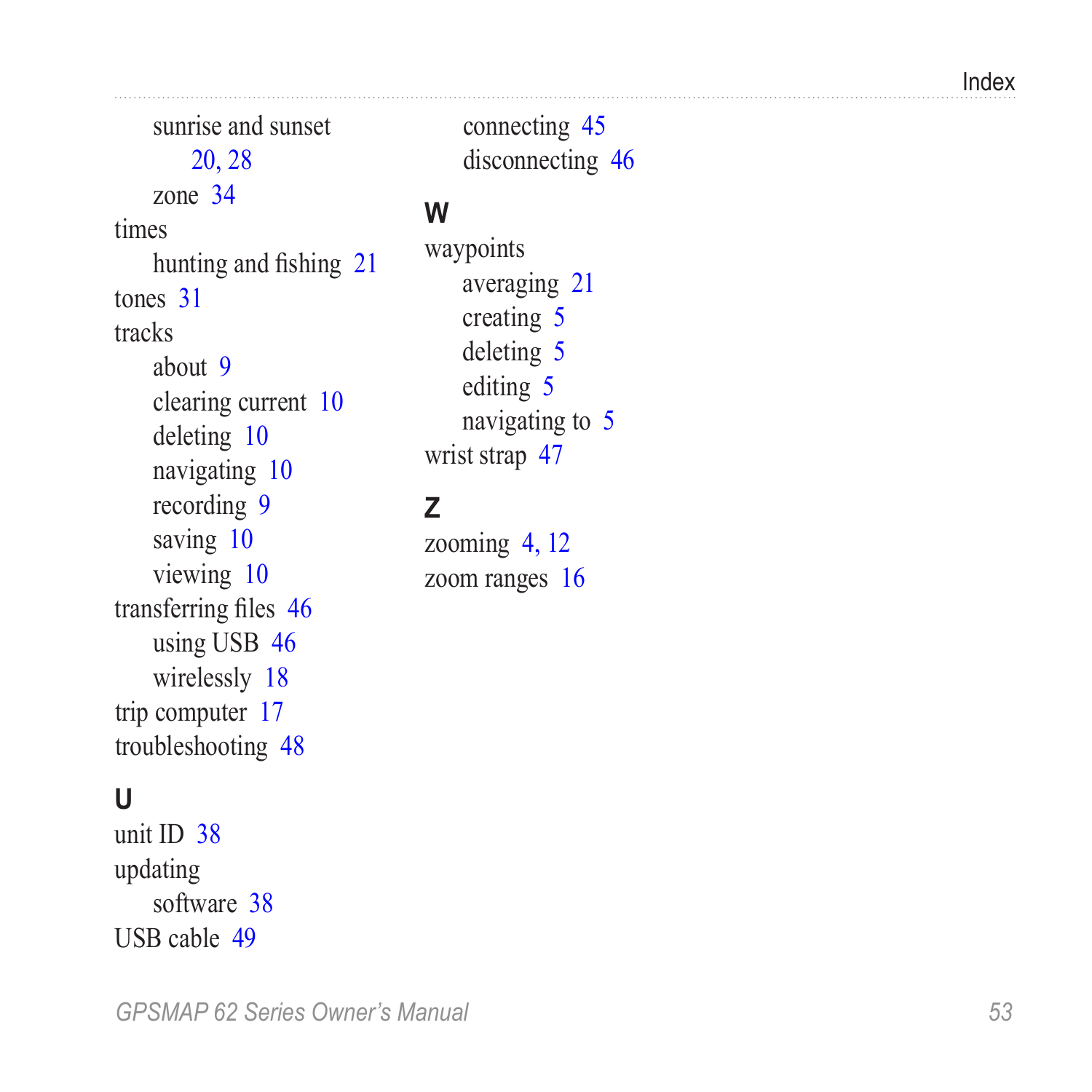Index

sunrise and sunset [20,](#page-23-0) [28](#page-31-0) zone [34](#page-37-0) times hunting and fishing [21](#page-24-0) tones [31](#page-34-0) tracks about [9](#page-12-0) clearing current [10](#page-13-0) deleting [10](#page-13-0) navigating [10](#page-13-0) recording [9](#page-12-0) saving [10](#page-13-0) viewing [10](#page-13-0) transferring files [46](#page-49-0) using USB [46](#page-49-0) wirelessly [18](#page-21-0) trip computer [17](#page-20-0) troubleshooting [48](#page-51-0)

#### **U**

unit ID [38](#page-41-0) updating software [38](#page-41-0) USB cable [49](#page-52-0)

#### **W**

waypoints averaging [21](#page-24-0) creating [5](#page-8-0) deleting [5](#page-8-0) editing [5](#page-8-0) navigating to [5](#page-8-0) wrist strap [47](#page-50-0)

#### **Z**

zooming [4](#page-7-0), [12](#page-15-0) zoom ranges [16](#page-19-0)